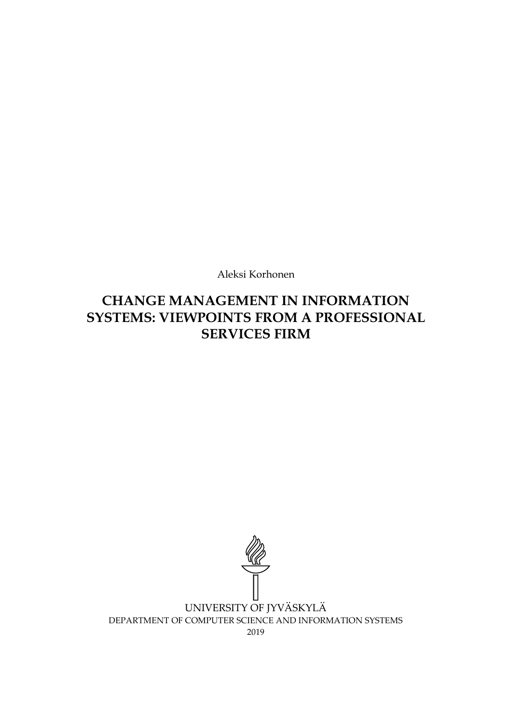Aleksi Korhonen

# **CHANGE MANAGEMENT IN INFORMATION SYSTEMS: VIEWPOINTS FROM A PROFESSIONAL SERVICES FIRM**

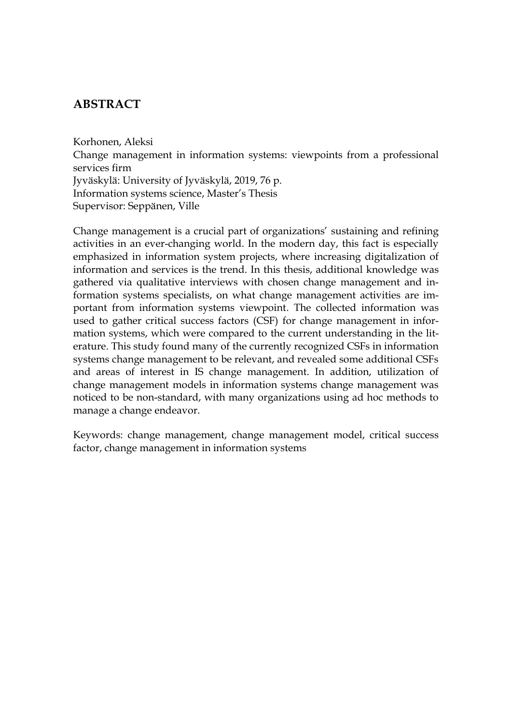### <span id="page-1-0"></span>**ABSTRACT**

Korhonen, Aleksi

Change management in information systems: viewpoints from a professional services firm

Jyväskylä: University of Jyväskylä, 2019, 76 p. Information systems science, Master's Thesis Supervisor: Seppänen, Ville

Change management is a crucial part of organizations' sustaining and refining activities in an ever-changing world. In the modern day, this fact is especially emphasized in information system projects, where increasing digitalization of information and services is the trend. In this thesis, additional knowledge was gathered via qualitative interviews with chosen change management and information systems specialists, on what change management activities are important from information systems viewpoint. The collected information was used to gather critical success factors (CSF) for change management in information systems, which were compared to the current understanding in the literature. This study found many of the currently recognized CSFs in information systems change management to be relevant, and revealed some additional CSFs and areas of interest in IS change management. In addition, utilization of change management models in information systems change management was noticed to be non-standard, with many organizations using ad hoc methods to manage a change endeavor.

Keywords: change management, change management model, critical success factor, change management in information systems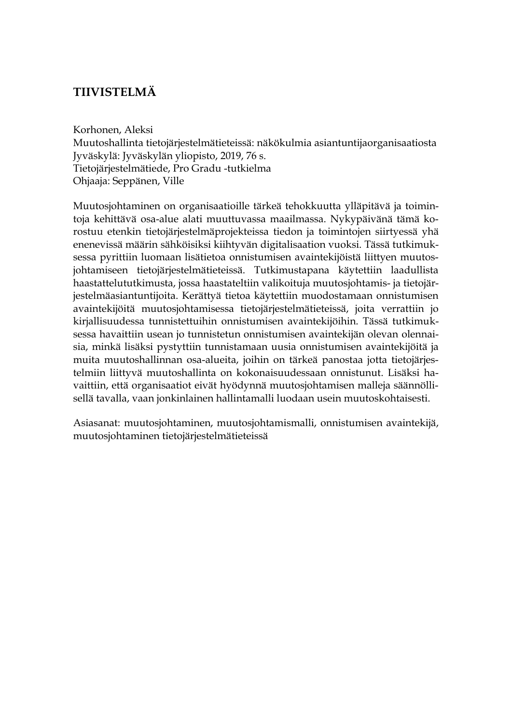## <span id="page-2-0"></span>**TIIVISTELMÄ**

Korhonen, Aleksi

Muutoshallinta tietojärjestelmätieteissä: näkökulmia asiantuntijaorganisaatiosta Jyväskylä: Jyväskylän yliopisto, 2019, 76 s. Tietojärjestelmätiede, Pro Gradu -tutkielma Ohjaaja: Seppänen, Ville

Muutosjohtaminen on organisaatioille tärkeä tehokkuutta ylläpitävä ja toimintoja kehittävä osa-alue alati muuttuvassa maailmassa. Nykypäivänä tämä korostuu etenkin tietojärjestelmäprojekteissa tiedon ja toimintojen siirtyessä yhä enenevissä määrin sähköisiksi kiihtyvän digitalisaation vuoksi. Tässä tutkimuksessa pyrittiin luomaan lisätietoa onnistumisen avaintekijöistä liittyen muutosjohtamiseen tietojärjestelmätieteissä. Tutkimustapana käytettiin laadullista haastattelututkimusta, jossa haastateltiin valikoituja muutosjohtamis- ja tietojärjestelmäasiantuntijoita. Kerättyä tietoa käytettiin muodostamaan onnistumisen avaintekijöitä muutosjohtamisessa tietojärjestelmätieteissä, joita verrattiin jo kirjallisuudessa tunnistettuihin onnistumisen avaintekijöihin. Tässä tutkimuksessa havaittiin usean jo tunnistetun onnistumisen avaintekijän olevan olennaisia, minkä lisäksi pystyttiin tunnistamaan uusia onnistumisen avaintekijöitä ja muita muutoshallinnan osa-alueita, joihin on tärkeä panostaa jotta tietojärjestelmiin liittyvä muutoshallinta on kokonaisuudessaan onnistunut. Lisäksi havaittiin, että organisaatiot eivät hyödynnä muutosjohtamisen malleja säännöllisellä tavalla, vaan jonkinlainen hallintamalli luodaan usein muutoskohtaisesti.

Asiasanat: muutosjohtaminen, muutosjohtamismalli, onnistumisen avaintekijä, muutosjohtaminen tietojärjestelmätieteissä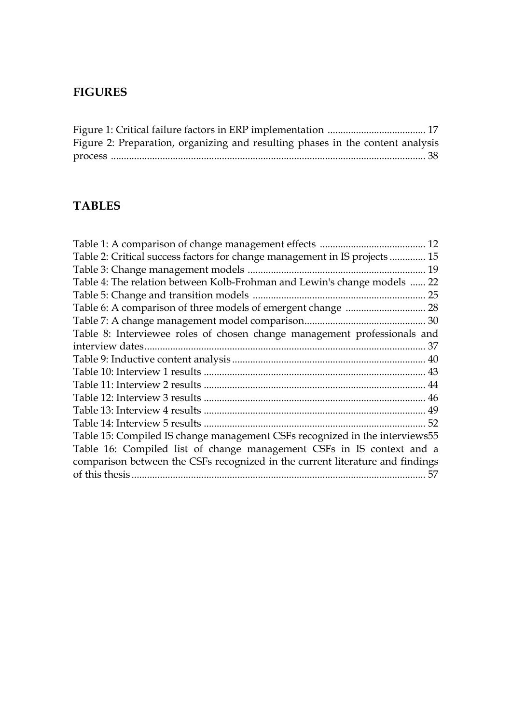# <span id="page-3-0"></span>**FIGURES**

| Figure 2: Preparation, organizing and resulting phases in the content analysis |  |
|--------------------------------------------------------------------------------|--|
|                                                                                |  |

# <span id="page-3-1"></span>**TABLES**

| Table 2: Critical success factors for change management in IS projects 15     |  |
|-------------------------------------------------------------------------------|--|
|                                                                               |  |
| Table 4: The relation between Kolb-Frohman and Lewin's change models  22      |  |
|                                                                               |  |
|                                                                               |  |
|                                                                               |  |
| Table 8: Interviewee roles of chosen change management professionals and      |  |
|                                                                               |  |
|                                                                               |  |
|                                                                               |  |
|                                                                               |  |
|                                                                               |  |
|                                                                               |  |
|                                                                               |  |
| Table 15: Compiled IS change management CSFs recognized in the interviews55   |  |
| Table 16: Compiled list of change management CSFs in IS context and a         |  |
| comparison between the CSFs recognized in the current literature and findings |  |
|                                                                               |  |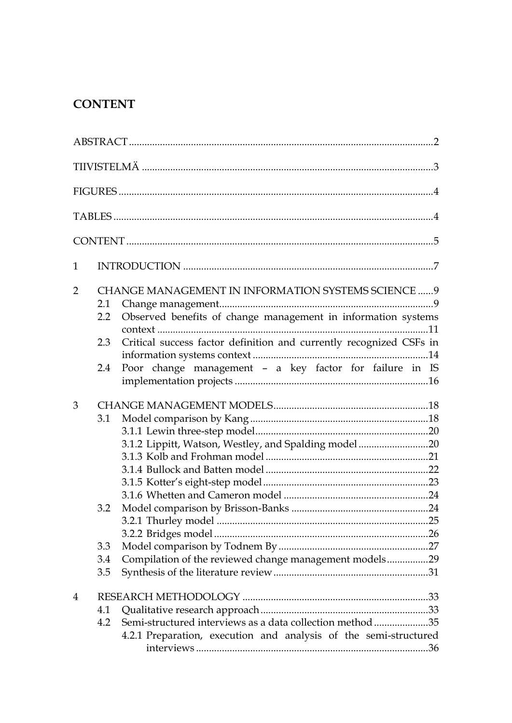# <span id="page-4-0"></span>**CONTENT**

| $\mathbf{1}$   |                         |                                                                                                                                |  |
|----------------|-------------------------|--------------------------------------------------------------------------------------------------------------------------------|--|
| $\overline{2}$ | 2.1<br>2.2              | CHANGE MANAGEMENT IN INFORMATION SYSTEMS SCIENCE  9<br>Observed benefits of change management in information systems           |  |
|                | $2.3\phantom{0}$<br>2.4 | Critical success factor definition and currently recognized CSFs in<br>Poor change management - a key factor for failure in IS |  |
| 3              | 3.1                     | 3.1.2 Lippitt, Watson, Westley, and Spalding model20                                                                           |  |
|                | 3.2<br>3.3<br>3.4       | Compilation of the reviewed change management models29                                                                         |  |
|                | 3.5                     |                                                                                                                                |  |
| 4              | 4.1<br>4.2              | Semi-structured interviews as a data collection method 35<br>4.2.1 Preparation, execution and analysis of the semi-structured  |  |
|                |                         |                                                                                                                                |  |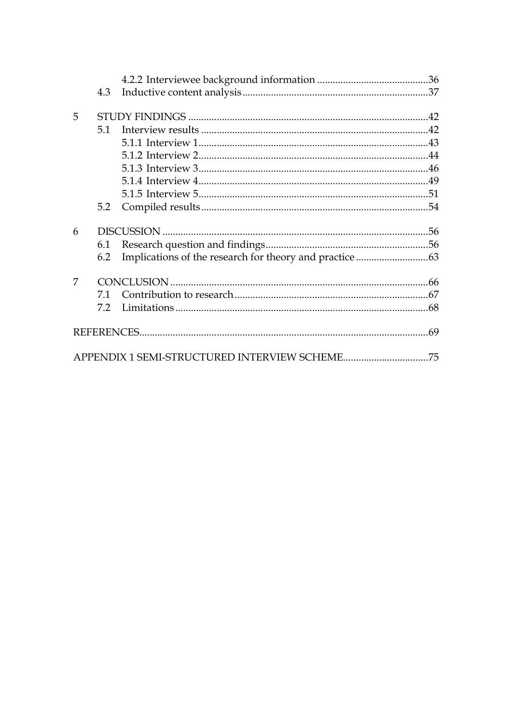|   | 4.3 |                                               |  |
|---|-----|-----------------------------------------------|--|
| 5 |     |                                               |  |
|   | 5.1 |                                               |  |
|   |     |                                               |  |
|   |     |                                               |  |
|   |     |                                               |  |
|   |     |                                               |  |
|   |     |                                               |  |
|   | 5.2 |                                               |  |
|   |     |                                               |  |
| 6 |     |                                               |  |
|   | 6.1 |                                               |  |
|   | 6.2 |                                               |  |
| 7 |     |                                               |  |
|   | 71  |                                               |  |
|   | 72  |                                               |  |
|   |     |                                               |  |
|   |     |                                               |  |
|   |     | APPENDIX 1 SEMI-STRUCTURED INTERVIEW SCHEME75 |  |
|   |     |                                               |  |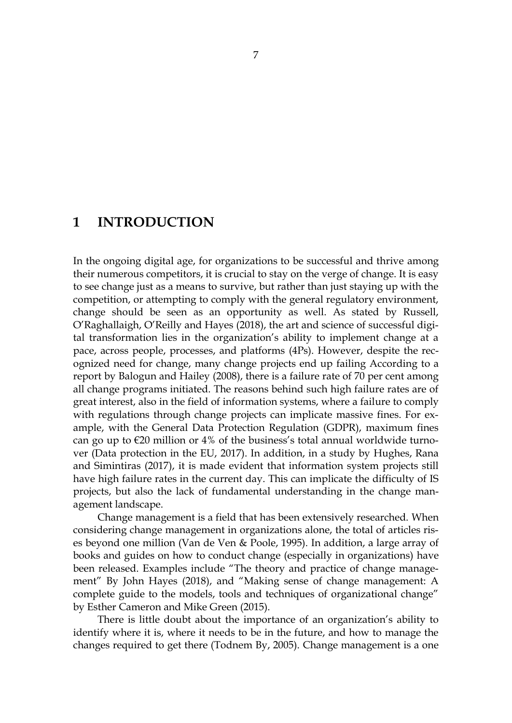### <span id="page-6-0"></span>**1 INTRODUCTION**

In the ongoing digital age, for organizations to be successful and thrive among their numerous competitors, it is crucial to stay on the verge of change. It is easy to see change just as a means to survive, but rather than just staying up with the competition, or attempting to comply with the general regulatory environment, change should be seen as an opportunity as well. As stated by Russell, O'Raghallaigh, O'Reilly and Hayes (2018), the art and science of successful digital transformation lies in the organization's ability to implement change at a pace, across people, processes, and platforms (4Ps). However, despite the recognized need for change, many change projects end up failing According to a report by Balogun and Hailey (2008), there is a failure rate of 70 per cent among all change programs initiated. The reasons behind such high failure rates are of great interest, also in the field of information systems, where a failure to comply with regulations through change projects can implicate massive fines. For example, with the General Data Protection Regulation (GDPR), maximum fines can go up to €20 million or 4% of the business's total annual worldwide turnover (Data protection in the EU, 2017). In addition, in a study by Hughes, Rana and Simintiras (2017), it is made evident that information system projects still have high failure rates in the current day. This can implicate the difficulty of IS projects, but also the lack of fundamental understanding in the change management landscape.

Change management is a field that has been extensively researched. When considering change management in organizations alone, the total of articles rises beyond one million (Van de Ven & Poole, 1995). In addition, a large array of books and guides on how to conduct change (especially in organizations) have been released. Examples include "The theory and practice of change management" By John Hayes (2018), and "Making sense of change management: A complete guide to the models, tools and techniques of organizational change" by Esther Cameron and Mike Green (2015).

There is little doubt about the importance of an organization's ability to identify where it is, where it needs to be in the future, and how to manage the changes required to get there (Todnem By, 2005). Change management is a one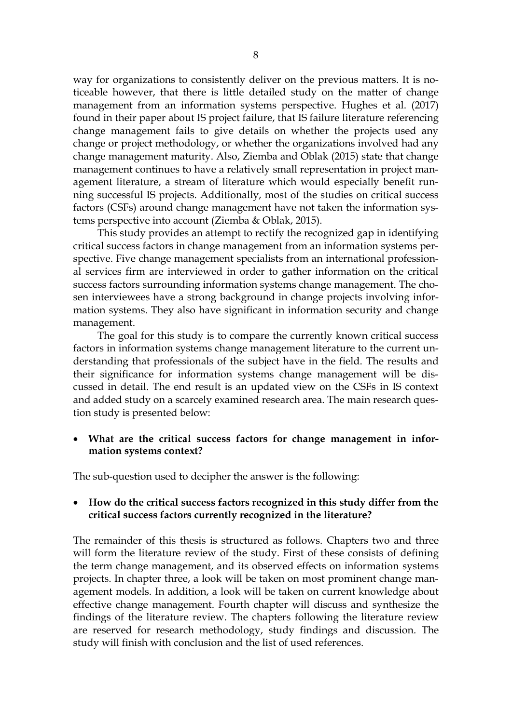way for organizations to consistently deliver on the previous matters. It is noticeable however, that there is little detailed study on the matter of change management from an information systems perspective. Hughes et al. (2017) found in their paper about IS project failure, that IS failure literature referencing change management fails to give details on whether the projects used any change or project methodology, or whether the organizations involved had any change management maturity. Also, Ziemba and Oblak (2015) state that change management continues to have a relatively small representation in project management literature, a stream of literature which would especially benefit running successful IS projects. Additionally, most of the studies on critical success factors (CSFs) around change management have not taken the information systems perspective into account (Ziemba & Oblak, 2015).

This study provides an attempt to rectify the recognized gap in identifying critical success factors in change management from an information systems perspective. Five change management specialists from an international professional services firm are interviewed in order to gather information on the critical success factors surrounding information systems change management. The chosen interviewees have a strong background in change projects involving information systems. They also have significant in information security and change management.

The goal for this study is to compare the currently known critical success factors in information systems change management literature to the current understanding that professionals of the subject have in the field. The results and their significance for information systems change management will be discussed in detail. The end result is an updated view on the CSFs in IS context and added study on a scarcely examined research area. The main research question study is presented below:

#### **What are the critical success factors for change management in information systems context?**

The sub-question used to decipher the answer is the following:

#### **How do the critical success factors recognized in this study differ from the critical success factors currently recognized in the literature?**

The remainder of this thesis is structured as follows. Chapters two and three will form the literature review of the study. First of these consists of defining the term change management, and its observed effects on information systems projects. In chapter three, a look will be taken on most prominent change management models. In addition, a look will be taken on current knowledge about effective change management. Fourth chapter will discuss and synthesize the findings of the literature review. The chapters following the literature review are reserved for research methodology, study findings and discussion. The study will finish with conclusion and the list of used references.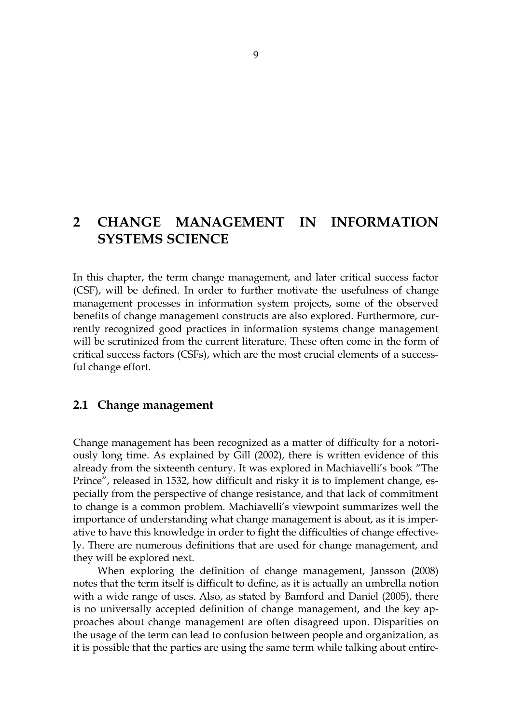# <span id="page-8-0"></span>**2 CHANGE MANAGEMENT IN INFORMATION SYSTEMS SCIENCE**

In this chapter, the term change management, and later critical success factor (CSF), will be defined. In order to further motivate the usefulness of change management processes in information system projects, some of the observed benefits of change management constructs are also explored. Furthermore, currently recognized good practices in information systems change management will be scrutinized from the current literature. These often come in the form of critical success factors (CSFs), which are the most crucial elements of a successful change effort.

#### <span id="page-8-1"></span>**2.1 Change management**

Change management has been recognized as a matter of difficulty for a notoriously long time. As explained by Gill (2002), there is written evidence of this already from the sixteenth century. It was explored in Machiavelli's book "The Prince", released in 1532, how difficult and risky it is to implement change, especially from the perspective of change resistance, and that lack of commitment to change is a common problem. Machiavelli's viewpoint summarizes well the importance of understanding what change management is about, as it is imperative to have this knowledge in order to fight the difficulties of change effectively. There are numerous definitions that are used for change management, and they will be explored next.

When exploring the definition of change management, Jansson (2008) notes that the term itself is difficult to define, as it is actually an umbrella notion with a wide range of uses. Also, as stated by Bamford and Daniel (2005), there is no universally accepted definition of change management, and the key approaches about change management are often disagreed upon. Disparities on the usage of the term can lead to confusion between people and organization, as it is possible that the parties are using the same term while talking about entire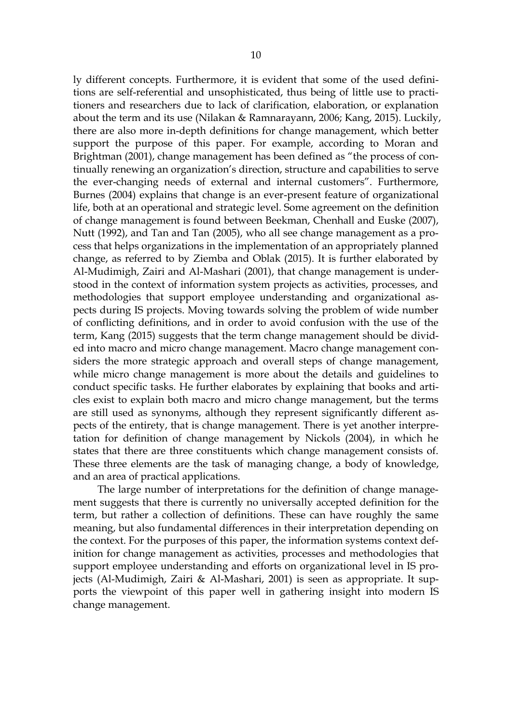ly different concepts. Furthermore, it is evident that some of the used definitions are self-referential and unsophisticated, thus being of little use to practitioners and researchers due to lack of clarification, elaboration, or explanation about the term and its use (Nilakan & Ramnarayann, 2006; Kang, 2015). Luckily, there are also more in-depth definitions for change management, which better support the purpose of this paper. For example, according to Moran and Brightman (2001), change management has been defined as "the process of continually renewing an organization's direction, structure and capabilities to serve the ever-changing needs of external and internal customers". Furthermore, Burnes (2004) explains that change is an ever-present feature of organizational life, both at an operational and strategic level. Some agreement on the definition of change management is found between Beekman, Chenhall and Euske (2007), Nutt (1992), and Tan and Tan (2005), who all see change management as a process that helps organizations in the implementation of an appropriately planned change, as referred to by Ziemba and Oblak (2015). It is further elaborated by Al-Mudimigh, Zairi and Al-Mashari (2001), that change management is understood in the context of information system projects as activities, processes, and methodologies that support employee understanding and organizational aspects during IS projects. Moving towards solving the problem of wide number of conflicting definitions, and in order to avoid confusion with the use of the term, Kang (2015) suggests that the term change management should be divided into macro and micro change management. Macro change management considers the more strategic approach and overall steps of change management, while micro change management is more about the details and guidelines to conduct specific tasks. He further elaborates by explaining that books and articles exist to explain both macro and micro change management, but the terms are still used as synonyms, although they represent significantly different aspects of the entirety, that is change management. There is yet another interpretation for definition of change management by Nickols (2004), in which he states that there are three constituents which change management consists of. These three elements are the task of managing change, a body of knowledge, and an area of practical applications.

The large number of interpretations for the definition of change management suggests that there is currently no universally accepted definition for the term, but rather a collection of definitions. These can have roughly the same meaning, but also fundamental differences in their interpretation depending on the context. For the purposes of this paper, the information systems context definition for change management as activities, processes and methodologies that support employee understanding and efforts on organizational level in IS projects (Al-Mudimigh, Zairi & Al-Mashari, 2001) is seen as appropriate. It supports the viewpoint of this paper well in gathering insight into modern IS change management.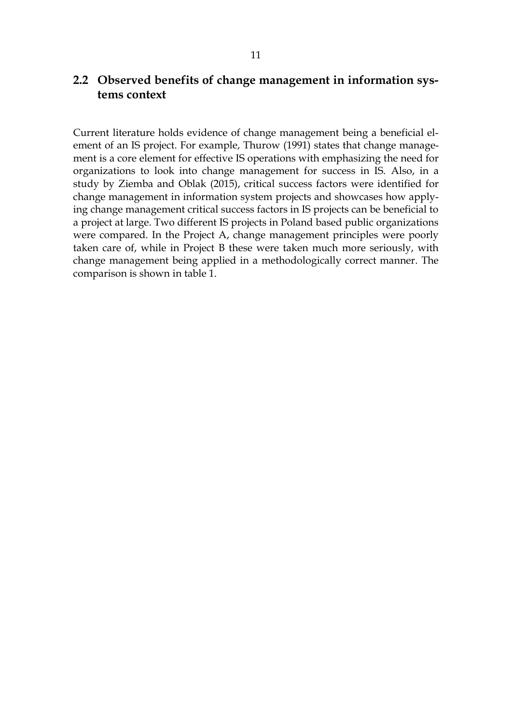### <span id="page-10-0"></span>**2.2 Observed benefits of change management in information systems context**

Current literature holds evidence of change management being a beneficial element of an IS project. For example, Thurow (1991) states that change management is a core element for effective IS operations with emphasizing the need for organizations to look into change management for success in IS. Also, in a study by Ziemba and Oblak (2015), critical success factors were identified for change management in information system projects and showcases how applying change management critical success factors in IS projects can be beneficial to a project at large. Two different IS projects in Poland based public organizations were compared. In the Project A, change management principles were poorly taken care of, while in Project B these were taken much more seriously, with change management being applied in a methodologically correct manner. The comparison is shown in table 1.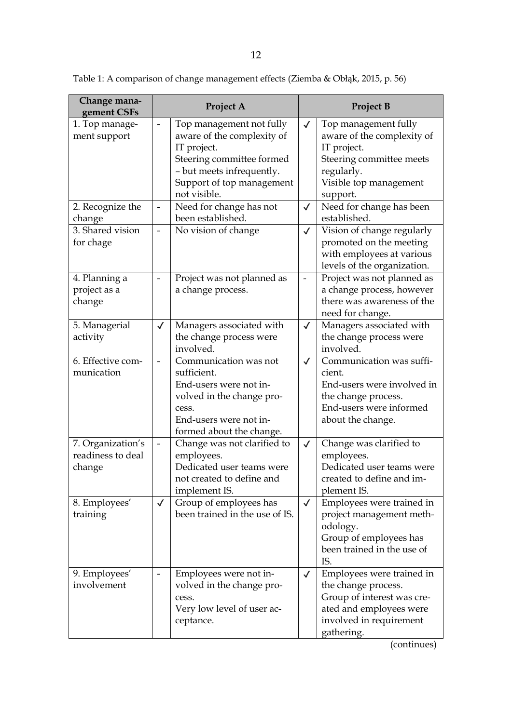| Change mana-<br>gement CSFs                      |                              | Project A                                                                                                                                                                    | <b>Project B</b>         |                                                                                                                                                    |
|--------------------------------------------------|------------------------------|------------------------------------------------------------------------------------------------------------------------------------------------------------------------------|--------------------------|----------------------------------------------------------------------------------------------------------------------------------------------------|
| 1. Top manage-<br>ment support                   |                              | Top management not fully<br>aware of the complexity of<br>IT project.<br>Steering committee formed<br>- but meets infrequently.<br>Support of top management<br>not visible. | $\checkmark$             | Top management fully<br>aware of the complexity of<br>IT project.<br>Steering committee meets<br>regularly.<br>Visible top management<br>support.  |
| 2. Recognize the<br>change                       | $\overline{\phantom{0}}$     | Need for change has not<br>been established.                                                                                                                                 | $\checkmark$             | Need for change has been<br>established.                                                                                                           |
| 3. Shared vision<br>for chage                    |                              | No vision of change                                                                                                                                                          | $\checkmark$             | Vision of change regularly<br>promoted on the meeting<br>with employees at various<br>levels of the organization.                                  |
| 4. Planning a<br>project as a<br>change          |                              | Project was not planned as<br>a change process.                                                                                                                              | $\overline{\phantom{0}}$ | Project was not planned as<br>a change process, however<br>there was awareness of the<br>need for change.                                          |
| 5. Managerial<br>activity                        | $\checkmark$                 | Managers associated with<br>the change process were<br>involved.                                                                                                             | $\checkmark$             | Managers associated with<br>the change process were<br>involved.                                                                                   |
| 6. Effective com-<br>munication                  |                              | Communication was not<br>sufficient.<br>End-users were not in-<br>volved in the change pro-<br>cess.<br>End-users were not in-<br>formed about the change.                   | $\checkmark$             | Communication was suffi-<br>cient.<br>End-users were involved in<br>the change process.<br>End-users were informed<br>about the change.            |
| 7. Organization's<br>readiness to deal<br>change | $\qquad \qquad \blacksquare$ | Change was not clarified to<br>employees.<br>Dedicated user teams were<br>not created to define and<br>implement IS.                                                         | $\checkmark$             | Change was clarified to<br>employees.<br>Dedicated user teams were<br>created to define and im-<br>plement IS.                                     |
| 8. Employees'<br>training                        | $\checkmark$                 | Group of employees has<br>been trained in the use of IS.                                                                                                                     | $\checkmark$             | Employees were trained in<br>project management meth-<br>odology.<br>Group of employees has<br>been trained in the use of<br>IS.                   |
| 9. Employees'<br>involvement                     |                              | Employees were not in-<br>volved in the change pro-<br>cess.<br>Very low level of user ac-<br>ceptance.                                                                      | $\checkmark$             | Employees were trained in<br>the change process.<br>Group of interest was cre-<br>ated and employees were<br>involved in requirement<br>gathering. |

<span id="page-11-0"></span>Table 1: A comparison of change management effects (Ziemba & Obłąk, 2015, p. 56)

(continues)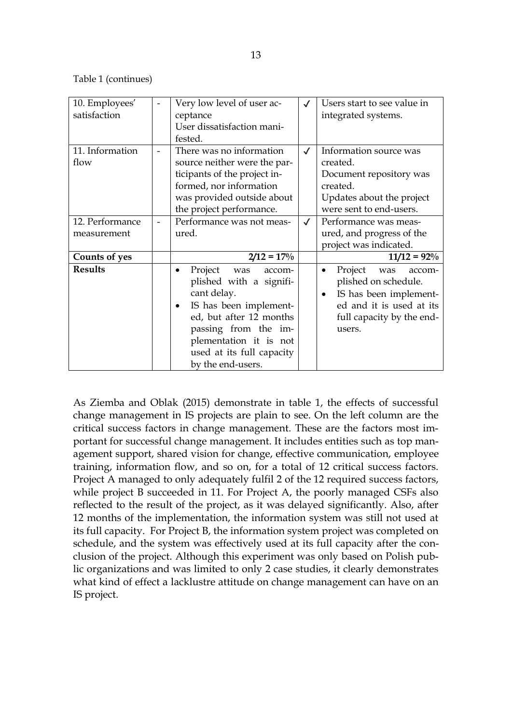Table 1 (continues)

| 10. Employees'  | Very low level of user ac-            | $\checkmark$ | Users start to see value in         |
|-----------------|---------------------------------------|--------------|-------------------------------------|
| satisfaction    | ceptance                              |              | integrated systems.                 |
|                 | User dissatisfaction mani-            |              |                                     |
|                 | fested.                               |              |                                     |
| 11. Information | There was no information              | $\checkmark$ | Information source was              |
| flow            | source neither were the par-          |              | created.                            |
|                 | ticipants of the project in-          |              | Document repository was             |
|                 | formed, nor information               |              | created.                            |
|                 | was provided outside about            |              | Updates about the project           |
|                 | the project performance.              |              | were sent to end-users.             |
| 12. Performance | Performance was not meas-             | $\checkmark$ | Performance was meas-               |
| measurement     | ured.                                 |              | ured, and progress of the           |
|                 |                                       |              | project was indicated.              |
| Counts of yes   | $2/12 = 17\%$                         |              | $11/12 = 92\%$                      |
| <b>Results</b>  | Project<br>was<br>$\bullet$<br>accom- |              | Project<br>was<br>accom-            |
|                 | plished with a signifi-               |              | plished on schedule.                |
|                 | cant delay.                           |              | IS has been implement-<br>$\bullet$ |
|                 | IS has been implement-<br>$\bullet$   |              | ed and it is used at its            |
|                 | ed, but after 12 months               |              | full capacity by the end-           |
|                 | passing from the im-                  |              | users.                              |
|                 | plementation it is not                |              |                                     |
|                 | used at its full capacity             |              |                                     |
|                 | by the end-users.                     |              |                                     |

As Ziemba and Oblak (2015) demonstrate in table 1, the effects of successful change management in IS projects are plain to see. On the left column are the critical success factors in change management. These are the factors most important for successful change management. It includes entities such as top management support, shared vision for change, effective communication, employee training, information flow, and so on, for a total of 12 critical success factors. Project A managed to only adequately fulfil 2 of the 12 required success factors, while project B succeeded in 11. For Project A, the poorly managed CSFs also reflected to the result of the project, as it was delayed significantly. Also, after 12 months of the implementation, the information system was still not used at its full capacity. For Project B, the information system project was completed on schedule, and the system was effectively used at its full capacity after the conclusion of the project. Although this experiment was only based on Polish public organizations and was limited to only 2 case studies, it clearly demonstrates what kind of effect a lacklustre attitude on change management can have on an IS project.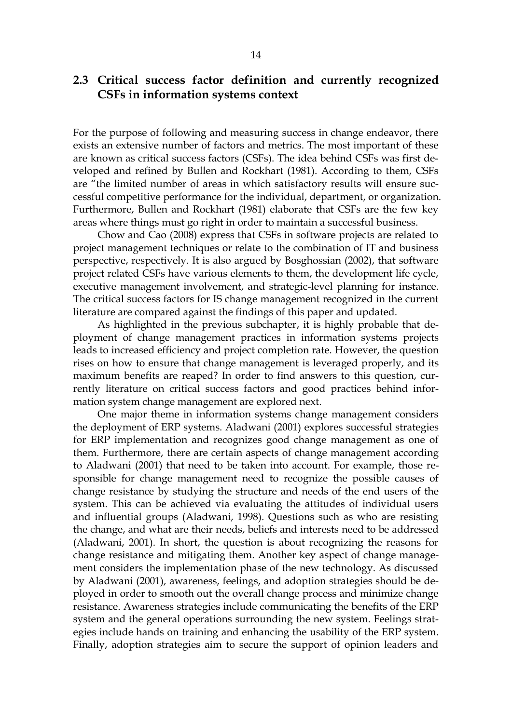### <span id="page-13-0"></span>**2.3 Critical success factor definition and currently recognized CSFs in information systems context**

For the purpose of following and measuring success in change endeavor, there exists an extensive number of factors and metrics. The most important of these are known as critical success factors (CSFs). The idea behind CSFs was first developed and refined by Bullen and Rockhart (1981). According to them, CSFs are "the limited number of areas in which satisfactory results will ensure successful competitive performance for the individual, department, or organization. Furthermore, Bullen and Rockhart (1981) elaborate that CSFs are the few key areas where things must go right in order to maintain a successful business.

Chow and Cao (2008) express that CSFs in software projects are related to project management techniques or relate to the combination of IT and business perspective, respectively. It is also argued by Bosghossian (2002), that software project related CSFs have various elements to them, the development life cycle, executive management involvement, and strategic-level planning for instance. The critical success factors for IS change management recognized in the current literature are compared against the findings of this paper and updated.

As highlighted in the previous subchapter, it is highly probable that deployment of change management practices in information systems projects leads to increased efficiency and project completion rate. However, the question rises on how to ensure that change management is leveraged properly, and its maximum benefits are reaped? In order to find answers to this question, currently literature on critical success factors and good practices behind information system change management are explored next.

One major theme in information systems change management considers the deployment of ERP systems. Aladwani (2001) explores successful strategies for ERP implementation and recognizes good change management as one of them. Furthermore, there are certain aspects of change management according to Aladwani (2001) that need to be taken into account. For example, those responsible for change management need to recognize the possible causes of change resistance by studying the structure and needs of the end users of the system. This can be achieved via evaluating the attitudes of individual users and influential groups (Aladwani, 1998). Questions such as who are resisting the change, and what are their needs, beliefs and interests need to be addressed (Aladwani, 2001). In short, the question is about recognizing the reasons for change resistance and mitigating them. Another key aspect of change management considers the implementation phase of the new technology. As discussed by Aladwani (2001), awareness, feelings, and adoption strategies should be deployed in order to smooth out the overall change process and minimize change resistance. Awareness strategies include communicating the benefits of the ERP system and the general operations surrounding the new system. Feelings strategies include hands on training and enhancing the usability of the ERP system. Finally, adoption strategies aim to secure the support of opinion leaders and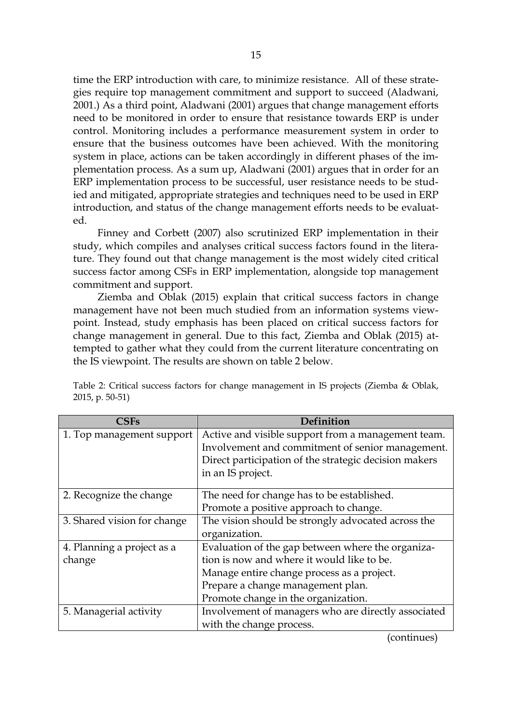time the ERP introduction with care, to minimize resistance. All of these strategies require top management commitment and support to succeed (Aladwani, 2001.) As a third point, Aladwani (2001) argues that change management efforts need to be monitored in order to ensure that resistance towards ERP is under control. Monitoring includes a performance measurement system in order to ensure that the business outcomes have been achieved. With the monitoring system in place, actions can be taken accordingly in different phases of the implementation process. As a sum up, Aladwani (2001) argues that in order for an ERP implementation process to be successful, user resistance needs to be studied and mitigated, appropriate strategies and techniques need to be used in ERP introduction, and status of the change management efforts needs to be evaluated.

Finney and Corbett (2007) also scrutinized ERP implementation in their study, which compiles and analyses critical success factors found in the literature. They found out that change management is the most widely cited critical success factor among CSFs in ERP implementation, alongside top management commitment and support.

Ziemba and Oblak (2015) explain that critical success factors in change management have not been much studied from an information systems viewpoint. Instead, study emphasis has been placed on critical success factors for change management in general. Due to this fact, Ziemba and Oblak (2015) attempted to gather what they could from the current literature concentrating on the IS viewpoint. The results are shown on table 2 below.

| <b>CSFs</b>                 | Definition                                            |
|-----------------------------|-------------------------------------------------------|
| 1. Top management support   | Active and visible support from a management team.    |
|                             | Involvement and commitment of senior management.      |
|                             | Direct participation of the strategic decision makers |
|                             | in an IS project.                                     |
| 2. Recognize the change     | The need for change has to be established.            |
|                             | Promote a positive approach to change.                |
| 3. Shared vision for change | The vision should be strongly advocated across the    |
|                             | organization.                                         |
| 4. Planning a project as a  | Evaluation of the gap between where the organiza-     |
| change                      | tion is now and where it would like to be.            |
|                             | Manage entire change process as a project.            |
|                             | Prepare a change management plan.                     |
|                             | Promote change in the organization.                   |
| 5. Managerial activity      | Involvement of managers who are directly associated   |
|                             | with the change process.                              |

<span id="page-14-0"></span>Table 2: Critical success factors for change management in IS projects (Ziemba & Oblak, 2015, p. 50-51)

(continues)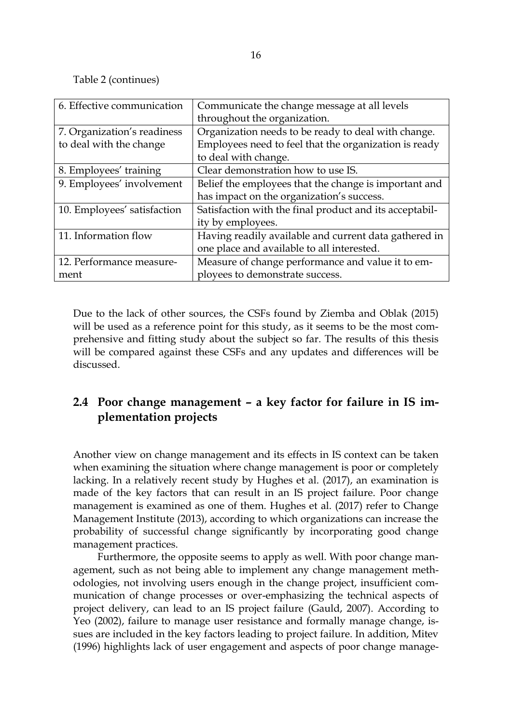Table 2 (continues)

| 6. Effective communication  | Communicate the change message at all levels            |
|-----------------------------|---------------------------------------------------------|
|                             | throughout the organization.                            |
| 7. Organization's readiness | Organization needs to be ready to deal with change.     |
| to deal with the change     | Employees need to feel that the organization is ready   |
|                             | to deal with change.                                    |
| 8. Employees' training      | Clear demonstration how to use IS.                      |
| 9. Employees' involvement   | Belief the employees that the change is important and   |
|                             | has impact on the organization's success.               |
| 10. Employees' satisfaction | Satisfaction with the final product and its acceptabil- |
|                             | ity by employees.                                       |
| 11. Information flow        | Having readily available and current data gathered in   |
|                             | one place and available to all interested.              |
| 12. Performance measure-    | Measure of change performance and value it to em-       |
| ment                        | ployees to demonstrate success.                         |

Due to the lack of other sources, the CSFs found by Ziemba and Oblak (2015) will be used as a reference point for this study, as it seems to be the most comprehensive and fitting study about the subject so far. The results of this thesis will be compared against these CSFs and any updates and differences will be discussed.

## <span id="page-15-0"></span>**2.4 Poor change management – a key factor for failure in IS implementation projects**

Another view on change management and its effects in IS context can be taken when examining the situation where change management is poor or completely lacking. In a relatively recent study by Hughes et al. (2017), an examination is made of the key factors that can result in an IS project failure. Poor change management is examined as one of them. Hughes et al. (2017) refer to Change Management Institute (2013), according to which organizations can increase the probability of successful change significantly by incorporating good change management practices.

Furthermore, the opposite seems to apply as well. With poor change management, such as not being able to implement any change management methodologies, not involving users enough in the change project, insufficient communication of change processes or over-emphasizing the technical aspects of project delivery, can lead to an IS project failure (Gauld, 2007). According to Yeo (2002), failure to manage user resistance and formally manage change, issues are included in the key factors leading to project failure. In addition, Mitev (1996) highlights lack of user engagement and aspects of poor change manage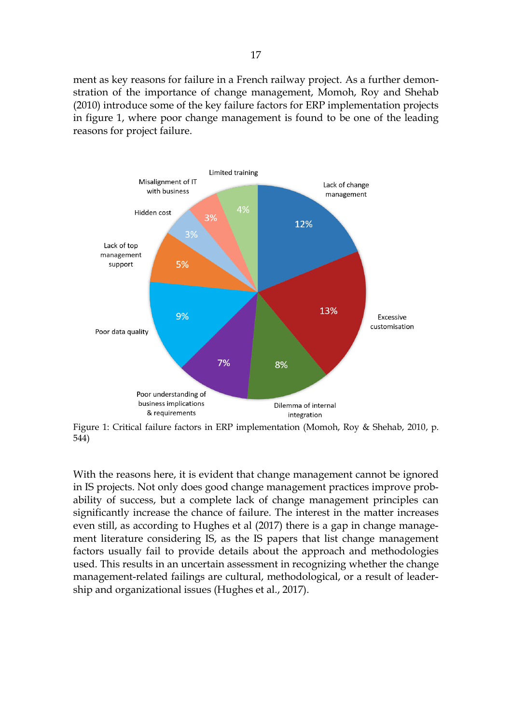ment as key reasons for failure in a French railway project. As a further demonstration of the importance of change management, Momoh, Roy and Shehab (2010) introduce some of the key failure factors for ERP implementation projects in figure 1, where poor change management is found to be one of the leading reasons for project failure.



<span id="page-16-0"></span>Figure 1: Critical failure factors in ERP implementation (Momoh, Roy & Shehab, 2010, p. 544)

With the reasons here, it is evident that change management cannot be ignored in IS projects. Not only does good change management practices improve probability of success, but a complete lack of change management principles can significantly increase the chance of failure. The interest in the matter increases even still, as according to Hughes et al (2017) there is a gap in change management literature considering IS, as the IS papers that list change management factors usually fail to provide details about the approach and methodologies used. This results in an uncertain assessment in recognizing whether the change management-related failings are cultural, methodological, or a result of leadership and organizational issues (Hughes et al., 2017).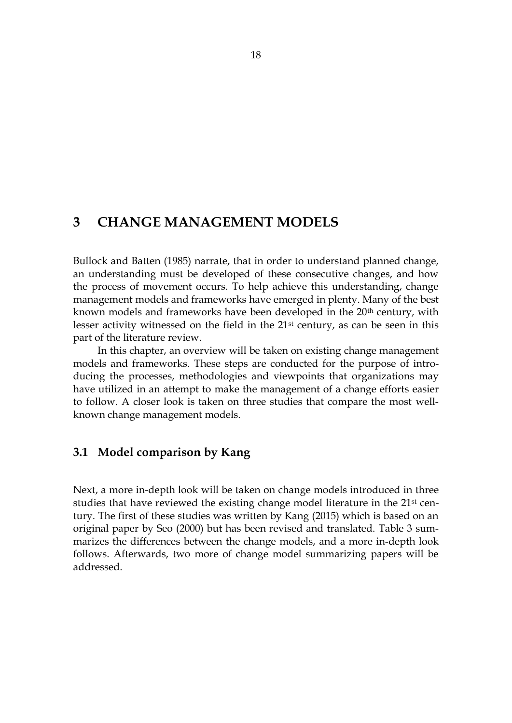## <span id="page-17-0"></span>**3 CHANGE MANAGEMENT MODELS**

Bullock and Batten (1985) narrate, that in order to understand planned change, an understanding must be developed of these consecutive changes, and how the process of movement occurs. To help achieve this understanding, change management models and frameworks have emerged in plenty. Many of the best known models and frameworks have been developed in the 20<sup>th</sup> century, with lesser activity witnessed on the field in the 21<sup>st</sup> century, as can be seen in this part of the literature review.

In this chapter, an overview will be taken on existing change management models and frameworks. These steps are conducted for the purpose of introducing the processes, methodologies and viewpoints that organizations may have utilized in an attempt to make the management of a change efforts easier to follow. A closer look is taken on three studies that compare the most wellknown change management models.

### <span id="page-17-1"></span>**3.1 Model comparison by Kang**

Next, a more in-depth look will be taken on change models introduced in three studies that have reviewed the existing change model literature in the 21<sup>st</sup> century. The first of these studies was written by Kang (2015) which is based on an original paper by Seo (2000) but has been revised and translated. Table 3 summarizes the differences between the change models, and a more in-depth look follows. Afterwards, two more of change model summarizing papers will be addressed.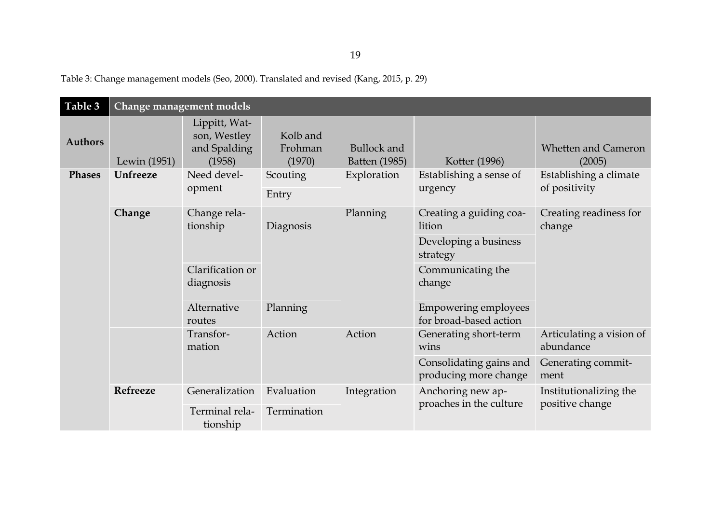<span id="page-18-0"></span>

| Table 3        |                 | Change management models                                |                               |                                     |                                                       |                                         |
|----------------|-----------------|---------------------------------------------------------|-------------------------------|-------------------------------------|-------------------------------------------------------|-----------------------------------------|
| <b>Authors</b> | Lewin (1951)    | Lippitt, Wat-<br>son, Westley<br>and Spalding<br>(1958) | Kolb and<br>Frohman<br>(1970) | <b>Bullock</b> and<br>Batten (1985) | Kotter (1996)                                         | <b>Whetten and Cameron</b><br>(2005)    |
| <b>Phases</b>  | <b>Unfreeze</b> | Need devel-<br>opment                                   | Scouting<br>Entry             | Exploration                         | Establishing a sense of<br>urgency                    | Establishing a climate<br>of positivity |
|                | Change          | Change rela-<br>tionship                                | Diagnosis                     | Planning                            | Creating a guiding coa-<br>lition                     | Creating readiness for<br>change        |
|                |                 |                                                         |                               |                                     | Developing a business<br>strategy                     |                                         |
|                |                 | Clarification or<br>diagnosis                           |                               |                                     | Communicating the<br>change                           |                                         |
|                |                 | Alternative<br>routes                                   | Planning                      |                                     | <b>Empowering employees</b><br>for broad-based action |                                         |
|                |                 | Transfor-<br>mation                                     | Action                        | Action                              | Generating short-term<br>wins                         | Articulating a vision of<br>abundance   |
|                |                 |                                                         |                               |                                     | Consolidating gains and<br>producing more change      | Generating commit-<br>ment              |
|                | Refreeze        | Generalization                                          | Evaluation                    | Integration                         | Anchoring new ap-                                     | Institutionalizing the                  |
|                |                 | Terminal rela-<br>tionship                              | Termination                   |                                     | proaches in the culture                               | positive change                         |

Table 3: Change management models (Seo, 2000). Translated and revised (Kang, 2015, p. 29)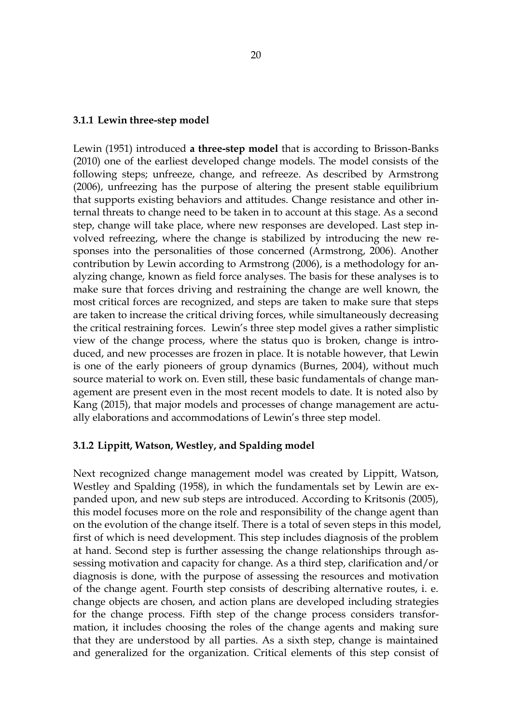<span id="page-19-0"></span>Lewin (1951) introduced **a three-step model** that is according to Brisson-Banks (2010) one of the earliest developed change models. The model consists of the following steps; unfreeze, change, and refreeze. As described by Armstrong (2006), unfreezing has the purpose of altering the present stable equilibrium that supports existing behaviors and attitudes. Change resistance and other internal threats to change need to be taken in to account at this stage. As a second step, change will take place, where new responses are developed. Last step involved refreezing, where the change is stabilized by introducing the new responses into the personalities of those concerned (Armstrong, 2006). Another contribution by Lewin according to Armstrong (2006), is a methodology for analyzing change, known as field force analyses. The basis for these analyses is to make sure that forces driving and restraining the change are well known, the most critical forces are recognized, and steps are taken to make sure that steps are taken to increase the critical driving forces, while simultaneously decreasing the critical restraining forces. Lewin's three step model gives a rather simplistic view of the change process, where the status quo is broken, change is introduced, and new processes are frozen in place. It is notable however, that Lewin is one of the early pioneers of group dynamics (Burnes, 2004), without much source material to work on. Even still, these basic fundamentals of change management are present even in the most recent models to date. It is noted also by Kang (2015), that major models and processes of change management are actually elaborations and accommodations of Lewin's three step model.

#### <span id="page-19-1"></span>**3.1.2 Lippitt, Watson, Westley, and Spalding model**

Next recognized change management model was created by Lippitt, Watson, Westley and Spalding (1958), in which the fundamentals set by Lewin are expanded upon, and new sub steps are introduced. According to Kritsonis (2005), this model focuses more on the role and responsibility of the change agent than on the evolution of the change itself. There is a total of seven steps in this model, first of which is need development. This step includes diagnosis of the problem at hand. Second step is further assessing the change relationships through assessing motivation and capacity for change. As a third step, clarification and/or diagnosis is done, with the purpose of assessing the resources and motivation of the change agent. Fourth step consists of describing alternative routes, i. e. change objects are chosen, and action plans are developed including strategies for the change process. Fifth step of the change process considers transformation, it includes choosing the roles of the change agents and making sure that they are understood by all parties. As a sixth step, change is maintained and generalized for the organization. Critical elements of this step consist of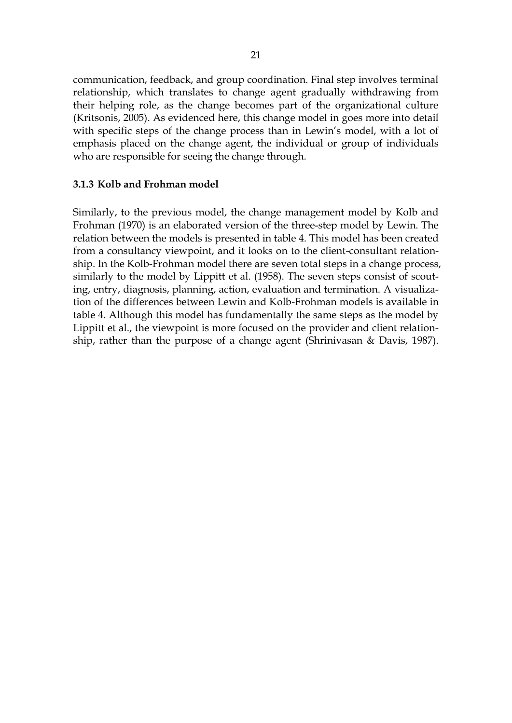communication, feedback, and group coordination. Final step involves terminal relationship, which translates to change agent gradually withdrawing from their helping role, as the change becomes part of the organizational culture (Kritsonis, 2005). As evidenced here, this change model in goes more into detail with specific steps of the change process than in Lewin's model, with a lot of emphasis placed on the change agent, the individual or group of individuals who are responsible for seeing the change through.

#### <span id="page-20-0"></span>**3.1.3 Kolb and Frohman model**

Similarly, to the previous model, the change management model by Kolb and Frohman (1970) is an elaborated version of the three-step model by Lewin. The relation between the models is presented in table 4. This model has been created from a consultancy viewpoint, and it looks on to the client-consultant relationship. In the Kolb-Frohman model there are seven total steps in a change process, similarly to the model by Lippitt et al. (1958). The seven steps consist of scouting, entry, diagnosis, planning, action, evaluation and termination. A visualization of the differences between Lewin and Kolb-Frohman models is available in table 4. Although this model has fundamentally the same steps as the model by Lippitt et al., the viewpoint is more focused on the provider and client relationship, rather than the purpose of a change agent (Shrinivasan & Davis, 1987).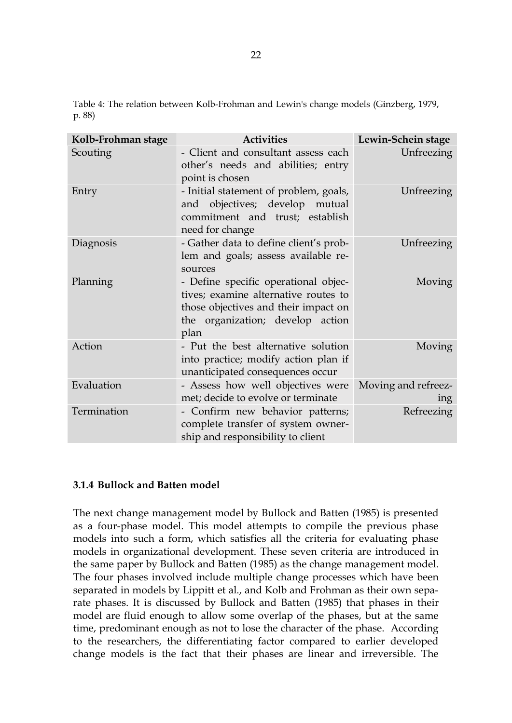<span id="page-21-0"></span>Table 4: The relation between Kolb-Frohman and Lewin's change models (Ginzberg, 1979, p. 88)

| Kolb-Frohman stage | <b>Activities</b>                                                                                                                                                | Lewin-Schein stage         |
|--------------------|------------------------------------------------------------------------------------------------------------------------------------------------------------------|----------------------------|
| Scouting           | - Client and consultant assess each<br>other's needs and abilities; entry<br>point is chosen                                                                     | Unfreezing                 |
| Entry              | - Initial statement of problem, goals,<br>and objectives; develop mutual<br>commitment and trust; establish<br>need for change                                   | Unfreezing                 |
| Diagnosis          | - Gather data to define client's prob-<br>lem and goals; assess available re-<br>sources                                                                         | Unfreezing                 |
| Planning           | - Define specific operational objec-<br>tives; examine alternative routes to<br>those objectives and their impact on<br>the organization; develop action<br>plan | Moving                     |
| Action             | - Put the best alternative solution<br>into practice; modify action plan if<br>unanticipated consequences occur                                                  | Moving                     |
| Evaluation         | - Assess how well objectives were<br>met; decide to evolve or terminate                                                                                          | Moving and refreez-<br>ing |
| Termination        | - Confirm new behavior patterns;<br>complete transfer of system owner-<br>ship and responsibility to client                                                      | Refreezing                 |

### <span id="page-21-1"></span>**3.1.4 Bullock and Batten model**

The next change management model by Bullock and Batten (1985) is presented as a four-phase model. This model attempts to compile the previous phase models into such a form, which satisfies all the criteria for evaluating phase models in organizational development. These seven criteria are introduced in the same paper by Bullock and Batten (1985) as the change management model. The four phases involved include multiple change processes which have been separated in models by Lippitt et al., and Kolb and Frohman as their own separate phases. It is discussed by Bullock and Batten (1985) that phases in their model are fluid enough to allow some overlap of the phases, but at the same time, predominant enough as not to lose the character of the phase. According to the researchers, the differentiating factor compared to earlier developed change models is the fact that their phases are linear and irreversible. The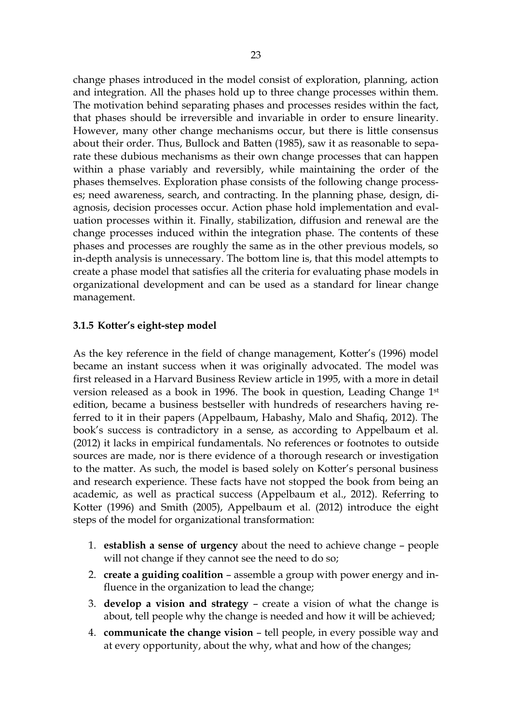change phases introduced in the model consist of exploration, planning, action and integration. All the phases hold up to three change processes within them. The motivation behind separating phases and processes resides within the fact, that phases should be irreversible and invariable in order to ensure linearity. However, many other change mechanisms occur, but there is little consensus about their order. Thus, Bullock and Batten (1985), saw it as reasonable to separate these dubious mechanisms as their own change processes that can happen within a phase variably and reversibly, while maintaining the order of the phases themselves. Exploration phase consists of the following change processes; need awareness, search, and contracting. In the planning phase, design, diagnosis, decision processes occur. Action phase hold implementation and evaluation processes within it. Finally, stabilization, diffusion and renewal are the change processes induced within the integration phase. The contents of these phases and processes are roughly the same as in the other previous models, so in-depth analysis is unnecessary. The bottom line is, that this model attempts to create a phase model that satisfies all the criteria for evaluating phase models in organizational development and can be used as a standard for linear change management.

#### <span id="page-22-0"></span>**3.1.5 Kotter's eight-step model**

As the key reference in the field of change management, Kotter's (1996) model became an instant success when it was originally advocated. The model was first released in a Harvard Business Review article in 1995, with a more in detail version released as a book in 1996. The book in question, Leading Change 1st edition, became a business bestseller with hundreds of researchers having referred to it in their papers (Appelbaum, Habashy, Malo and Shafiq, 2012). The book's success is contradictory in a sense, as according to Appelbaum et al. (2012) it lacks in empirical fundamentals. No references or footnotes to outside sources are made, nor is there evidence of a thorough research or investigation to the matter. As such, the model is based solely on Kotter's personal business and research experience. These facts have not stopped the book from being an academic, as well as practical success (Appelbaum et al., 2012). Referring to Kotter (1996) and Smith (2005), Appelbaum et al. (2012) introduce the eight steps of the model for organizational transformation:

- 1. **establish a sense of urgency** about the need to achieve change people will not change if they cannot see the need to do so;
- 2. **create a guiding coalition** assemble a group with power energy and influence in the organization to lead the change;
- 3. **develop a vision and strategy** create a vision of what the change is about, tell people why the change is needed and how it will be achieved;
- 4. **communicate the change vision** tell people, in every possible way and at every opportunity, about the why, what and how of the changes;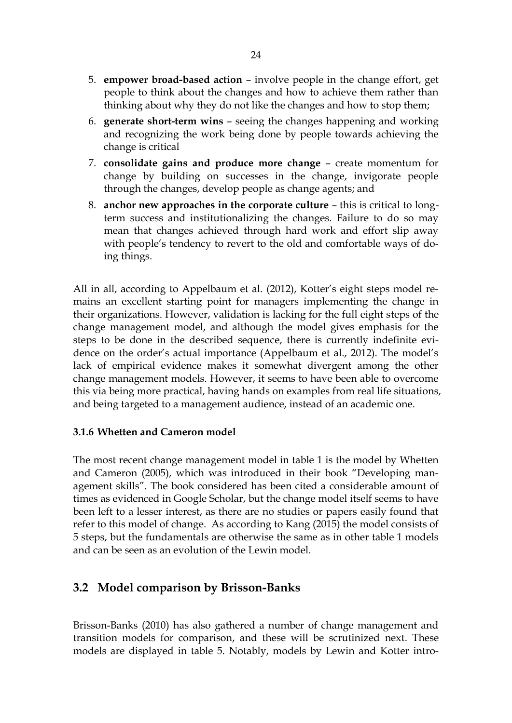- 5. **empower broad-based action** involve people in the change effort, get people to think about the changes and how to achieve them rather than thinking about why they do not like the changes and how to stop them;
- 6. **generate short-term wins** seeing the changes happening and working and recognizing the work being done by people towards achieving the change is critical
- 7. **consolidate gains and produce more change** create momentum for change by building on successes in the change, invigorate people through the changes, develop people as change agents; and
- 8. **anchor new approaches in the corporate culture** this is critical to longterm success and institutionalizing the changes. Failure to do so may mean that changes achieved through hard work and effort slip away with people's tendency to revert to the old and comfortable ways of doing things.

All in all, according to Appelbaum et al. (2012), Kotter's eight steps model remains an excellent starting point for managers implementing the change in their organizations. However, validation is lacking for the full eight steps of the change management model, and although the model gives emphasis for the steps to be done in the described sequence, there is currently indefinite evidence on the order's actual importance (Appelbaum et al., 2012). The model's lack of empirical evidence makes it somewhat divergent among the other change management models. However, it seems to have been able to overcome this via being more practical, having hands on examples from real life situations, and being targeted to a management audience, instead of an academic one.

### <span id="page-23-0"></span>**3.1.6 Whetten and Cameron model**

The most recent change management model in table 1 is the model by Whetten and Cameron (2005), which was introduced in their book "Developing management skills". The book considered has been cited a considerable amount of times as evidenced in Google Scholar, but the change model itself seems to have been left to a lesser interest, as there are no studies or papers easily found that refer to this model of change. As according to Kang (2015) the model consists of 5 steps, but the fundamentals are otherwise the same as in other table 1 models and can be seen as an evolution of the Lewin model.

## <span id="page-23-1"></span>**3.2 Model comparison by Brisson-Banks**

Brisson-Banks (2010) has also gathered a number of change management and transition models for comparison, and these will be scrutinized next. These models are displayed in table 5. Notably, models by Lewin and Kotter intro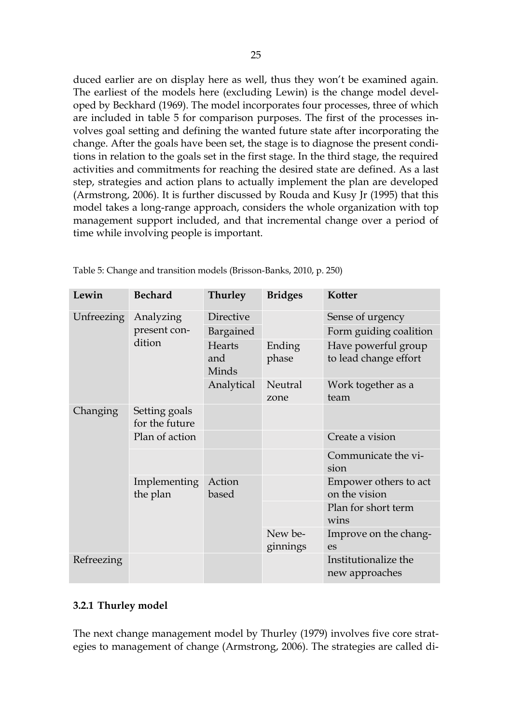duced earlier are on display here as well, thus they won't be examined again. The earliest of the models here (excluding Lewin) is the change model developed by Beckhard (1969). The model incorporates four processes, three of which are included in table 5 for comparison purposes. The first of the processes involves goal setting and defining the wanted future state after incorporating the change. After the goals have been set, the stage is to diagnose the present conditions in relation to the goals set in the first stage. In the third stage, the required activities and commitments for reaching the desired state are defined. As a last step, strategies and action plans to actually implement the plan are developed (Armstrong, 2006). It is further discussed by Rouda and Kusy Jr (1995) that this model takes a long-range approach, considers the whole organization with top management support included, and that incremental change over a period of time while involving people is important.

| Lewin      | <b>Bechard</b>                  | <b>Thurley</b>                | <b>Bridges</b>      | <b>Kotter</b>                                |
|------------|---------------------------------|-------------------------------|---------------------|----------------------------------------------|
| Unfreezing | Analyzing                       | Directive                     |                     | Sense of urgency                             |
|            | present con-                    | Bargained                     |                     | Form guiding coalition                       |
|            | dition                          | <b>Hearts</b><br>and<br>Minds | Ending<br>phase     | Have powerful group<br>to lead change effort |
|            |                                 | Analytical                    | Neutral<br>zone     | Work together as a<br>team                   |
| Changing   | Setting goals<br>for the future |                               |                     |                                              |
|            | Plan of action                  |                               |                     | Create a vision                              |
|            |                                 |                               |                     | Communicate the vi-<br>sion                  |
|            | Implementing<br>the plan        | Action<br>based               |                     | Empower others to act<br>on the vision       |
|            |                                 |                               |                     | Plan for short term<br>wins                  |
|            |                                 |                               | New be-<br>ginnings | Improve on the chang-<br>es                  |
| Refreezing |                                 |                               |                     | Institutionalize the<br>new approaches       |

<span id="page-24-0"></span>Table 5: Change and transition models (Brisson-Banks, 2010, p. 250)

### <span id="page-24-1"></span>**3.2.1 Thurley model**

The next change management model by Thurley (1979) involves five core strategies to management of change (Armstrong, 2006). The strategies are called di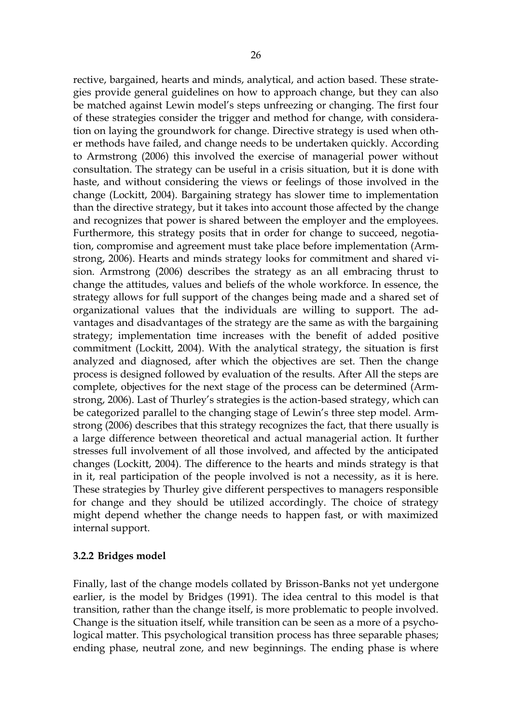rective, bargained, hearts and minds, analytical, and action based. These strategies provide general guidelines on how to approach change, but they can also be matched against Lewin model's steps unfreezing or changing. The first four of these strategies consider the trigger and method for change, with consideration on laying the groundwork for change. Directive strategy is used when other methods have failed, and change needs to be undertaken quickly. According to Armstrong (2006) this involved the exercise of managerial power without consultation. The strategy can be useful in a crisis situation, but it is done with haste, and without considering the views or feelings of those involved in the change (Lockitt, 2004). Bargaining strategy has slower time to implementation than the directive strategy, but it takes into account those affected by the change and recognizes that power is shared between the employer and the employees. Furthermore, this strategy posits that in order for change to succeed, negotiation, compromise and agreement must take place before implementation (Armstrong, 2006). Hearts and minds strategy looks for commitment and shared vision. Armstrong (2006) describes the strategy as an all embracing thrust to change the attitudes, values and beliefs of the whole workforce. In essence, the strategy allows for full support of the changes being made and a shared set of organizational values that the individuals are willing to support. The advantages and disadvantages of the strategy are the same as with the bargaining strategy; implementation time increases with the benefit of added positive commitment (Lockitt, 2004). With the analytical strategy, the situation is first analyzed and diagnosed, after which the objectives are set. Then the change process is designed followed by evaluation of the results. After All the steps are complete, objectives for the next stage of the process can be determined (Armstrong, 2006). Last of Thurley's strategies is the action-based strategy, which can be categorized parallel to the changing stage of Lewin's three step model. Armstrong (2006) describes that this strategy recognizes the fact, that there usually is a large difference between theoretical and actual managerial action. It further stresses full involvement of all those involved, and affected by the anticipated changes (Lockitt, 2004). The difference to the hearts and minds strategy is that in it, real participation of the people involved is not a necessity, as it is here. These strategies by Thurley give different perspectives to managers responsible for change and they should be utilized accordingly. The choice of strategy might depend whether the change needs to happen fast, or with maximized internal support.

#### <span id="page-25-0"></span>**3.2.2 Bridges model**

Finally, last of the change models collated by Brisson-Banks not yet undergone earlier, is the model by Bridges (1991). The idea central to this model is that transition, rather than the change itself, is more problematic to people involved. Change is the situation itself, while transition can be seen as a more of a psychological matter. This psychological transition process has three separable phases; ending phase, neutral zone, and new beginnings. The ending phase is where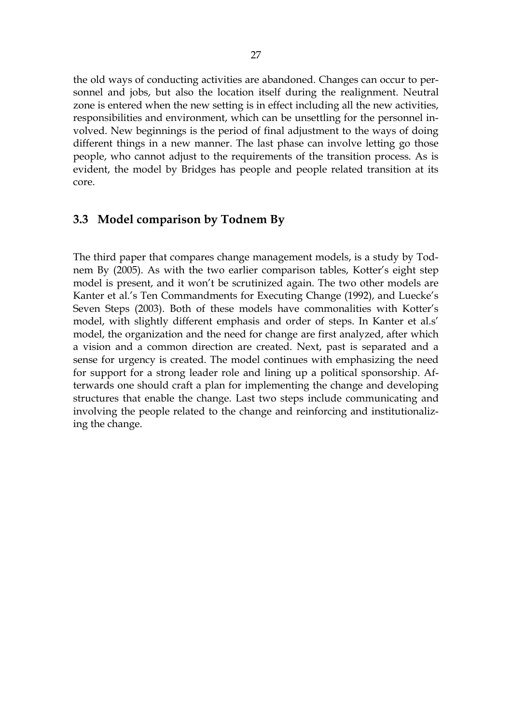the old ways of conducting activities are abandoned. Changes can occur to personnel and jobs, but also the location itself during the realignment. Neutral zone is entered when the new setting is in effect including all the new activities, responsibilities and environment, which can be unsettling for the personnel involved. New beginnings is the period of final adjustment to the ways of doing different things in a new manner. The last phase can involve letting go those people, who cannot adjust to the requirements of the transition process. As is evident, the model by Bridges has people and people related transition at its core.

### <span id="page-26-0"></span>**3.3 Model comparison by Todnem By**

The third paper that compares change management models, is a study by Todnem By (2005). As with the two earlier comparison tables, Kotter's eight step model is present, and it won't be scrutinized again. The two other models are Kanter et al.'s Ten Commandments for Executing Change (1992), and Luecke's Seven Steps (2003). Both of these models have commonalities with Kotter's model, with slightly different emphasis and order of steps. In Kanter et al.s' model, the organization and the need for change are first analyzed, after which a vision and a common direction are created. Next, past is separated and a sense for urgency is created. The model continues with emphasizing the need for support for a strong leader role and lining up a political sponsorship. Afterwards one should craft a plan for implementing the change and developing structures that enable the change. Last two steps include communicating and involving the people related to the change and reinforcing and institutionalizing the change.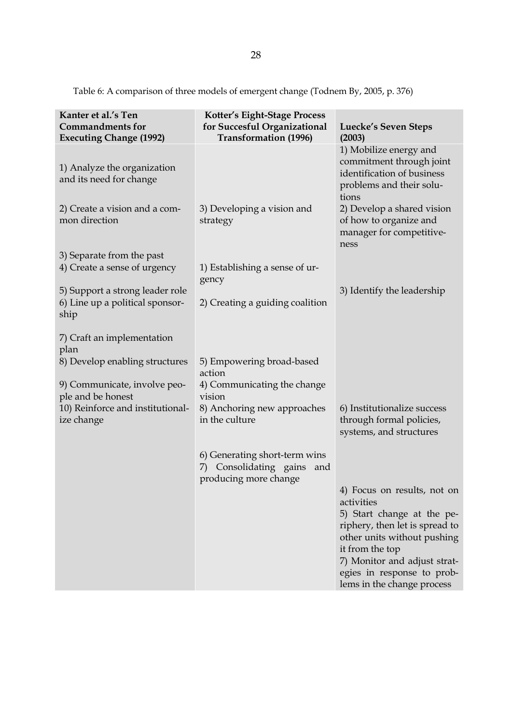<span id="page-27-0"></span>Table 6: A comparison of three models of emergent change (Todnem By, 2005, p. 376)

| Kanter et al.'s Ten<br><b>Commandments for</b><br><b>Executing Change (1992)</b>                         | Kotter's Eight-Stage Process<br>for Succesful Organizational<br><b>Transformation (1996)</b> | Luecke's Seven Steps<br>(2003)                                                                                                                                                |
|----------------------------------------------------------------------------------------------------------|----------------------------------------------------------------------------------------------|-------------------------------------------------------------------------------------------------------------------------------------------------------------------------------|
| 1) Analyze the organization<br>and its need for change<br>2) Create a vision and a com-<br>mon direction | 3) Developing a vision and<br>strategy                                                       | 1) Mobilize energy and<br>commitment through joint<br>identification of business<br>problems and their solu-<br>tions<br>2) Develop a shared vision<br>of how to organize and |
|                                                                                                          |                                                                                              | manager for competitive-<br>ness                                                                                                                                              |
| 3) Separate from the past<br>4) Create a sense of urgency                                                | 1) Establishing a sense of ur-<br>gency                                                      |                                                                                                                                                                               |
| 5) Support a strong leader role<br>6) Line up a political sponsor-<br>ship                               | 2) Creating a guiding coalition                                                              | 3) Identify the leadership                                                                                                                                                    |
| 7) Craft an implementation<br>plan                                                                       |                                                                                              |                                                                                                                                                                               |
| 8) Develop enabling structures                                                                           | 5) Empowering broad-based<br>action                                                          |                                                                                                                                                                               |
| 9) Communicate, involve peo-<br>ple and be honest                                                        | 4) Communicating the change<br>vision                                                        |                                                                                                                                                                               |
| 10) Reinforce and institutional-<br>ize change                                                           | 8) Anchoring new approaches<br>in the culture                                                | 6) Institutionalize success<br>through formal policies,<br>systems, and structures                                                                                            |
|                                                                                                          | 6) Generating short-term wins<br>Consolidating gains<br>7)<br>and<br>producing more change   |                                                                                                                                                                               |
|                                                                                                          |                                                                                              | 4) Focus on results, not on<br>activities<br>5) Start change at the pe-<br>riphery, then let is spread to<br>other units without pushing<br>it from the top                   |
|                                                                                                          |                                                                                              | 7) Monitor and adjust strat-<br>egies in response to prob-<br>lems in the change process                                                                                      |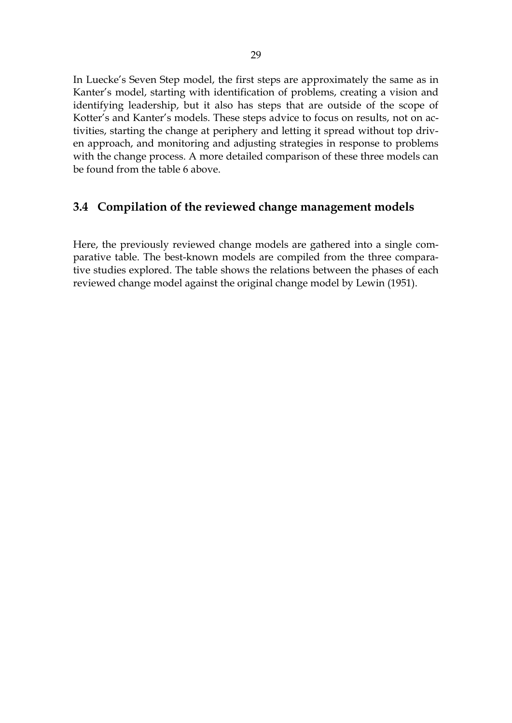In Luecke's Seven Step model, the first steps are approximately the same as in Kanter's model, starting with identification of problems, creating a vision and identifying leadership, but it also has steps that are outside of the scope of Kotter's and Kanter's models. These steps advice to focus on results, not on activities, starting the change at periphery and letting it spread without top driven approach, and monitoring and adjusting strategies in response to problems with the change process. A more detailed comparison of these three models can be found from the table 6 above.

### <span id="page-28-0"></span>**3.4 Compilation of the reviewed change management models**

Here, the previously reviewed change models are gathered into a single comparative table. The best-known models are compiled from the three comparative studies explored. The table shows the relations between the phases of each reviewed change model against the original change model by Lewin (1951).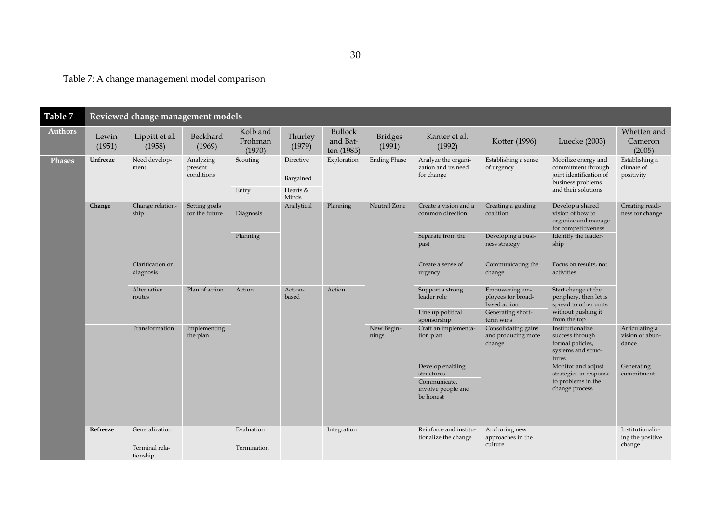Table 7: A change management model comparison

<span id="page-29-0"></span>

| Table 7        | Reviewed change management models |                               |                                    |                               |                                             |                                   |                          |                                                                                   |                                                                                        |                                                                                                                    |                                                |
|----------------|-----------------------------------|-------------------------------|------------------------------------|-------------------------------|---------------------------------------------|-----------------------------------|--------------------------|-----------------------------------------------------------------------------------|----------------------------------------------------------------------------------------|--------------------------------------------------------------------------------------------------------------------|------------------------------------------------|
| <b>Authors</b> | Lewin<br>(1951)                   | Lippitt et al.<br>(1958)      | Beckhard<br>(1969)                 | Kolb and<br>Frohman<br>(1970) | Thurley<br>(1979)                           | Bullock<br>and Bat-<br>ten (1985) | <b>Bridges</b><br>(1991) | Kanter et al.<br>(1992)                                                           | Kotter (1996)                                                                          | Luecke (2003)                                                                                                      | Whetten and<br>Cameron<br>(2005)               |
| <b>Phases</b>  | Unfreeze                          | Need develop-<br>ment         | Analyzing<br>present<br>conditions | Scouting<br>Entry             | Directive<br>Bargained<br>Hearts &<br>Minds | Exploration                       | <b>Ending Phase</b>      | Analyze the organi-<br>zation and its need<br>for change                          | Establishing a sense<br>of urgency                                                     | Mobilize energy and<br>commitment through<br>joint identification of<br>business problems<br>and their solutions   | Establishing a<br>climate of<br>positivity     |
|                | Change                            | Change relation-<br>ship      | Setting goals<br>for the future    | Diagnosis<br>Planning         | Analytical                                  | Planning                          | Neutral Zone             | Create a vision and a<br>common direction<br>Separate from the<br>past            | Creating a guiding<br>coalition<br>Developing a busi-<br>ness strategy                 | Develop a shared<br>vision of how to<br>organize and manage<br>for competitiveness<br>Identify the leader-<br>ship | Creating readi-<br>ness for change             |
|                |                                   | Clarification or<br>diagnosis |                                    |                               |                                             |                                   |                          | Create a sense of<br>urgency                                                      | Communicating the<br>change                                                            | Focus on results, not<br>activities                                                                                |                                                |
|                |                                   | Alternative<br>routes         | Plan of action                     | Action                        | Action-<br>based                            | Action                            |                          | Support a strong<br>leader role                                                   | Empowering em-<br>ployees for broad-<br>based action<br>Generating short-<br>term wins | Start change at the<br>periphery, then let is<br>spread to other units<br>without pushing it<br>from the top       |                                                |
|                |                                   |                               |                                    |                               |                                             |                                   |                          | Line up political<br>sponsorship                                                  |                                                                                        |                                                                                                                    |                                                |
|                |                                   | Transformation                | Implementing<br>the plan           |                               |                                             |                                   | New Begin-<br>nings      | Craft an implementa-<br>tion plan                                                 | Consolidating gains<br>and producing more<br>change                                    | Institutionalize<br>success through<br>formal policies,<br>systems and struc-<br>tures                             | Articulating a<br>vision of abun-<br>dance     |
|                |                                   |                               |                                    |                               |                                             |                                   |                          | Develop enabling<br>structures<br>Communicate,<br>involve people and<br>be honest |                                                                                        | Monitor and adjust<br>strategies in response<br>to problems in the<br>change process                               | Generating<br>commitment                       |
|                | Refreeze                          | Generalization                |                                    | Evaluation                    |                                             | Integration                       |                          | Reinforce and institu-<br>tionalize the change                                    | Anchoring new<br>approaches in the<br>culture                                          |                                                                                                                    | Institutionaliz-<br>ing the positive<br>change |
|                |                                   | Terminal rela-<br>tionship    |                                    | Termination                   |                                             |                                   |                          |                                                                                   |                                                                                        |                                                                                                                    |                                                |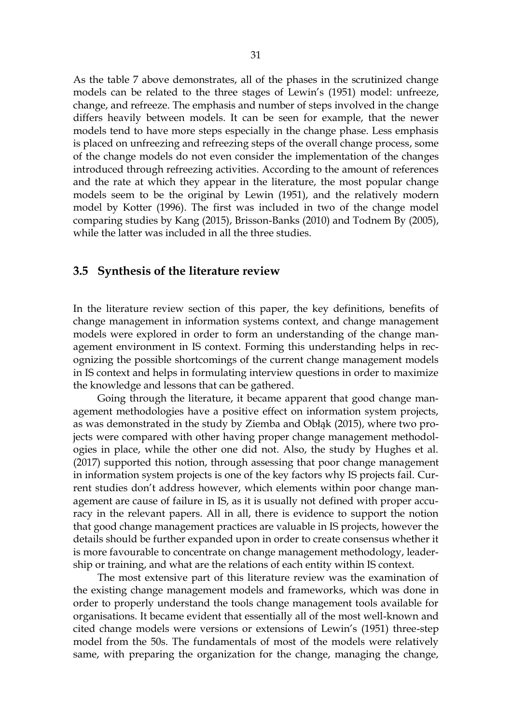As the table 7 above demonstrates, all of the phases in the scrutinized change models can be related to the three stages of Lewin's (1951) model: unfreeze, change, and refreeze. The emphasis and number of steps involved in the change differs heavily between models. It can be seen for example, that the newer models tend to have more steps especially in the change phase. Less emphasis is placed on unfreezing and refreezing steps of the overall change process, some of the change models do not even consider the implementation of the changes introduced through refreezing activities. According to the amount of references and the rate at which they appear in the literature, the most popular change models seem to be the original by Lewin (1951), and the relatively modern model by Kotter (1996). The first was included in two of the change model comparing studies by Kang (2015), Brisson-Banks (2010) and Todnem By (2005), while the latter was included in all the three studies.

#### <span id="page-30-0"></span>**3.5 Synthesis of the literature review**

In the literature review section of this paper, the key definitions, benefits of change management in information systems context, and change management models were explored in order to form an understanding of the change management environment in IS context. Forming this understanding helps in recognizing the possible shortcomings of the current change management models in IS context and helps in formulating interview questions in order to maximize the knowledge and lessons that can be gathered.

Going through the literature, it became apparent that good change management methodologies have a positive effect on information system projects, as was demonstrated in the study by Ziemba and Obłąk (2015), where two projects were compared with other having proper change management methodologies in place, while the other one did not. Also, the study by Hughes et al. (2017) supported this notion, through assessing that poor change management in information system projects is one of the key factors why IS projects fail. Current studies don't address however, which elements within poor change management are cause of failure in IS, as it is usually not defined with proper accuracy in the relevant papers. All in all, there is evidence to support the notion that good change management practices are valuable in IS projects, however the details should be further expanded upon in order to create consensus whether it is more favourable to concentrate on change management methodology, leadership or training, and what are the relations of each entity within IS context.

The most extensive part of this literature review was the examination of the existing change management models and frameworks, which was done in order to properly understand the tools change management tools available for organisations. It became evident that essentially all of the most well-known and cited change models were versions or extensions of Lewin's (1951) three-step model from the 50s. The fundamentals of most of the models were relatively same, with preparing the organization for the change, managing the change,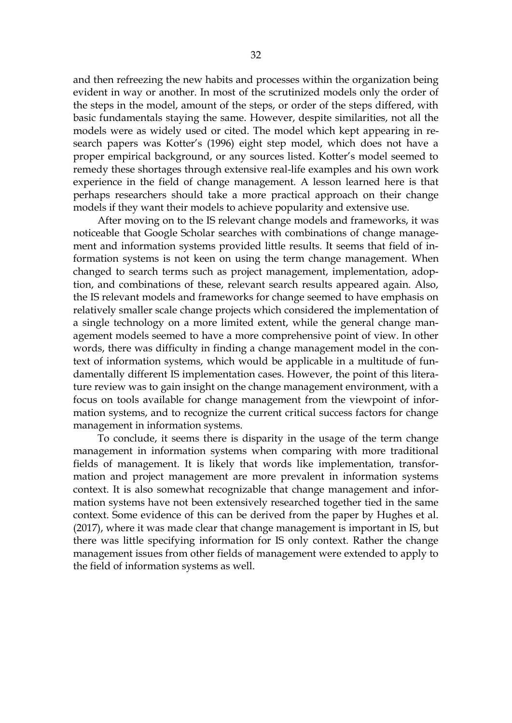and then refreezing the new habits and processes within the organization being evident in way or another. In most of the scrutinized models only the order of the steps in the model, amount of the steps, or order of the steps differed, with basic fundamentals staying the same. However, despite similarities, not all the models were as widely used or cited. The model which kept appearing in research papers was Kotter's (1996) eight step model, which does not have a proper empirical background, or any sources listed. Kotter's model seemed to remedy these shortages through extensive real-life examples and his own work experience in the field of change management. A lesson learned here is that perhaps researchers should take a more practical approach on their change models if they want their models to achieve popularity and extensive use.

After moving on to the IS relevant change models and frameworks, it was noticeable that Google Scholar searches with combinations of change management and information systems provided little results. It seems that field of information systems is not keen on using the term change management. When changed to search terms such as project management, implementation, adoption, and combinations of these, relevant search results appeared again. Also, the IS relevant models and frameworks for change seemed to have emphasis on relatively smaller scale change projects which considered the implementation of a single technology on a more limited extent, while the general change management models seemed to have a more comprehensive point of view. In other words, there was difficulty in finding a change management model in the context of information systems, which would be applicable in a multitude of fundamentally different IS implementation cases. However, the point of this literature review was to gain insight on the change management environment, with a focus on tools available for change management from the viewpoint of information systems, and to recognize the current critical success factors for change management in information systems.

To conclude, it seems there is disparity in the usage of the term change management in information systems when comparing with more traditional fields of management. It is likely that words like implementation, transformation and project management are more prevalent in information systems context. It is also somewhat recognizable that change management and information systems have not been extensively researched together tied in the same context. Some evidence of this can be derived from the paper by Hughes et al. (2017), where it was made clear that change management is important in IS, but there was little specifying information for IS only context. Rather the change management issues from other fields of management were extended to apply to the field of information systems as well.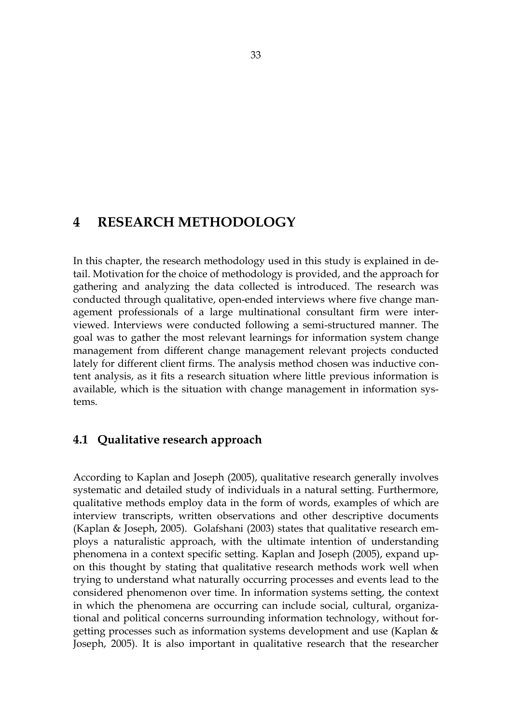## <span id="page-32-0"></span>**4 RESEARCH METHODOLOGY**

In this chapter, the research methodology used in this study is explained in detail. Motivation for the choice of methodology is provided, and the approach for gathering and analyzing the data collected is introduced. The research was conducted through qualitative, open-ended interviews where five change management professionals of a large multinational consultant firm were interviewed. Interviews were conducted following a semi-structured manner. The goal was to gather the most relevant learnings for information system change management from different change management relevant projects conducted lately for different client firms. The analysis method chosen was inductive content analysis, as it fits a research situation where little previous information is available, which is the situation with change management in information systems.

### <span id="page-32-1"></span>**4.1 Qualitative research approach**

According to Kaplan and Joseph (2005), qualitative research generally involves systematic and detailed study of individuals in a natural setting. Furthermore, qualitative methods employ data in the form of words, examples of which are interview transcripts, written observations and other descriptive documents (Kaplan & Joseph, 2005). Golafshani (2003) states that qualitative research employs a naturalistic approach, with the ultimate intention of understanding phenomena in a context specific setting. Kaplan and Joseph (2005), expand upon this thought by stating that qualitative research methods work well when trying to understand what naturally occurring processes and events lead to the considered phenomenon over time. In information systems setting, the context in which the phenomena are occurring can include social, cultural, organizational and political concerns surrounding information technology, without forgetting processes such as information systems development and use (Kaplan & Joseph, 2005). It is also important in qualitative research that the researcher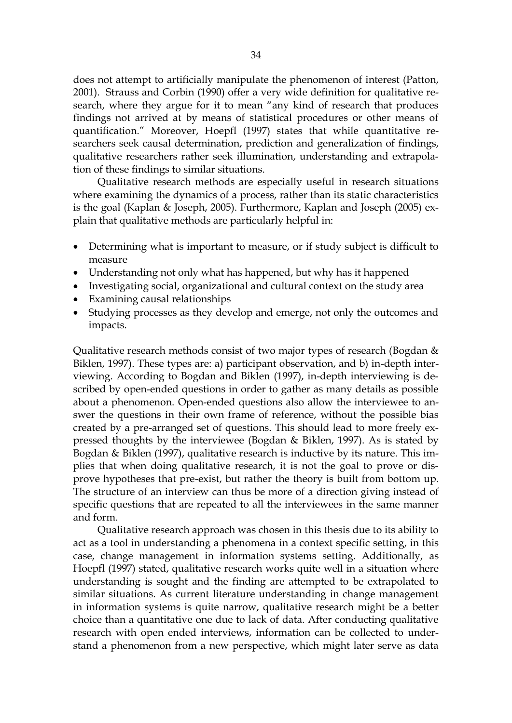does not attempt to artificially manipulate the phenomenon of interest (Patton, 2001). Strauss and Corbin (1990) offer a very wide definition for qualitative research, where they argue for it to mean "any kind of research that produces findings not arrived at by means of statistical procedures or other means of quantification." Moreover, Hoepfl (1997) states that while quantitative researchers seek causal determination, prediction and generalization of findings, qualitative researchers rather seek illumination, understanding and extrapolation of these findings to similar situations.

Qualitative research methods are especially useful in research situations where examining the dynamics of a process, rather than its static characteristics is the goal (Kaplan & Joseph, 2005). Furthermore, Kaplan and Joseph (2005) explain that qualitative methods are particularly helpful in:

- Determining what is important to measure, or if study subject is difficult to measure
- Understanding not only what has happened, but why has it happened
- Investigating social, organizational and cultural context on the study area
- Examining causal relationships
- Studying processes as they develop and emerge, not only the outcomes and impacts.

Qualitative research methods consist of two major types of research (Bogdan & Biklen, 1997). These types are: a) participant observation, and b) in-depth interviewing. According to Bogdan and Biklen (1997), in-depth interviewing is described by open-ended questions in order to gather as many details as possible about a phenomenon. Open-ended questions also allow the interviewee to answer the questions in their own frame of reference, without the possible bias created by a pre-arranged set of questions. This should lead to more freely expressed thoughts by the interviewee (Bogdan & Biklen, 1997). As is stated by Bogdan & Biklen (1997), qualitative research is inductive by its nature. This implies that when doing qualitative research, it is not the goal to prove or disprove hypotheses that pre-exist, but rather the theory is built from bottom up. The structure of an interview can thus be more of a direction giving instead of specific questions that are repeated to all the interviewees in the same manner and form.

Qualitative research approach was chosen in this thesis due to its ability to act as a tool in understanding a phenomena in a context specific setting, in this case, change management in information systems setting. Additionally, as Hoepfl (1997) stated, qualitative research works quite well in a situation where understanding is sought and the finding are attempted to be extrapolated to similar situations. As current literature understanding in change management in information systems is quite narrow, qualitative research might be a better choice than a quantitative one due to lack of data. After conducting qualitative research with open ended interviews, information can be collected to understand a phenomenon from a new perspective, which might later serve as data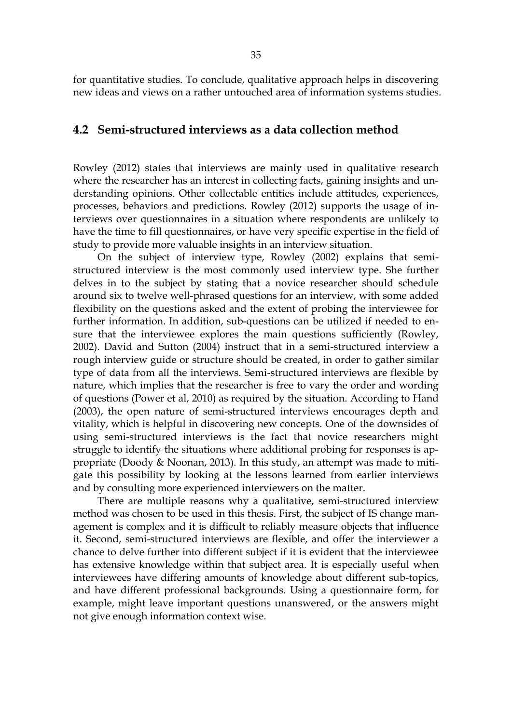<span id="page-34-0"></span>for quantitative studies. To conclude, qualitative approach helps in discovering new ideas and views on a rather untouched area of information systems studies.

### **4.2 Semi-structured interviews as a data collection method**

Rowley (2012) states that interviews are mainly used in qualitative research where the researcher has an interest in collecting facts, gaining insights and understanding opinions. Other collectable entities include attitudes, experiences, processes, behaviors and predictions. Rowley (2012) supports the usage of interviews over questionnaires in a situation where respondents are unlikely to have the time to fill questionnaires, or have very specific expertise in the field of study to provide more valuable insights in an interview situation.

On the subject of interview type, Rowley (2002) explains that semistructured interview is the most commonly used interview type. She further delves in to the subject by stating that a novice researcher should schedule around six to twelve well-phrased questions for an interview, with some added flexibility on the questions asked and the extent of probing the interviewee for further information. In addition, sub-questions can be utilized if needed to ensure that the interviewee explores the main questions sufficiently (Rowley, 2002). David and Sutton (2004) instruct that in a semi-structured interview a rough interview guide or structure should be created, in order to gather similar type of data from all the interviews. Semi-structured interviews are flexible by nature, which implies that the researcher is free to vary the order and wording of questions (Power et al, 2010) as required by the situation. According to Hand (2003), the open nature of semi-structured interviews encourages depth and vitality, which is helpful in discovering new concepts. One of the downsides of using semi-structured interviews is the fact that novice researchers might struggle to identify the situations where additional probing for responses is appropriate (Doody & Noonan, 2013). In this study, an attempt was made to mitigate this possibility by looking at the lessons learned from earlier interviews and by consulting more experienced interviewers on the matter.

There are multiple reasons why a qualitative, semi-structured interview method was chosen to be used in this thesis. First, the subject of IS change management is complex and it is difficult to reliably measure objects that influence it. Second, semi-structured interviews are flexible, and offer the interviewer a chance to delve further into different subject if it is evident that the interviewee has extensive knowledge within that subject area. It is especially useful when interviewees have differing amounts of knowledge about different sub-topics, and have different professional backgrounds. Using a questionnaire form, for example, might leave important questions unanswered, or the answers might not give enough information context wise.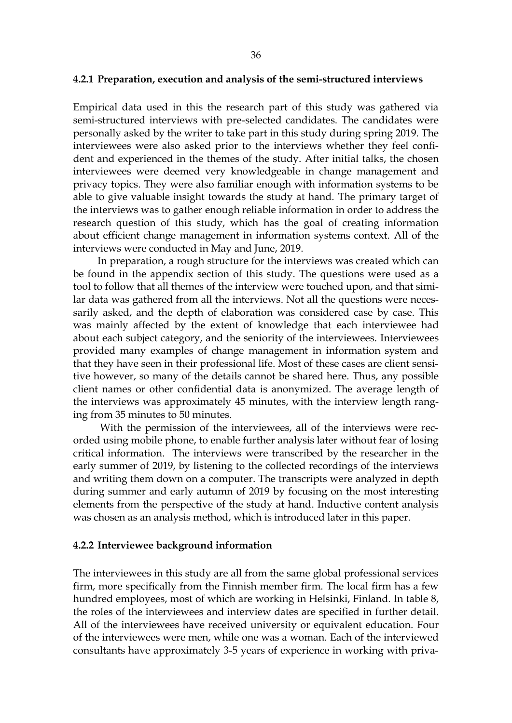#### <span id="page-35-0"></span>**4.2.1 Preparation, execution and analysis of the semi-structured interviews**

Empirical data used in this the research part of this study was gathered via semi-structured interviews with pre-selected candidates. The candidates were personally asked by the writer to take part in this study during spring 2019. The interviewees were also asked prior to the interviews whether they feel confident and experienced in the themes of the study. After initial talks, the chosen interviewees were deemed very knowledgeable in change management and privacy topics. They were also familiar enough with information systems to be able to give valuable insight towards the study at hand. The primary target of the interviews was to gather enough reliable information in order to address the research question of this study, which has the goal of creating information about efficient change management in information systems context. All of the interviews were conducted in May and June, 2019.

In preparation, a rough structure for the interviews was created which can be found in the appendix section of this study. The questions were used as a tool to follow that all themes of the interview were touched upon, and that similar data was gathered from all the interviews. Not all the questions were necessarily asked, and the depth of elaboration was considered case by case. This was mainly affected by the extent of knowledge that each interviewee had about each subject category, and the seniority of the interviewees. Interviewees provided many examples of change management in information system and that they have seen in their professional life. Most of these cases are client sensitive however, so many of the details cannot be shared here. Thus, any possible client names or other confidential data is anonymized. The average length of the interviews was approximately 45 minutes, with the interview length ranging from 35 minutes to 50 minutes.

With the permission of the interviewees, all of the interviews were recorded using mobile phone, to enable further analysis later without fear of losing critical information. The interviews were transcribed by the researcher in the early summer of 2019, by listening to the collected recordings of the interviews and writing them down on a computer. The transcripts were analyzed in depth during summer and early autumn of 2019 by focusing on the most interesting elements from the perspective of the study at hand. Inductive content analysis was chosen as an analysis method, which is introduced later in this paper.

#### <span id="page-35-1"></span>**4.2.2 Interviewee background information**

The interviewees in this study are all from the same global professional services firm, more specifically from the Finnish member firm. The local firm has a few hundred employees, most of which are working in Helsinki, Finland. In table 8, the roles of the interviewees and interview dates are specified in further detail. All of the interviewees have received university or equivalent education. Four of the interviewees were men, while one was a woman. Each of the interviewed consultants have approximately 3-5 years of experience in working with priva-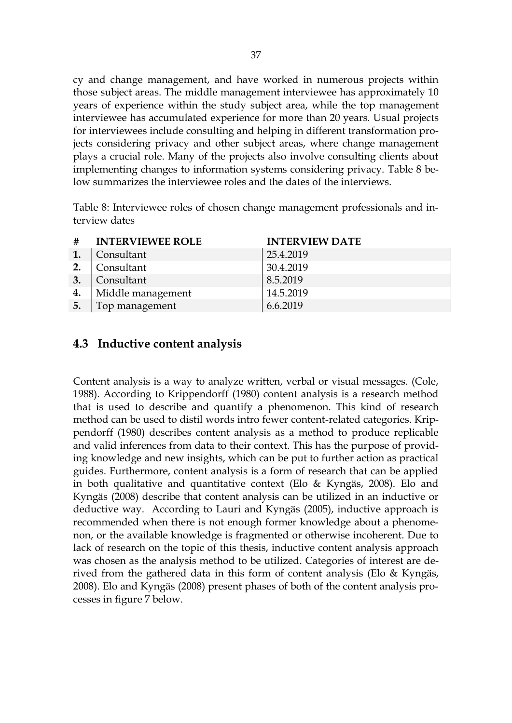cy and change management, and have worked in numerous projects within those subject areas. The middle management interviewee has approximately 10 years of experience within the study subject area, while the top management interviewee has accumulated experience for more than 20 years. Usual projects for interviewees include consulting and helping in different transformation projects considering privacy and other subject areas, where change management plays a crucial role. Many of the projects also involve consulting clients about implementing changes to information systems considering privacy. Table 8 below summarizes the interviewee roles and the dates of the interviews.

Table 8: Interviewee roles of chosen change management professionals and interview dates

| #  | <b>INTERVIEWEE ROLE</b> | <b>INTERVIEW DATE</b> |
|----|-------------------------|-----------------------|
|    | Consultant              | 25.4.2019             |
| 2. | Consultant              | 30.4.2019             |
| 3. | Consultant              | 8.5.2019              |
| 4. | Middle management       | 14.5.2019             |
| 5. | Top management          | 6.6.2019              |

# **4.3 Inductive content analysis**

Content analysis is a way to analyze written, verbal or visual messages. (Cole, 1988). According to Krippendorff (1980) content analysis is a research method that is used to describe and quantify a phenomenon. This kind of research method can be used to distil words intro fewer content-related categories. Krippendorff (1980) describes content analysis as a method to produce replicable and valid inferences from data to their context. This has the purpose of providing knowledge and new insights, which can be put to further action as practical guides. Furthermore, content analysis is a form of research that can be applied in both qualitative and quantitative context (Elo & Kyngäs, 2008). Elo and Kyngäs (2008) describe that content analysis can be utilized in an inductive or deductive way. According to Lauri and Kyngäs (2005), inductive approach is recommended when there is not enough former knowledge about a phenomenon, or the available knowledge is fragmented or otherwise incoherent. Due to lack of research on the topic of this thesis, inductive content analysis approach was chosen as the analysis method to be utilized. Categories of interest are derived from the gathered data in this form of content analysis (Elo & Kyngäs, 2008). Elo and Kyngäs (2008) present phases of both of the content analysis processes in figure 7 below.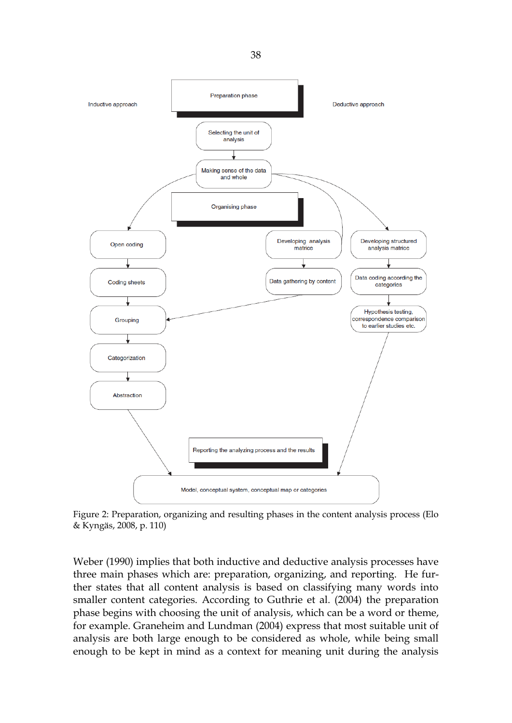

Figure 2: Preparation, organizing and resulting phases in the content analysis process (Elo & Kyngäs, 2008, p. 110)

Weber (1990) implies that both inductive and deductive analysis processes have three main phases which are: preparation, organizing, and reporting. He further states that all content analysis is based on classifying many words into smaller content categories. According to Guthrie et al. (2004) the preparation phase begins with choosing the unit of analysis, which can be a word or theme, for example. Graneheim and Lundman (2004) express that most suitable unit of analysis are both large enough to be considered as whole, while being small enough to be kept in mind as a context for meaning unit during the analysis

38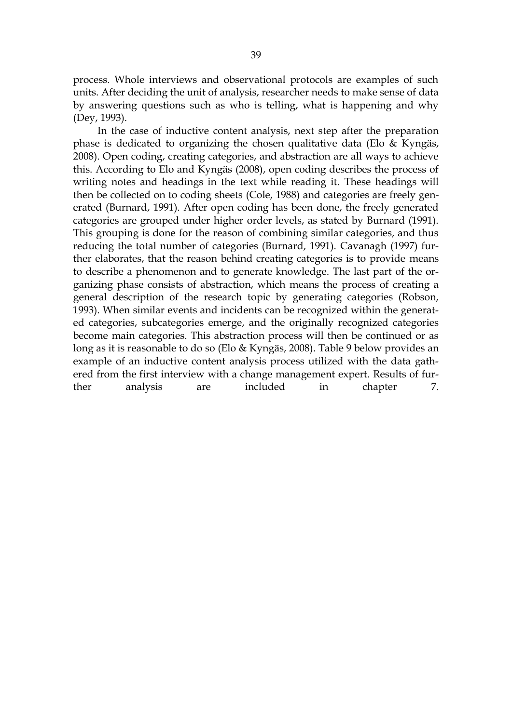process. Whole interviews and observational protocols are examples of such units. After deciding the unit of analysis, researcher needs to make sense of data by answering questions such as who is telling, what is happening and why (Dey, 1993).

In the case of inductive content analysis, next step after the preparation phase is dedicated to organizing the chosen qualitative data (Elo & Kyngäs, 2008). Open coding, creating categories, and abstraction are all ways to achieve this. According to Elo and Kyngäs (2008), open coding describes the process of writing notes and headings in the text while reading it. These headings will then be collected on to coding sheets (Cole, 1988) and categories are freely generated (Burnard, 1991). After open coding has been done, the freely generated categories are grouped under higher order levels, as stated by Burnard (1991). This grouping is done for the reason of combining similar categories, and thus reducing the total number of categories (Burnard, 1991). Cavanagh (1997) further elaborates, that the reason behind creating categories is to provide means to describe a phenomenon and to generate knowledge. The last part of the organizing phase consists of abstraction, which means the process of creating a general description of the research topic by generating categories (Robson, 1993). When similar events and incidents can be recognized within the generated categories, subcategories emerge, and the originally recognized categories become main categories. This abstraction process will then be continued or as long as it is reasonable to do so (Elo & Kyngäs, 2008). Table 9 below provides an example of an inductive content analysis process utilized with the data gathered from the first interview with a change management expert. Results of further analysis are included in chapter 7.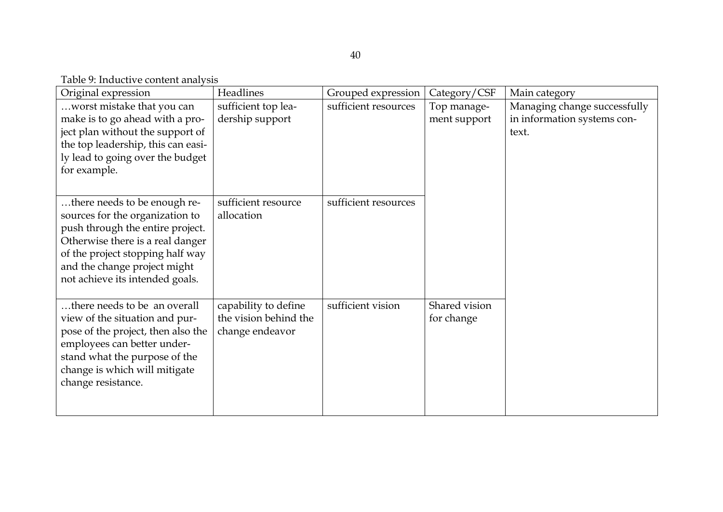Table 9: Inductive content analysis

| Original expression                                                                                                                                                                                                                            | Headlines                                                        | Grouped expression   | Category/CSF                | Main category                                                        |
|------------------------------------------------------------------------------------------------------------------------------------------------------------------------------------------------------------------------------------------------|------------------------------------------------------------------|----------------------|-----------------------------|----------------------------------------------------------------------|
| worst mistake that you can<br>make is to go ahead with a pro-<br>ject plan without the support of<br>the top leadership, this can easi-<br>ly lead to going over the budget<br>for example.                                                    | sufficient top lea-<br>dership support                           | sufficient resources | Top manage-<br>ment support | Managing change successfully<br>in information systems con-<br>text. |
| there needs to be enough re-<br>sources for the organization to<br>push through the entire project.<br>Otherwise there is a real danger<br>of the project stopping half way<br>and the change project might<br>not achieve its intended goals. | sufficient resource<br>allocation                                | sufficient resources |                             |                                                                      |
| there needs to be an overall<br>view of the situation and pur-<br>pose of the project, then also the<br>employees can better under-<br>stand what the purpose of the<br>change is which will mitigate<br>change resistance.                    | capability to define<br>the vision behind the<br>change endeavor | sufficient vision    | Shared vision<br>for change |                                                                      |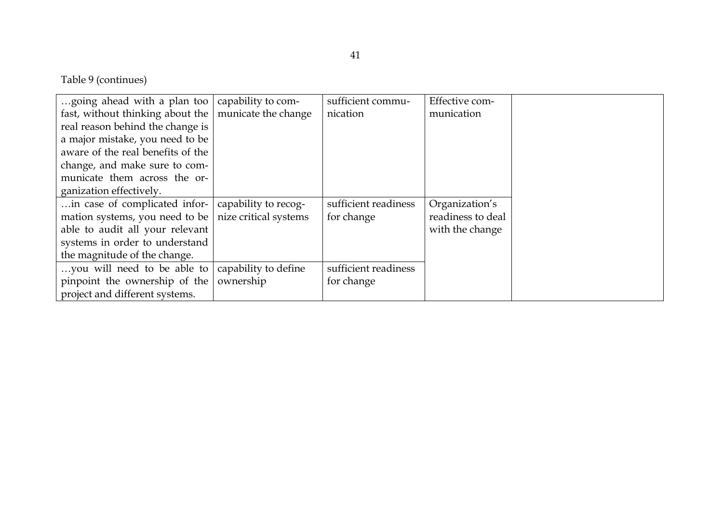Table 9 (continues)

| going ahead with a plan too $\vert$ capability to com-   |                      | sufficient commu-    | Effective com-    |
|----------------------------------------------------------|----------------------|----------------------|-------------------|
| fast, without thinking about the $ $ municate the change |                      | nication             | munication        |
| real reason behind the change is                         |                      |                      |                   |
| a major mistake, you need to be                          |                      |                      |                   |
| aware of the real benefits of the                        |                      |                      |                   |
| change, and make sure to com-                            |                      |                      |                   |
| municate them across the or-                             |                      |                      |                   |
| ganization effectively.                                  |                      |                      |                   |
| in case of complicated infor- capability to recog-       |                      | sufficient readiness | Organization's    |
| mation systems, you need to be $ $ nize critical systems |                      | for change           | readiness to deal |
| able to audit all your relevant                          |                      |                      | with the change   |
| systems in order to understand                           |                      |                      |                   |
| the magnitude of the change.                             |                      |                      |                   |
| you will need to be able to                              | capability to define | sufficient readiness |                   |
| pinpoint the ownership of the                            | ownership            | for change           |                   |
| project and different systems.                           |                      |                      |                   |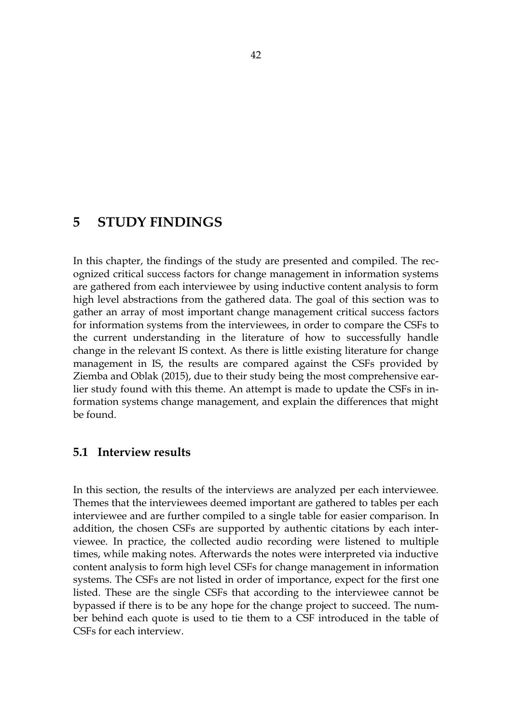# **5 STUDY FINDINGS**

In this chapter, the findings of the study are presented and compiled. The recognized critical success factors for change management in information systems are gathered from each interviewee by using inductive content analysis to form high level abstractions from the gathered data. The goal of this section was to gather an array of most important change management critical success factors for information systems from the interviewees, in order to compare the CSFs to the current understanding in the literature of how to successfully handle change in the relevant IS context. As there is little existing literature for change management in IS, the results are compared against the CSFs provided by Ziemba and Oblak (2015), due to their study being the most comprehensive earlier study found with this theme. An attempt is made to update the CSFs in information systems change management, and explain the differences that might be found.

### **5.1 Interview results**

In this section, the results of the interviews are analyzed per each interviewee. Themes that the interviewees deemed important are gathered to tables per each interviewee and are further compiled to a single table for easier comparison. In addition, the chosen CSFs are supported by authentic citations by each interviewee. In practice, the collected audio recording were listened to multiple times, while making notes. Afterwards the notes were interpreted via inductive content analysis to form high level CSFs for change management in information systems. The CSFs are not listed in order of importance, expect for the first one listed. These are the single CSFs that according to the interviewee cannot be bypassed if there is to be any hope for the change project to succeed. The number behind each quote is used to tie them to a CSF introduced in the table of CSFs for each interview.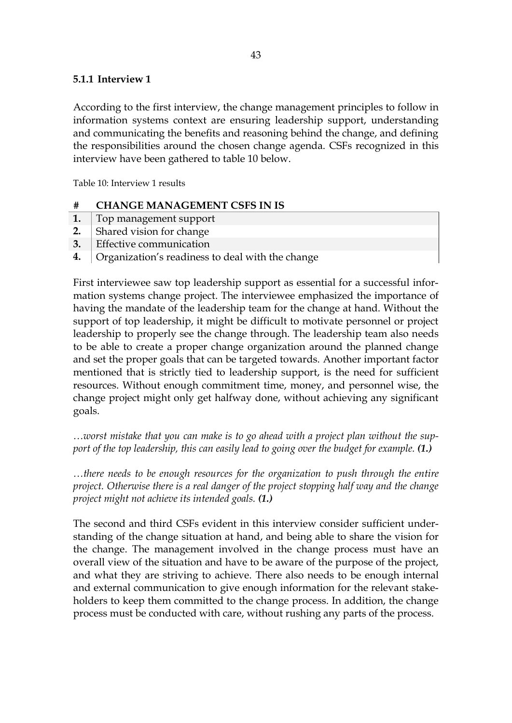### **5.1.1 Interview 1**

According to the first interview, the change management principles to follow in information systems context are ensuring leadership support, understanding and communicating the benefits and reasoning behind the change, and defining the responsibilities around the chosen change agenda. CSFs recognized in this interview have been gathered to table 10 below.

Table 10: Interview 1 results

#### **# CHANGE MANAGEMENT CSFS IN IS**

- **1.** Top management support
- **2.** Shared vision for change
- **3.** Effective communication
- **4.** Organization's readiness to deal with the change

First interviewee saw top leadership support as essential for a successful information systems change project. The interviewee emphasized the importance of having the mandate of the leadership team for the change at hand. Without the support of top leadership, it might be difficult to motivate personnel or project leadership to properly see the change through. The leadership team also needs to be able to create a proper change organization around the planned change and set the proper goals that can be targeted towards. Another important factor mentioned that is strictly tied to leadership support, is the need for sufficient resources. Without enough commitment time, money, and personnel wise, the change project might only get halfway done, without achieving any significant goals.

*…worst mistake that you can make is to go ahead with a project plan without the support of the top leadership, this can easily lead to going over the budget for example. (1.)*

*…there needs to be enough resources for the organization to push through the entire project. Otherwise there is a real danger of the project stopping half way and the change project might not achieve its intended goals. (1.)*

The second and third CSFs evident in this interview consider sufficient understanding of the change situation at hand, and being able to share the vision for the change. The management involved in the change process must have an overall view of the situation and have to be aware of the purpose of the project, and what they are striving to achieve. There also needs to be enough internal and external communication to give enough information for the relevant stakeholders to keep them committed to the change process. In addition, the change process must be conducted with care, without rushing any parts of the process.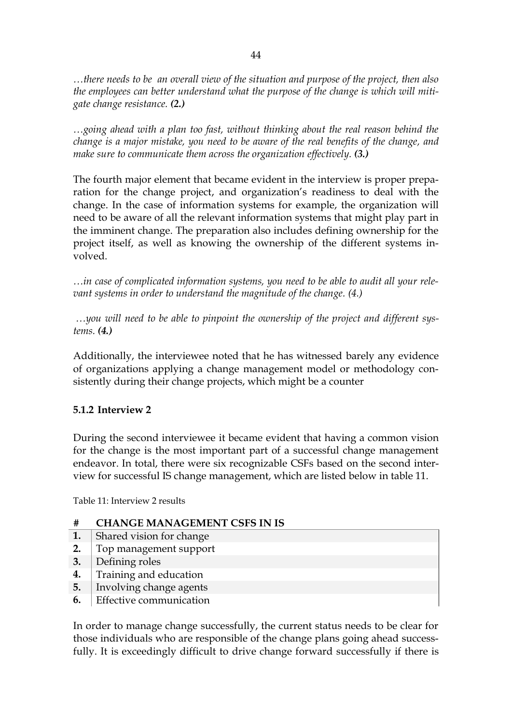*…there needs to be an overall view of the situation and purpose of the project, then also the employees can better understand what the purpose of the change is which will mitigate change resistance. (2.)*

*…going ahead with a plan too fast, without thinking about the real reason behind the change is a major mistake, you need to be aware of the real benefits of the change, and make sure to communicate them across the organization effectively. (3.)*

The fourth major element that became evident in the interview is proper preparation for the change project, and organization's readiness to deal with the change. In the case of information systems for example, the organization will need to be aware of all the relevant information systems that might play part in the imminent change. The preparation also includes defining ownership for the project itself, as well as knowing the ownership of the different systems involved.

*…in case of complicated information systems, you need to be able to audit all your relevant systems in order to understand the magnitude of the change. (4.)*

*…you will need to be able to pinpoint the ownership of the project and different systems. (4.)*

Additionally, the interviewee noted that he has witnessed barely any evidence of organizations applying a change management model or methodology consistently during their change projects, which might be a counter

# **5.1.2 Interview 2**

During the second interviewee it became evident that having a common vision for the change is the most important part of a successful change management endeavor. In total, there were six recognizable CSFs based on the second interview for successful IS change management, which are listed below in table 11.

Table 11: Interview 2 results

### **# CHANGE MANAGEMENT CSFS IN IS**

- **1.** Shared vision for change
- **2.** Top management support
- **3.** Defining roles
- **4.** Training and education
- **5.** Involving change agents
- **6.** Effective communication

In order to manage change successfully, the current status needs to be clear for those individuals who are responsible of the change plans going ahead successfully. It is exceedingly difficult to drive change forward successfully if there is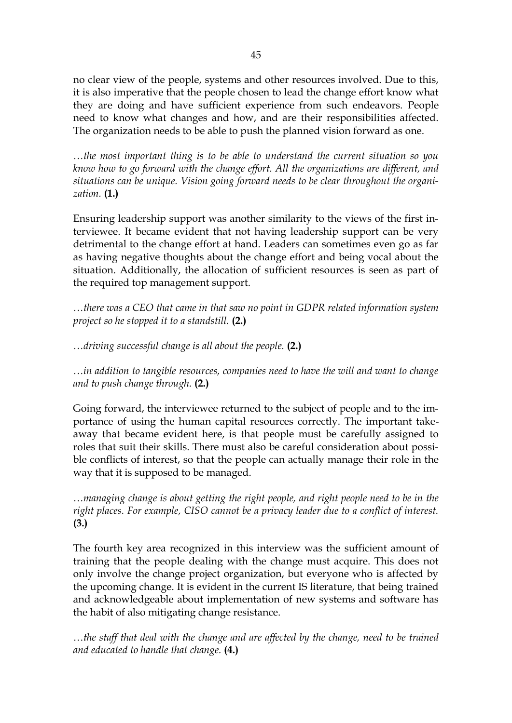no clear view of the people, systems and other resources involved. Due to this, it is also imperative that the people chosen to lead the change effort know what they are doing and have sufficient experience from such endeavors. People need to know what changes and how, and are their responsibilities affected. The organization needs to be able to push the planned vision forward as one.

*…the most important thing is to be able to understand the current situation so you know how to go forward with the change effort. All the organizations are different, and situations can be unique. Vision going forward needs to be clear throughout the organization.* **(1.)**

Ensuring leadership support was another similarity to the views of the first interviewee. It became evident that not having leadership support can be very detrimental to the change effort at hand. Leaders can sometimes even go as far as having negative thoughts about the change effort and being vocal about the situation. Additionally, the allocation of sufficient resources is seen as part of the required top management support.

*…there was a CEO that came in that saw no point in GDPR related information system project so he stopped it to a standstill.* **(2.)**

*…driving successful change is all about the people.* **(2.)**

*…in addition to tangible resources, companies need to have the will and want to change and to push change through.* **(2.)**

Going forward, the interviewee returned to the subject of people and to the importance of using the human capital resources correctly. The important takeaway that became evident here, is that people must be carefully assigned to roles that suit their skills. There must also be careful consideration about possible conflicts of interest, so that the people can actually manage their role in the way that it is supposed to be managed.

…*managing change is about getting the right people, and right people need to be in the right places. For example, CISO cannot be a privacy leader due to a conflict of interest.* **(3.)**

The fourth key area recognized in this interview was the sufficient amount of training that the people dealing with the change must acquire. This does not only involve the change project organization, but everyone who is affected by the upcoming change. It is evident in the current IS literature, that being trained and acknowledgeable about implementation of new systems and software has the habit of also mitigating change resistance.

…*the staff that deal with the change and are affected by the change, need to be trained and educated to handle that change.* **(4.)**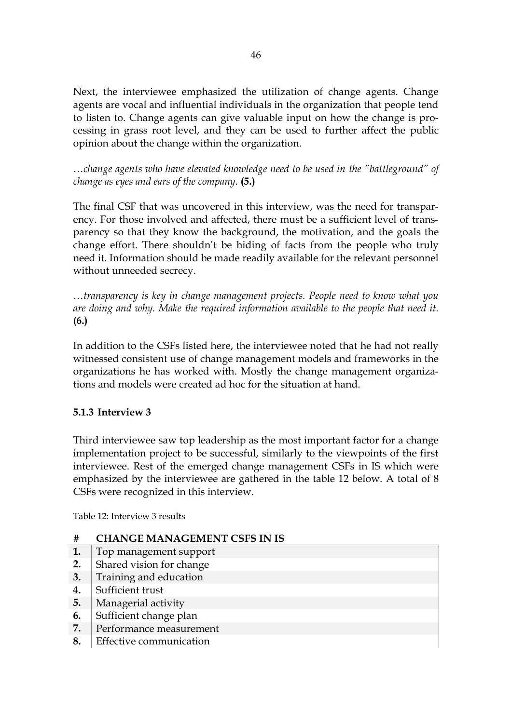Next, the interviewee emphasized the utilization of change agents. Change agents are vocal and influential individuals in the organization that people tend to listen to. Change agents can give valuable input on how the change is processing in grass root level, and they can be used to further affect the public opinion about the change within the organization.

…*change agents who have elevated knowledge need to be used in the "battleground" of change as eyes and ears of the company.* **(5.)**

The final CSF that was uncovered in this interview, was the need for transparency. For those involved and affected, there must be a sufficient level of transparency so that they know the background, the motivation, and the goals the change effort. There shouldn't be hiding of facts from the people who truly need it. Information should be made readily available for the relevant personnel without unneeded secrecy.

…*transparency is key in change management projects. People need to know what you are doing and why. Make the required information available to the people that need it.* **(6.)**

In addition to the CSFs listed here, the interviewee noted that he had not really witnessed consistent use of change management models and frameworks in the organizations he has worked with. Mostly the change management organizations and models were created ad hoc for the situation at hand.

# **5.1.3 Interview 3**

Third interviewee saw top leadership as the most important factor for a change implementation project to be successful, similarly to the viewpoints of the first interviewee. Rest of the emerged change management CSFs in IS which were emphasized by the interviewee are gathered in the table 12 below. A total of 8 CSFs were recognized in this interview.

Table 12: Interview 3 results

# **# CHANGE MANAGEMENT CSFS IN IS**

- **1.** Top management support
- **2.** Shared vision for change
- **3.** Training and education
- **4.** Sufficient trust
- **5.** Managerial activity
- **6.** Sufficient change plan
- **7.** Performance measurement
- **8.** Effective communication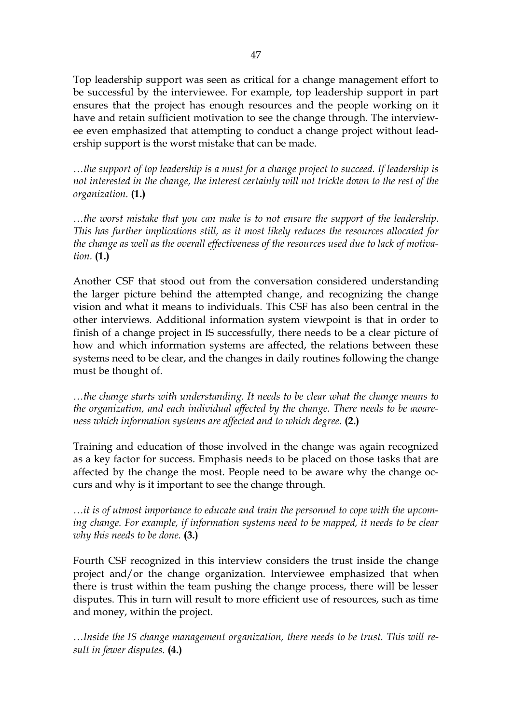Top leadership support was seen as critical for a change management effort to be successful by the interviewee. For example, top leadership support in part ensures that the project has enough resources and the people working on it have and retain sufficient motivation to see the change through. The interviewee even emphasized that attempting to conduct a change project without leadership support is the worst mistake that can be made.

*…the support of top leadership is a must for a change project to succeed. If leadership is not interested in the change, the interest certainly will not trickle down to the rest of the organization.* **(1.)**

*…the worst mistake that you can make is to not ensure the support of the leadership. This has further implications still, as it most likely reduces the resources allocated for the change as well as the overall effectiveness of the resources used due to lack of motivation.* **(1.)**

Another CSF that stood out from the conversation considered understanding the larger picture behind the attempted change, and recognizing the change vision and what it means to individuals. This CSF has also been central in the other interviews. Additional information system viewpoint is that in order to finish of a change project in IS successfully, there needs to be a clear picture of how and which information systems are affected, the relations between these systems need to be clear, and the changes in daily routines following the change must be thought of.

*…the change starts with understanding. It needs to be clear what the change means to the organization, and each individual affected by the change. There needs to be awareness which information systems are affected and to which degree.* **(2.)**

Training and education of those involved in the change was again recognized as a key factor for success. Emphasis needs to be placed on those tasks that are affected by the change the most. People need to be aware why the change occurs and why is it important to see the change through.

*…it is of utmost importance to educate and train the personnel to cope with the upcoming change. For example, if information systems need to be mapped, it needs to be clear why this needs to be done.* **(3.)**

Fourth CSF recognized in this interview considers the trust inside the change project and/or the change organization. Interviewee emphasized that when there is trust within the team pushing the change process, there will be lesser disputes. This in turn will result to more efficient use of resources, such as time and money, within the project.

*…Inside the IS change management organization, there needs to be trust. This will result in fewer disputes.* **(4.)**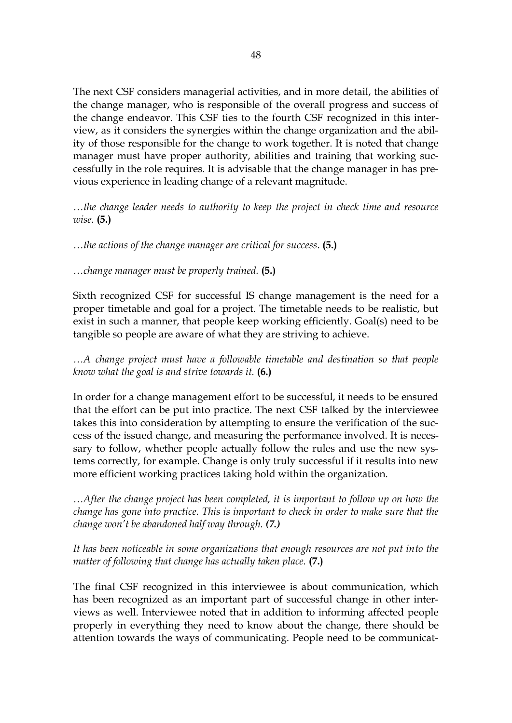The next CSF considers managerial activities, and in more detail, the abilities of the change manager, who is responsible of the overall progress and success of the change endeavor. This CSF ties to the fourth CSF recognized in this interview, as it considers the synergies within the change organization and the ability of those responsible for the change to work together. It is noted that change manager must have proper authority, abilities and training that working successfully in the role requires. It is advisable that the change manager in has previous experience in leading change of a relevant magnitude.

*…the change leader needs to authority to keep the project in check time and resource wise.* **(5.)**

*…the actions of the change manager are critical for success*. **(5.)**

*…change manager must be properly trained.* **(5.)**

Sixth recognized CSF for successful IS change management is the need for a proper timetable and goal for a project. The timetable needs to be realistic, but exist in such a manner, that people keep working efficiently. Goal(s) need to be tangible so people are aware of what they are striving to achieve.

*…A change project must have a followable timetable and destination so that people know what the goal is and strive towards it.* **(6.)**

In order for a change management effort to be successful, it needs to be ensured that the effort can be put into practice. The next CSF talked by the interviewee takes this into consideration by attempting to ensure the verification of the success of the issued change, and measuring the performance involved. It is necessary to follow, whether people actually follow the rules and use the new systems correctly, for example. Change is only truly successful if it results into new more efficient working practices taking hold within the organization.

*…After the change project has been completed, it is important to follow up on how the change has gone into practice. This is important to check in order to make sure that the change won't be abandoned half way through. (7.)*

It has been noticeable in some organizations that enough resources are not put into the *matter of following that change has actually taken place.* **(7.)**

The final CSF recognized in this interviewee is about communication, which has been recognized as an important part of successful change in other interviews as well. Interviewee noted that in addition to informing affected people properly in everything they need to know about the change, there should be attention towards the ways of communicating. People need to be communicat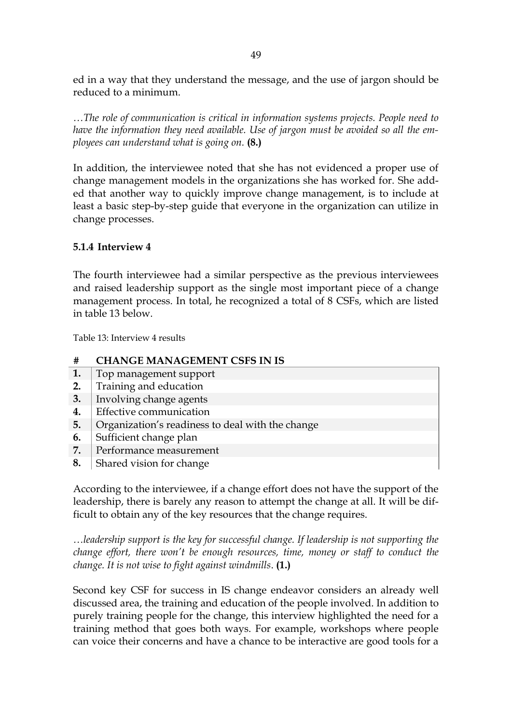ed in a way that they understand the message, and the use of jargon should be reduced to a minimum.

*…The role of communication is critical in information systems projects. People need to have the information they need available. Use of jargon must be avoided so all the employees can understand what is going on.* **(8.)**

In addition, the interviewee noted that she has not evidenced a proper use of change management models in the organizations she has worked for. She added that another way to quickly improve change management, is to include at least a basic step-by-step guide that everyone in the organization can utilize in change processes.

## **5.1.4 Interview 4**

The fourth interviewee had a similar perspective as the previous interviewees and raised leadership support as the single most important piece of a change management process. In total, he recognized a total of 8 CSFs, which are listed in table 13 below.

Table 13: Interview 4 results

### **# CHANGE MANAGEMENT CSFS IN IS**

- **1.** Top management support
- **2.** Training and education
- **3.** Involving change agents
- **4.** Effective communication
- **5.** Organization's readiness to deal with the change
- **6.** Sufficient change plan
- **7.** Performance measurement
- **8.** Shared vision for change

According to the interviewee, if a change effort does not have the support of the leadership, there is barely any reason to attempt the change at all. It will be difficult to obtain any of the key resources that the change requires.

*…leadership support is the key for successful change. If leadership is not supporting the change effort, there won't be enough resources, time, money or staff to conduct the change. It is not wise to fight against windmills*. **(1.)**

Second key CSF for success in IS change endeavor considers an already well discussed area, the training and education of the people involved. In addition to purely training people for the change, this interview highlighted the need for a training method that goes both ways. For example, workshops where people can voice their concerns and have a chance to be interactive are good tools for a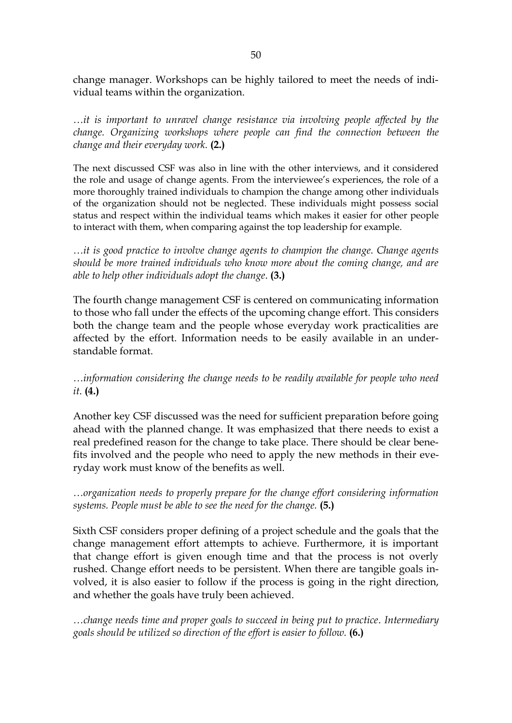change manager. Workshops can be highly tailored to meet the needs of individual teams within the organization.

*…it is important to unravel change resistance via involving people affected by the change. Organizing workshops where people can find the connection between the change and their everyday work.* **(2.)**

The next discussed CSF was also in line with the other interviews, and it considered the role and usage of change agents. From the interviewee's experiences, the role of a more thoroughly trained individuals to champion the change among other individuals of the organization should not be neglected. These individuals might possess social status and respect within the individual teams which makes it easier for other people to interact with them, when comparing against the top leadership for example.

*…it is good practice to involve change agents to champion the change. Change agents should be more trained individuals who know more about the coming change, and are able to help other individuals adopt the change*. **(3.)**

The fourth change management CSF is centered on communicating information to those who fall under the effects of the upcoming change effort. This considers both the change team and the people whose everyday work practicalities are affected by the effort. Information needs to be easily available in an understandable format.

*…information considering the change needs to be readily available for people who need it*. **(4.)**

Another key CSF discussed was the need for sufficient preparation before going ahead with the planned change. It was emphasized that there needs to exist a real predefined reason for the change to take place. There should be clear benefits involved and the people who need to apply the new methods in their everyday work must know of the benefits as well.

*…organization needs to properly prepare for the change effort considering information systems. People must be able to see the need for the change.* **(5.)**

Sixth CSF considers proper defining of a project schedule and the goals that the change management effort attempts to achieve. Furthermore, it is important that change effort is given enough time and that the process is not overly rushed. Change effort needs to be persistent. When there are tangible goals involved, it is also easier to follow if the process is going in the right direction, and whether the goals have truly been achieved.

*…change needs time and proper goals to succeed in being put to practice*. *Intermediary goals should be utilized so direction of the effort is easier to follow.* **(6.)**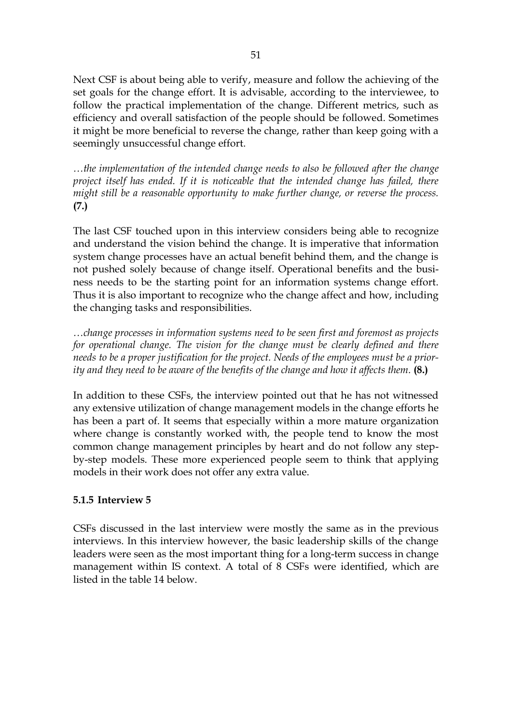Next CSF is about being able to verify, measure and follow the achieving of the set goals for the change effort. It is advisable, according to the interviewee, to follow the practical implementation of the change. Different metrics, such as efficiency and overall satisfaction of the people should be followed. Sometimes it might be more beneficial to reverse the change, rather than keep going with a seemingly unsuccessful change effort.

*…the implementation of the intended change needs to also be followed after the change project itself has ended. If it is noticeable that the intended change has failed, there might still be a reasonable opportunity to make further change, or reverse the process.* **(7.)**

The last CSF touched upon in this interview considers being able to recognize and understand the vision behind the change. It is imperative that information system change processes have an actual benefit behind them, and the change is not pushed solely because of change itself. Operational benefits and the business needs to be the starting point for an information systems change effort. Thus it is also important to recognize who the change affect and how, including the changing tasks and responsibilities.

*…change processes in information systems need to be seen first and foremost as projects for operational change. The vision for the change must be clearly defined and there needs to be a proper justification for the project. Needs of the employees must be a priority and they need to be aware of the benefits of the change and how it affects them.* **(8.)**

In addition to these CSFs, the interview pointed out that he has not witnessed any extensive utilization of change management models in the change efforts he has been a part of. It seems that especially within a more mature organization where change is constantly worked with, the people tend to know the most common change management principles by heart and do not follow any stepby-step models. These more experienced people seem to think that applying models in their work does not offer any extra value.

# **5.1.5 Interview 5**

CSFs discussed in the last interview were mostly the same as in the previous interviews. In this interview however, the basic leadership skills of the change leaders were seen as the most important thing for a long-term success in change management within IS context. A total of 8 CSFs were identified, which are listed in the table 14 below.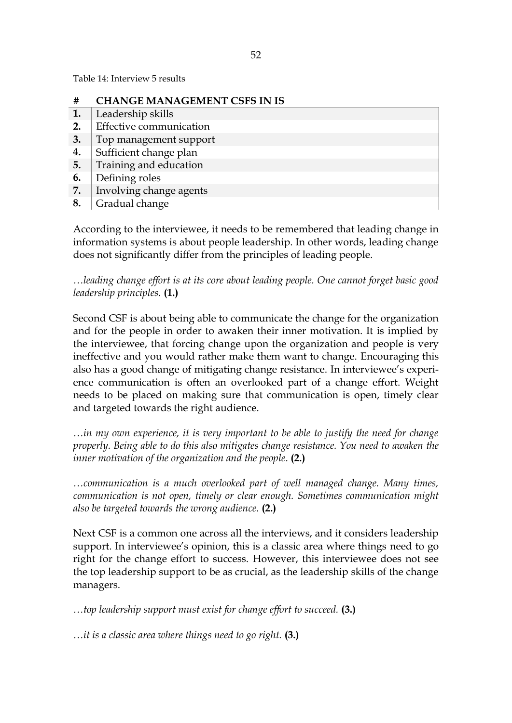Table 14: Interview 5 results

- **# CHANGE MANAGEMENT CSFS IN IS**
- **1.** Leadership skills
- **2.** Effective communication
- **3.** Top management support
- **4.** Sufficient change plan
- **5.** Training and education
- **6.** Defining roles
- **7.** Involving change agents
- **8.** Gradual change

According to the interviewee, it needs to be remembered that leading change in information systems is about people leadership. In other words, leading change does not significantly differ from the principles of leading people.

*…leading change effort is at its core about leading people. One cannot forget basic good leadership principles.* **(1.)**

Second CSF is about being able to communicate the change for the organization and for the people in order to awaken their inner motivation. It is implied by the interviewee, that forcing change upon the organization and people is very ineffective and you would rather make them want to change. Encouraging this also has a good change of mitigating change resistance. In interviewee's experience communication is often an overlooked part of a change effort. Weight needs to be placed on making sure that communication is open, timely clear and targeted towards the right audience.

*…in my own experience, it is very important to be able to justify the need for change properly. Being able to do this also mitigates change resistance. You need to awaken the inner motivation of the organization and the people*. **(2.)**

*…communication is a much overlooked part of well managed change. Many times, communication is not open, timely or clear enough. Sometimes communication might also be targeted towards the wrong audience.* **(2.)**

Next CSF is a common one across all the interviews, and it considers leadership support. In interviewee's opinion, this is a classic area where things need to go right for the change effort to success. However, this interviewee does not see the top leadership support to be as crucial, as the leadership skills of the change managers.

*…top leadership support must exist for change effort to succeed.* **(3.)**

*…it is a classic area where things need to go right.* **(3.)**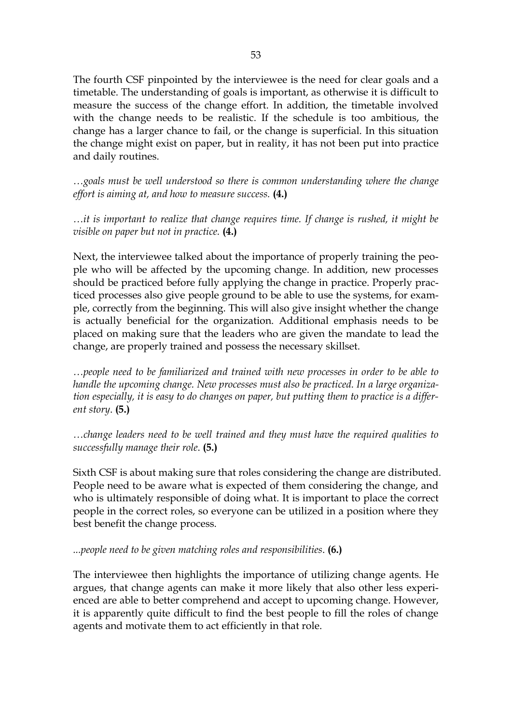The fourth CSF pinpointed by the interviewee is the need for clear goals and a timetable. The understanding of goals is important, as otherwise it is difficult to measure the success of the change effort. In addition, the timetable involved with the change needs to be realistic. If the schedule is too ambitious, the change has a larger chance to fail, or the change is superficial. In this situation the change might exist on paper, but in reality, it has not been put into practice and daily routines.

*…goals must be well understood so there is common understanding where the change effort is aiming at, and how to measure success.* **(4.)**

*…it is important to realize that change requires time. If change is rushed, it might be visible on paper but not in practice.* **(4.)**

Next, the interviewee talked about the importance of properly training the people who will be affected by the upcoming change. In addition, new processes should be practiced before fully applying the change in practice. Properly practiced processes also give people ground to be able to use the systems, for example, correctly from the beginning. This will also give insight whether the change is actually beneficial for the organization. Additional emphasis needs to be placed on making sure that the leaders who are given the mandate to lead the change, are properly trained and possess the necessary skillset.

*…people need to be familiarized and trained with new processes in order to be able to handle the upcoming change. New processes must also be practiced. In a large organization especially, it is easy to do changes on paper, but putting them to practice is a different story*. **(5.)**

*…change leaders need to be well trained and they must have the required qualities to successfully manage their role*. **(5.)**

Sixth CSF is about making sure that roles considering the change are distributed. People need to be aware what is expected of them considering the change, and who is ultimately responsible of doing what. It is important to place the correct people in the correct roles, so everyone can be utilized in a position where they best benefit the change process.

*...people need to be given matching roles and responsibilities*. **(6.)**

The interviewee then highlights the importance of utilizing change agents. He argues, that change agents can make it more likely that also other less experienced are able to better comprehend and accept to upcoming change. However, it is apparently quite difficult to find the best people to fill the roles of change agents and motivate them to act efficiently in that role.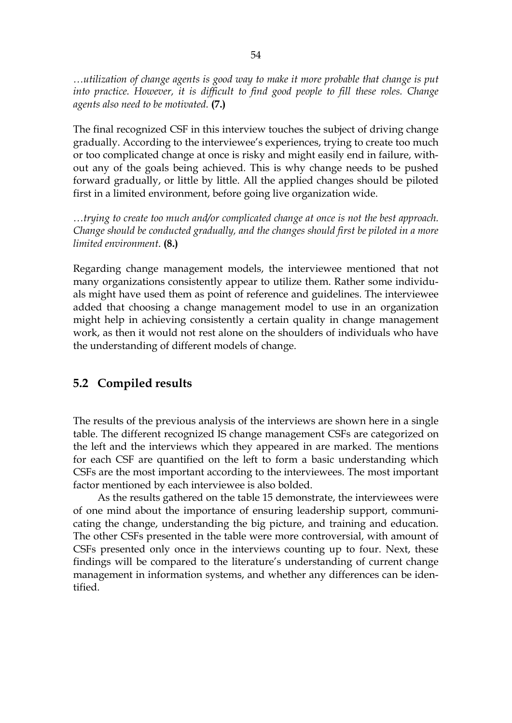*…utilization of change agents is good way to make it more probable that change is put into practice. However, it is difficult to find good people to fill these roles. Change agents also need to be motivated.* **(7.)**

The final recognized CSF in this interview touches the subject of driving change gradually. According to the interviewee's experiences, trying to create too much or too complicated change at once is risky and might easily end in failure, without any of the goals being achieved. This is why change needs to be pushed forward gradually, or little by little. All the applied changes should be piloted first in a limited environment, before going live organization wide.

*…trying to create too much and/or complicated change at once is not the best approach. Change should be conducted gradually, and the changes should first be piloted in a more limited environment*. **(8.)**

Regarding change management models, the interviewee mentioned that not many organizations consistently appear to utilize them. Rather some individuals might have used them as point of reference and guidelines. The interviewee added that choosing a change management model to use in an organization might help in achieving consistently a certain quality in change management work, as then it would not rest alone on the shoulders of individuals who have the understanding of different models of change.

### **5.2 Compiled results**

The results of the previous analysis of the interviews are shown here in a single table. The different recognized IS change management CSFs are categorized on the left and the interviews which they appeared in are marked. The mentions for each CSF are quantified on the left to form a basic understanding which CSFs are the most important according to the interviewees. The most important factor mentioned by each interviewee is also bolded.

As the results gathered on the table 15 demonstrate, the interviewees were of one mind about the importance of ensuring leadership support, communicating the change, understanding the big picture, and training and education. The other CSFs presented in the table were more controversial, with amount of CSFs presented only once in the interviews counting up to four. Next, these findings will be compared to the literature's understanding of current change management in information systems, and whether any differences can be identified.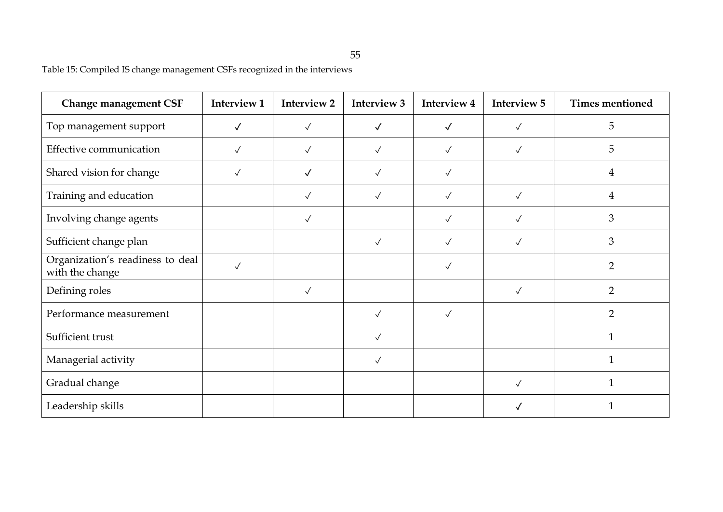| Table 15: Compiled IS change management CSFs recognized in the interviews |  |
|---------------------------------------------------------------------------|--|
|                                                                           |  |

| <b>Change management CSF</b>                        | Interview 1  | <b>Interview 2</b> | Interview 3  | Interview 4  | Interview 5  | <b>Times mentioned</b> |
|-----------------------------------------------------|--------------|--------------------|--------------|--------------|--------------|------------------------|
| Top management support                              | √            | $\checkmark$       | $\checkmark$ | $\checkmark$ | $\checkmark$ | 5                      |
| Effective communication                             | $\checkmark$ | $\sqrt{}$          | $\checkmark$ | $\checkmark$ | $\checkmark$ | 5                      |
| Shared vision for change                            | $\checkmark$ | $\checkmark$       | $\checkmark$ | $\checkmark$ |              | $\overline{4}$         |
| Training and education                              |              | $\checkmark$       | $\sqrt{}$    | $\checkmark$ | $\checkmark$ | $\overline{4}$         |
| Involving change agents                             |              | $\checkmark$       |              | $\checkmark$ | $\checkmark$ | 3                      |
| Sufficient change plan                              |              |                    | $\checkmark$ | $\checkmark$ | $\checkmark$ | 3                      |
| Organization's readiness to deal<br>with the change | $\checkmark$ |                    |              | $\sqrt{2}$   |              | $\overline{2}$         |
| Defining roles                                      |              | $\checkmark$       |              |              | $\checkmark$ | $\overline{2}$         |
| Performance measurement                             |              |                    | $\checkmark$ | $\checkmark$ |              | $\overline{2}$         |
| Sufficient trust                                    |              |                    | $\checkmark$ |              |              | $\mathbf{1}$           |
| Managerial activity                                 |              |                    | $\checkmark$ |              |              | $\mathbf 1$            |
| Gradual change                                      |              |                    |              |              | $\checkmark$ |                        |
| Leadership skills                                   |              |                    |              |              |              |                        |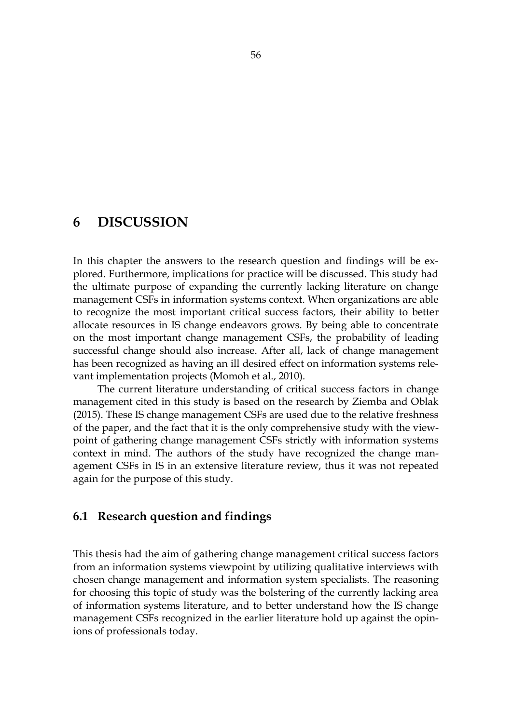# **6 DISCUSSION**

In this chapter the answers to the research question and findings will be explored. Furthermore, implications for practice will be discussed. This study had the ultimate purpose of expanding the currently lacking literature on change management CSFs in information systems context. When organizations are able to recognize the most important critical success factors, their ability to better allocate resources in IS change endeavors grows. By being able to concentrate on the most important change management CSFs, the probability of leading successful change should also increase. After all, lack of change management has been recognized as having an ill desired effect on information systems relevant implementation projects (Momoh et al., 2010).

The current literature understanding of critical success factors in change management cited in this study is based on the research by Ziemba and Oblak (2015). These IS change management CSFs are used due to the relative freshness of the paper, and the fact that it is the only comprehensive study with the viewpoint of gathering change management CSFs strictly with information systems context in mind. The authors of the study have recognized the change management CSFs in IS in an extensive literature review, thus it was not repeated again for the purpose of this study.

### **6.1 Research question and findings**

This thesis had the aim of gathering change management critical success factors from an information systems viewpoint by utilizing qualitative interviews with chosen change management and information system specialists. The reasoning for choosing this topic of study was the bolstering of the currently lacking area of information systems literature, and to better understand how the IS change management CSFs recognized in the earlier literature hold up against the opinions of professionals today.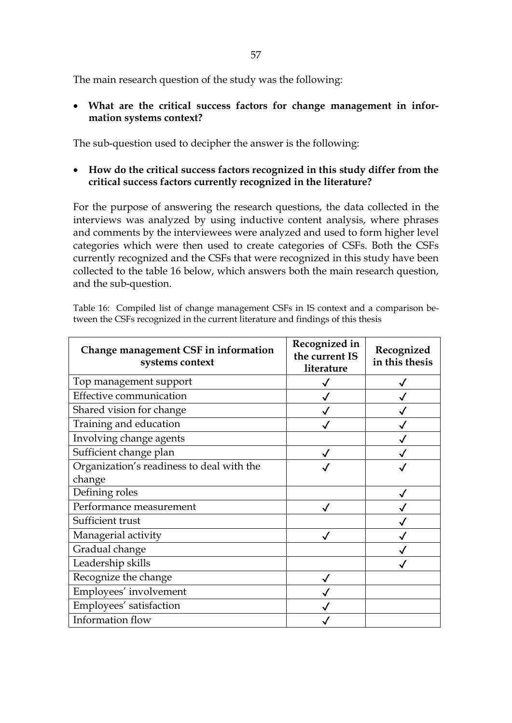57

The main research question of the study was the following:

 **What are the critical success factors for change management in information systems context?**

The sub-question used to decipher the answer is the following:

 **How do the critical success factors recognized in this study differ from the critical success factors currently recognized in the literature?**

For the purpose of answering the research questions, the data collected in the interviews was analyzed by using inductive content analysis, where phrases and comments by the interviewees were analyzed and used to form higher level categories which were then used to create categories of CSFs. Both the CSFs currently recognized and the CSFs that were recognized in this study have been collected to the table 16 below, which answers both the main research question, and the sub-question.

| Change management CSF in information<br>systems context | Recognized in<br>the current IS<br>literature | Recognized<br>in this thesis |
|---------------------------------------------------------|-----------------------------------------------|------------------------------|
| Top management support                                  |                                               |                              |
| <b>Effective communication</b>                          |                                               |                              |
| Shared vision for change                                |                                               |                              |
| Training and education                                  |                                               |                              |
| Involving change agents                                 |                                               |                              |
| Sufficient change plan                                  |                                               |                              |
| Organization's readiness to deal with the               |                                               |                              |
| change                                                  |                                               |                              |
| Defining roles                                          |                                               |                              |
| Performance measurement                                 | $\checkmark$                                  |                              |
| Sufficient trust                                        |                                               |                              |
| Managerial activity                                     |                                               |                              |
| Gradual change                                          |                                               |                              |
| Leadership skills                                       |                                               |                              |
| Recognize the change                                    |                                               |                              |
| Employees' involvement                                  |                                               |                              |
| Employees' satisfaction                                 |                                               |                              |
| Information flow                                        |                                               |                              |

Table 16: Compiled list of change management CSFs in IS context and a comparison between the CSFs recognized in the current literature and findings of this thesis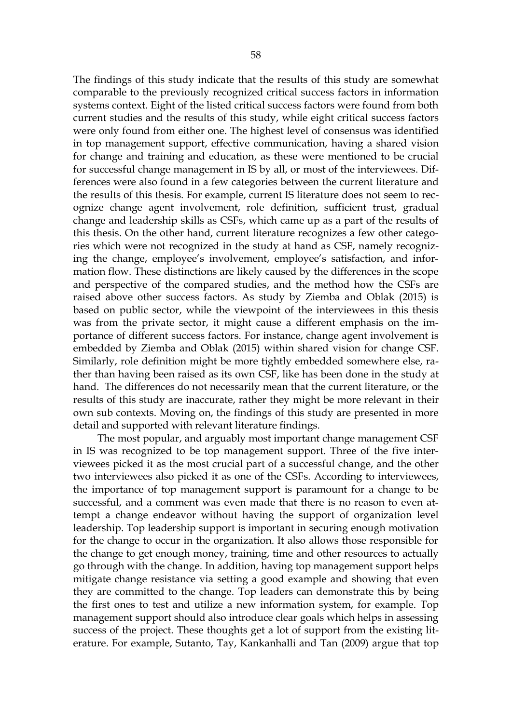The findings of this study indicate that the results of this study are somewhat comparable to the previously recognized critical success factors in information systems context. Eight of the listed critical success factors were found from both current studies and the results of this study, while eight critical success factors were only found from either one. The highest level of consensus was identified in top management support, effective communication, having a shared vision for change and training and education, as these were mentioned to be crucial for successful change management in IS by all, or most of the interviewees. Differences were also found in a few categories between the current literature and the results of this thesis. For example, current IS literature does not seem to recognize change agent involvement, role definition, sufficient trust, gradual change and leadership skills as CSFs, which came up as a part of the results of this thesis. On the other hand, current literature recognizes a few other categories which were not recognized in the study at hand as CSF, namely recognizing the change, employee's involvement, employee's satisfaction, and information flow. These distinctions are likely caused by the differences in the scope and perspective of the compared studies, and the method how the CSFs are raised above other success factors. As study by Ziemba and Oblak (2015) is based on public sector, while the viewpoint of the interviewees in this thesis was from the private sector, it might cause a different emphasis on the importance of different success factors. For instance, change agent involvement is embedded by Ziemba and Oblak (2015) within shared vision for change CSF. Similarly, role definition might be more tightly embedded somewhere else, rather than having been raised as its own CSF, like has been done in the study at hand. The differences do not necessarily mean that the current literature, or the results of this study are inaccurate, rather they might be more relevant in their own sub contexts. Moving on, the findings of this study are presented in more detail and supported with relevant literature findings.

The most popular, and arguably most important change management CSF in IS was recognized to be top management support. Three of the five interviewees picked it as the most crucial part of a successful change, and the other two interviewees also picked it as one of the CSFs. According to interviewees, the importance of top management support is paramount for a change to be successful, and a comment was even made that there is no reason to even attempt a change endeavor without having the support of organization level leadership. Top leadership support is important in securing enough motivation for the change to occur in the organization. It also allows those responsible for the change to get enough money, training, time and other resources to actually go through with the change. In addition, having top management support helps mitigate change resistance via setting a good example and showing that even they are committed to the change. Top leaders can demonstrate this by being the first ones to test and utilize a new information system, for example. Top management support should also introduce clear goals which helps in assessing success of the project. These thoughts get a lot of support from the existing literature. For example, Sutanto, Tay, Kankanhalli and Tan (2009) argue that top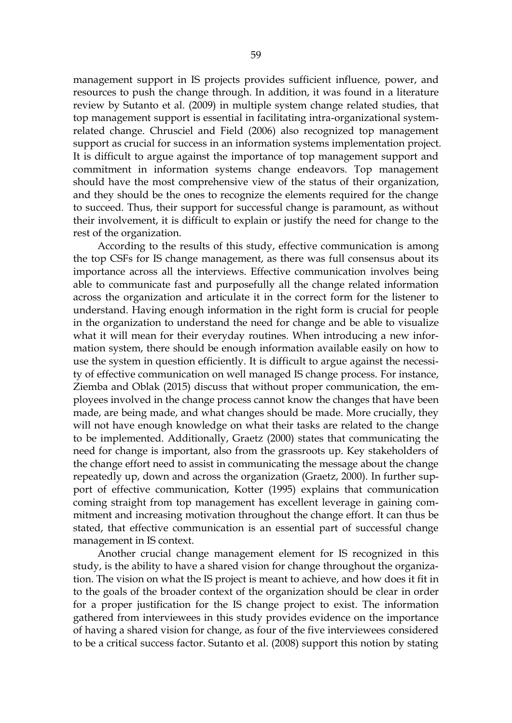management support in IS projects provides sufficient influence, power, and resources to push the change through. In addition, it was found in a literature review by Sutanto et al. (2009) in multiple system change related studies, that top management support is essential in facilitating intra-organizational systemrelated change. Chrusciel and Field (2006) also recognized top management support as crucial for success in an information systems implementation project. It is difficult to argue against the importance of top management support and commitment in information systems change endeavors. Top management should have the most comprehensive view of the status of their organization, and they should be the ones to recognize the elements required for the change to succeed. Thus, their support for successful change is paramount, as without their involvement, it is difficult to explain or justify the need for change to the rest of the organization.

According to the results of this study, effective communication is among the top CSFs for IS change management, as there was full consensus about its importance across all the interviews. Effective communication involves being able to communicate fast and purposefully all the change related information across the organization and articulate it in the correct form for the listener to understand. Having enough information in the right form is crucial for people in the organization to understand the need for change and be able to visualize what it will mean for their everyday routines. When introducing a new information system, there should be enough information available easily on how to use the system in question efficiently. It is difficult to argue against the necessity of effective communication on well managed IS change process. For instance, Ziemba and Oblak (2015) discuss that without proper communication, the employees involved in the change process cannot know the changes that have been made, are being made, and what changes should be made. More crucially, they will not have enough knowledge on what their tasks are related to the change to be implemented. Additionally, Graetz (2000) states that communicating the need for change is important, also from the grassroots up. Key stakeholders of the change effort need to assist in communicating the message about the change repeatedly up, down and across the organization (Graetz, 2000). In further support of effective communication, Kotter (1995) explains that communication coming straight from top management has excellent leverage in gaining commitment and increasing motivation throughout the change effort. It can thus be stated, that effective communication is an essential part of successful change management in IS context.

Another crucial change management element for IS recognized in this study, is the ability to have a shared vision for change throughout the organization. The vision on what the IS project is meant to achieve, and how does it fit in to the goals of the broader context of the organization should be clear in order for a proper justification for the IS change project to exist. The information gathered from interviewees in this study provides evidence on the importance of having a shared vision for change, as four of the five interviewees considered to be a critical success factor. Sutanto et al. (2008) support this notion by stating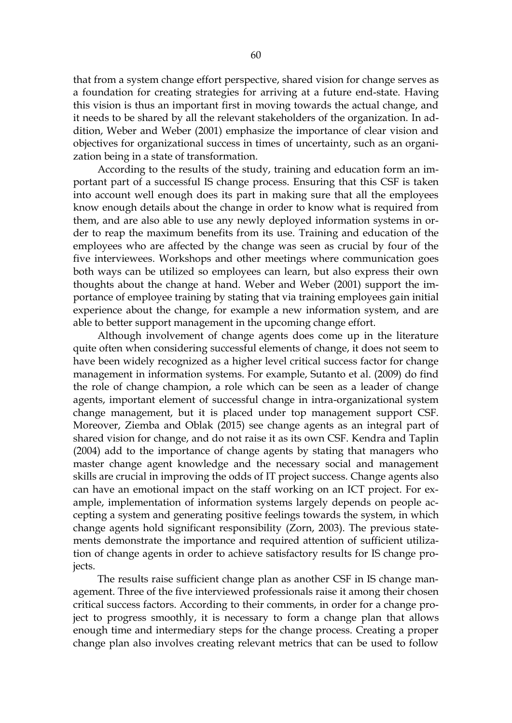that from a system change effort perspective, shared vision for change serves as a foundation for creating strategies for arriving at a future end-state. Having this vision is thus an important first in moving towards the actual change, and it needs to be shared by all the relevant stakeholders of the organization. In addition, Weber and Weber (2001) emphasize the importance of clear vision and objectives for organizational success in times of uncertainty, such as an organization being in a state of transformation.

According to the results of the study, training and education form an important part of a successful IS change process. Ensuring that this CSF is taken into account well enough does its part in making sure that all the employees know enough details about the change in order to know what is required from them, and are also able to use any newly deployed information systems in order to reap the maximum benefits from its use. Training and education of the employees who are affected by the change was seen as crucial by four of the five interviewees. Workshops and other meetings where communication goes both ways can be utilized so employees can learn, but also express their own thoughts about the change at hand. Weber and Weber (2001) support the importance of employee training by stating that via training employees gain initial experience about the change, for example a new information system, and are able to better support management in the upcoming change effort.

Although involvement of change agents does come up in the literature quite often when considering successful elements of change, it does not seem to have been widely recognized as a higher level critical success factor for change management in information systems. For example, Sutanto et al. (2009) do find the role of change champion, a role which can be seen as a leader of change agents, important element of successful change in intra-organizational system change management, but it is placed under top management support CSF. Moreover, Ziemba and Oblak (2015) see change agents as an integral part of shared vision for change, and do not raise it as its own CSF. Kendra and Taplin (2004) add to the importance of change agents by stating that managers who master change agent knowledge and the necessary social and management skills are crucial in improving the odds of IT project success. Change agents also can have an emotional impact on the staff working on an ICT project. For example, implementation of information systems largely depends on people accepting a system and generating positive feelings towards the system, in which change agents hold significant responsibility (Zorn, 2003). The previous statements demonstrate the importance and required attention of sufficient utilization of change agents in order to achieve satisfactory results for IS change projects.

The results raise sufficient change plan as another CSF in IS change management. Three of the five interviewed professionals raise it among their chosen critical success factors. According to their comments, in order for a change project to progress smoothly, it is necessary to form a change plan that allows enough time and intermediary steps for the change process. Creating a proper change plan also involves creating relevant metrics that can be used to follow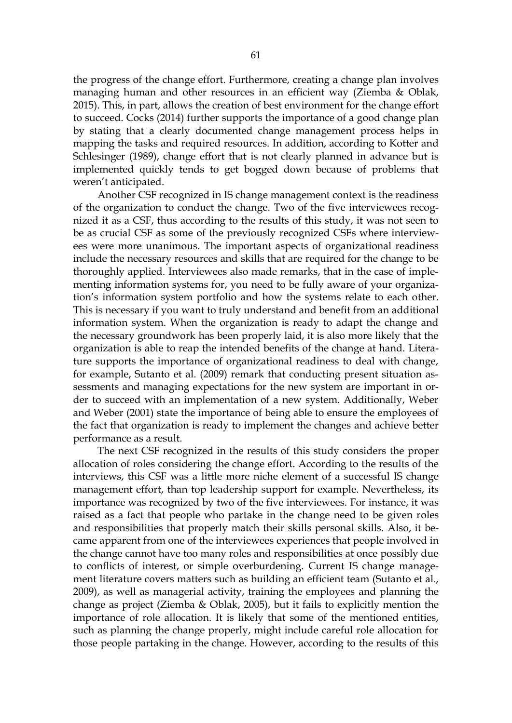the progress of the change effort. Furthermore, creating a change plan involves managing human and other resources in an efficient way (Ziemba & Oblak, 2015). This, in part, allows the creation of best environment for the change effort to succeed. Cocks (2014) further supports the importance of a good change plan by stating that a clearly documented change management process helps in mapping the tasks and required resources. In addition, according to Kotter and Schlesinger (1989), change effort that is not clearly planned in advance but is implemented quickly tends to get bogged down because of problems that weren't anticipated.

Another CSF recognized in IS change management context is the readiness of the organization to conduct the change. Two of the five interviewees recognized it as a CSF, thus according to the results of this study, it was not seen to be as crucial CSF as some of the previously recognized CSFs where interviewees were more unanimous. The important aspects of organizational readiness include the necessary resources and skills that are required for the change to be thoroughly applied. Interviewees also made remarks, that in the case of implementing information systems for, you need to be fully aware of your organization's information system portfolio and how the systems relate to each other. This is necessary if you want to truly understand and benefit from an additional information system. When the organization is ready to adapt the change and the necessary groundwork has been properly laid, it is also more likely that the organization is able to reap the intended benefits of the change at hand. Literature supports the importance of organizational readiness to deal with change, for example, Sutanto et al. (2009) remark that conducting present situation assessments and managing expectations for the new system are important in order to succeed with an implementation of a new system. Additionally, Weber and Weber (2001) state the importance of being able to ensure the employees of the fact that organization is ready to implement the changes and achieve better performance as a result.

The next CSF recognized in the results of this study considers the proper allocation of roles considering the change effort. According to the results of the interviews, this CSF was a little more niche element of a successful IS change management effort, than top leadership support for example. Nevertheless, its importance was recognized by two of the five interviewees. For instance, it was raised as a fact that people who partake in the change need to be given roles and responsibilities that properly match their skills personal skills. Also, it became apparent from one of the interviewees experiences that people involved in the change cannot have too many roles and responsibilities at once possibly due to conflicts of interest, or simple overburdening. Current IS change management literature covers matters such as building an efficient team (Sutanto et al., 2009), as well as managerial activity, training the employees and planning the change as project (Ziemba & Oblak, 2005), but it fails to explicitly mention the importance of role allocation. It is likely that some of the mentioned entities, such as planning the change properly, might include careful role allocation for those people partaking in the change. However, according to the results of this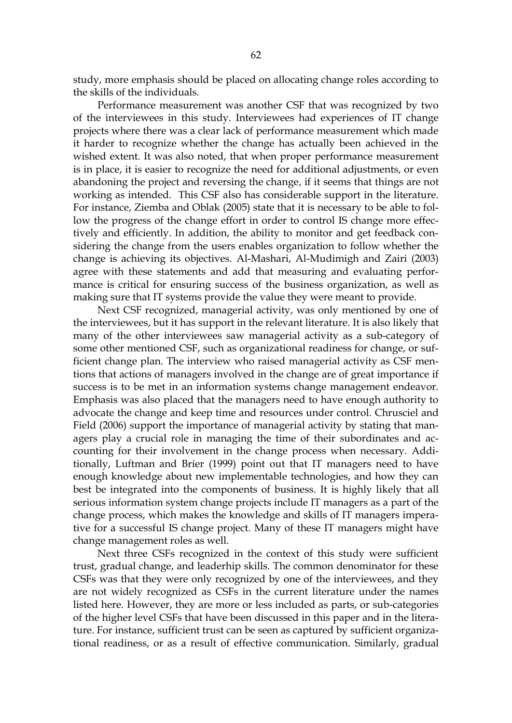study, more emphasis should be placed on allocating change roles according to the skills of the individuals.

Performance measurement was another CSF that was recognized by two of the interviewees in this study. Interviewees had experiences of IT change projects where there was a clear lack of performance measurement which made it harder to recognize whether the change has actually been achieved in the wished extent. It was also noted, that when proper performance measurement is in place, it is easier to recognize the need for additional adjustments, or even abandoning the project and reversing the change, if it seems that things are not working as intended. This CSF also has considerable support in the literature. For instance, Ziemba and Oblak (2005) state that it is necessary to be able to follow the progress of the change effort in order to control IS change more effectively and efficiently. In addition, the ability to monitor and get feedback considering the change from the users enables organization to follow whether the change is achieving its objectives. Al-Mashari, Al-Mudimigh and Zairi (2003) agree with these statements and add that measuring and evaluating performance is critical for ensuring success of the business organization, as well as making sure that IT systems provide the value they were meant to provide.

Next CSF recognized, managerial activity, was only mentioned by one of the interviewees, but it has support in the relevant literature. It is also likely that many of the other interviewees saw managerial activity as a sub-category of some other mentioned CSF, such as organizational readiness for change, or sufficient change plan. The interview who raised managerial activity as CSF mentions that actions of managers involved in the change are of great importance if success is to be met in an information systems change management endeavor. Emphasis was also placed that the managers need to have enough authority to advocate the change and keep time and resources under control. Chrusciel and Field (2006) support the importance of managerial activity by stating that managers play a crucial role in managing the time of their subordinates and accounting for their involvement in the change process when necessary. Additionally, Luftman and Brier (1999) point out that IT managers need to have enough knowledge about new implementable technologies, and how they can best be integrated into the components of business. It is highly likely that all serious information system change projects include IT managers as a part of the change process, which makes the knowledge and skills of IT managers imperative for a successful IS change project. Many of these IT managers might have change management roles as well.

Next three CSFs recognized in the context of this study were sufficient trust, gradual change, and leaderhip skills. The common denominator for these CSFs was that they were only recognized by one of the interviewees, and they are not widely recognized as CSFs in the current literature under the names listed here. However, they are more or less included as parts, or sub-categories of the higher level CSFs that have been discussed in this paper and in the literature. For instance, sufficient trust can be seen as captured by sufficient organizational readiness, or as a result of effective communication. Similarly, gradual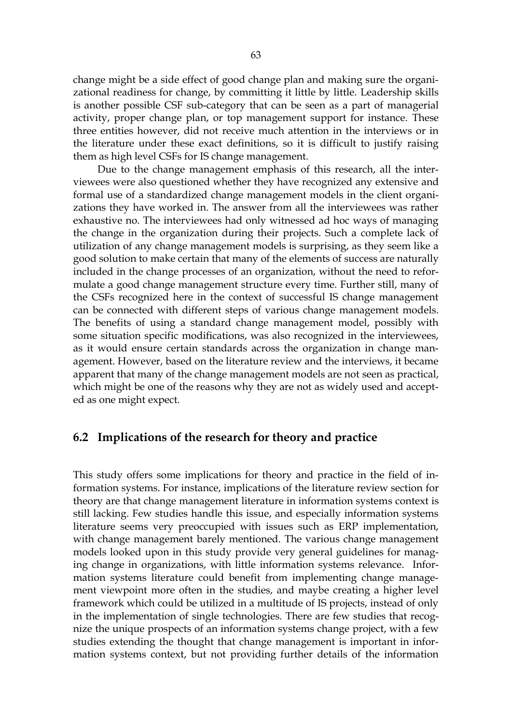change might be a side effect of good change plan and making sure the organizational readiness for change, by committing it little by little. Leadership skills is another possible CSF sub-category that can be seen as a part of managerial activity, proper change plan, or top management support for instance. These three entities however, did not receive much attention in the interviews or in the literature under these exact definitions, so it is difficult to justify raising them as high level CSFs for IS change management.

Due to the change management emphasis of this research, all the interviewees were also questioned whether they have recognized any extensive and formal use of a standardized change management models in the client organizations they have worked in. The answer from all the interviewees was rather exhaustive no. The interviewees had only witnessed ad hoc ways of managing the change in the organization during their projects. Such a complete lack of utilization of any change management models is surprising, as they seem like a good solution to make certain that many of the elements of success are naturally included in the change processes of an organization, without the need to reformulate a good change management structure every time. Further still, many of the CSFs recognized here in the context of successful IS change management can be connected with different steps of various change management models. The benefits of using a standard change management model, possibly with some situation specific modifications, was also recognized in the interviewees, as it would ensure certain standards across the organization in change management. However, based on the literature review and the interviews, it became apparent that many of the change management models are not seen as practical, which might be one of the reasons why they are not as widely used and accepted as one might expect.

### **6.2 Implications of the research for theory and practice**

This study offers some implications for theory and practice in the field of information systems. For instance, implications of the literature review section for theory are that change management literature in information systems context is still lacking. Few studies handle this issue, and especially information systems literature seems very preoccupied with issues such as ERP implementation, with change management barely mentioned. The various change management models looked upon in this study provide very general guidelines for managing change in organizations, with little information systems relevance. Information systems literature could benefit from implementing change management viewpoint more often in the studies, and maybe creating a higher level framework which could be utilized in a multitude of IS projects, instead of only in the implementation of single technologies. There are few studies that recognize the unique prospects of an information systems change project, with a few studies extending the thought that change management is important in information systems context, but not providing further details of the information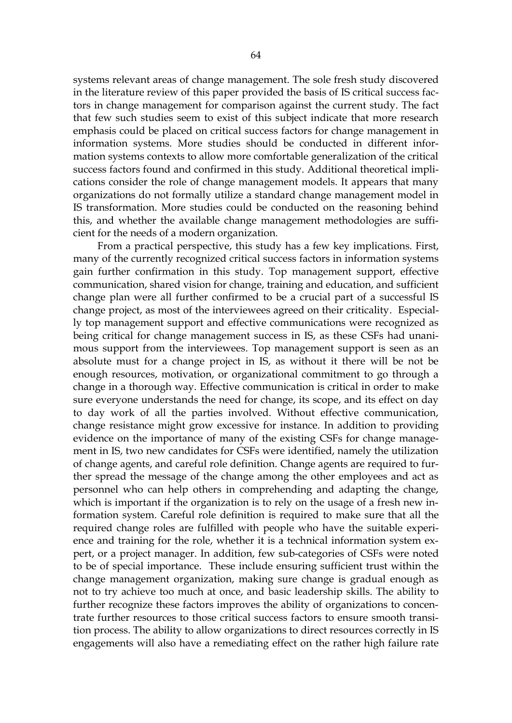systems relevant areas of change management. The sole fresh study discovered in the literature review of this paper provided the basis of IS critical success factors in change management for comparison against the current study. The fact that few such studies seem to exist of this subject indicate that more research emphasis could be placed on critical success factors for change management in information systems. More studies should be conducted in different information systems contexts to allow more comfortable generalization of the critical success factors found and confirmed in this study. Additional theoretical implications consider the role of change management models. It appears that many organizations do not formally utilize a standard change management model in IS transformation. More studies could be conducted on the reasoning behind this, and whether the available change management methodologies are sufficient for the needs of a modern organization.

From a practical perspective, this study has a few key implications. First, many of the currently recognized critical success factors in information systems gain further confirmation in this study. Top management support, effective communication, shared vision for change, training and education, and sufficient change plan were all further confirmed to be a crucial part of a successful IS change project, as most of the interviewees agreed on their criticality. Especially top management support and effective communications were recognized as being critical for change management success in IS, as these CSFs had unanimous support from the interviewees. Top management support is seen as an absolute must for a change project in IS, as without it there will be not be enough resources, motivation, or organizational commitment to go through a change in a thorough way. Effective communication is critical in order to make sure everyone understands the need for change, its scope, and its effect on day to day work of all the parties involved. Without effective communication, change resistance might grow excessive for instance. In addition to providing evidence on the importance of many of the existing CSFs for change management in IS, two new candidates for CSFs were identified, namely the utilization of change agents, and careful role definition. Change agents are required to further spread the message of the change among the other employees and act as personnel who can help others in comprehending and adapting the change, which is important if the organization is to rely on the usage of a fresh new information system. Careful role definition is required to make sure that all the required change roles are fulfilled with people who have the suitable experience and training for the role, whether it is a technical information system expert, or a project manager. In addition, few sub-categories of CSFs were noted to be of special importance. These include ensuring sufficient trust within the change management organization, making sure change is gradual enough as not to try achieve too much at once, and basic leadership skills. The ability to further recognize these factors improves the ability of organizations to concentrate further resources to those critical success factors to ensure smooth transition process. The ability to allow organizations to direct resources correctly in IS engagements will also have a remediating effect on the rather high failure rate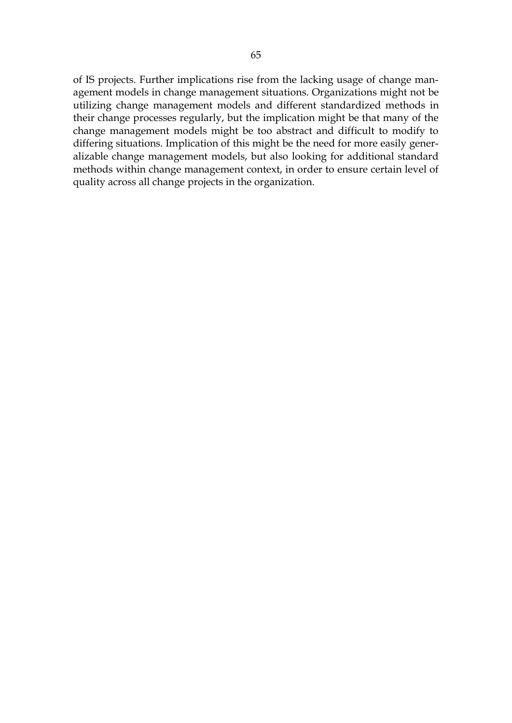of IS projects. Further implications rise from the lacking usage of change management models in change management situations. Organizations might not be utilizing change management models and different standardized methods in their change processes regularly, but the implication might be that many of the change management models might be too abstract and difficult to modify to differing situations. Implication of this might be the need for more easily generalizable change management models, but also looking for additional standard methods within change management context, in order to ensure certain level of quality across all change projects in the organization.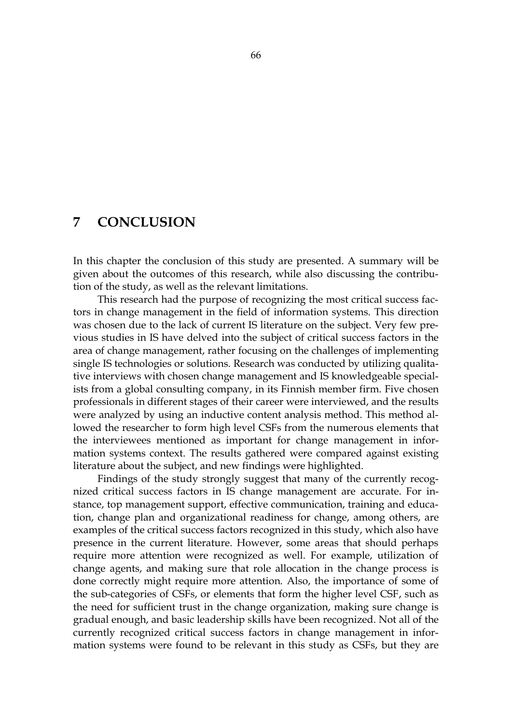# **7 CONCLUSION**

In this chapter the conclusion of this study are presented. A summary will be given about the outcomes of this research, while also discussing the contribution of the study, as well as the relevant limitations.

This research had the purpose of recognizing the most critical success factors in change management in the field of information systems. This direction was chosen due to the lack of current IS literature on the subject. Very few previous studies in IS have delved into the subject of critical success factors in the area of change management, rather focusing on the challenges of implementing single IS technologies or solutions. Research was conducted by utilizing qualitative interviews with chosen change management and IS knowledgeable specialists from a global consulting company, in its Finnish member firm. Five chosen professionals in different stages of their career were interviewed, and the results were analyzed by using an inductive content analysis method. This method allowed the researcher to form high level CSFs from the numerous elements that the interviewees mentioned as important for change management in information systems context. The results gathered were compared against existing literature about the subject, and new findings were highlighted.

Findings of the study strongly suggest that many of the currently recognized critical success factors in IS change management are accurate. For instance, top management support, effective communication, training and education, change plan and organizational readiness for change, among others, are examples of the critical success factors recognized in this study, which also have presence in the current literature. However, some areas that should perhaps require more attention were recognized as well. For example, utilization of change agents, and making sure that role allocation in the change process is done correctly might require more attention. Also, the importance of some of the sub-categories of CSFs, or elements that form the higher level CSF, such as the need for sufficient trust in the change organization, making sure change is gradual enough, and basic leadership skills have been recognized. Not all of the currently recognized critical success factors in change management in information systems were found to be relevant in this study as CSFs, but they are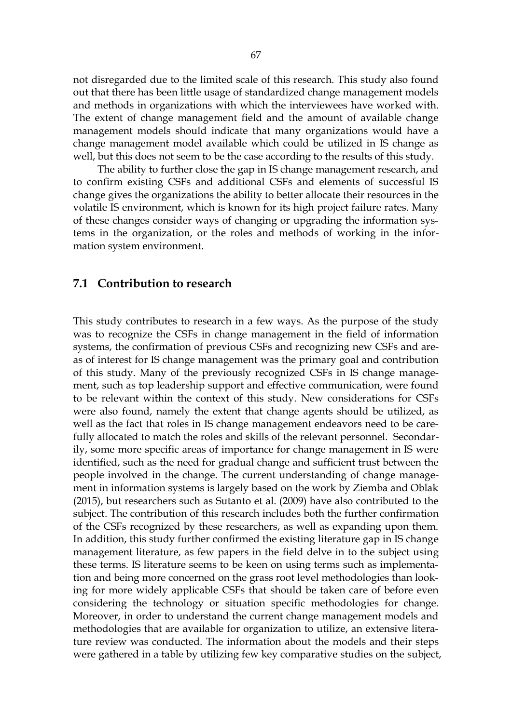not disregarded due to the limited scale of this research. This study also found out that there has been little usage of standardized change management models and methods in organizations with which the interviewees have worked with. The extent of change management field and the amount of available change management models should indicate that many organizations would have a change management model available which could be utilized in IS change as well, but this does not seem to be the case according to the results of this study.

The ability to further close the gap in IS change management research, and to confirm existing CSFs and additional CSFs and elements of successful IS change gives the organizations the ability to better allocate their resources in the volatile IS environment, which is known for its high project failure rates. Many of these changes consider ways of changing or upgrading the information systems in the organization, or the roles and methods of working in the information system environment.

#### **7.1 Contribution to research**

This study contributes to research in a few ways. As the purpose of the study was to recognize the CSFs in change management in the field of information systems, the confirmation of previous CSFs and recognizing new CSFs and areas of interest for IS change management was the primary goal and contribution of this study. Many of the previously recognized CSFs in IS change management, such as top leadership support and effective communication, were found to be relevant within the context of this study. New considerations for CSFs were also found, namely the extent that change agents should be utilized, as well as the fact that roles in IS change management endeavors need to be carefully allocated to match the roles and skills of the relevant personnel. Secondarily, some more specific areas of importance for change management in IS were identified, such as the need for gradual change and sufficient trust between the people involved in the change. The current understanding of change management in information systems is largely based on the work by Ziemba and Oblak (2015), but researchers such as Sutanto et al. (2009) have also contributed to the subject. The contribution of this research includes both the further confirmation of the CSFs recognized by these researchers, as well as expanding upon them. In addition, this study further confirmed the existing literature gap in IS change management literature, as few papers in the field delve in to the subject using these terms. IS literature seems to be keen on using terms such as implementation and being more concerned on the grass root level methodologies than looking for more widely applicable CSFs that should be taken care of before even considering the technology or situation specific methodologies for change. Moreover, in order to understand the current change management models and methodologies that are available for organization to utilize, an extensive literature review was conducted. The information about the models and their steps were gathered in a table by utilizing few key comparative studies on the subject,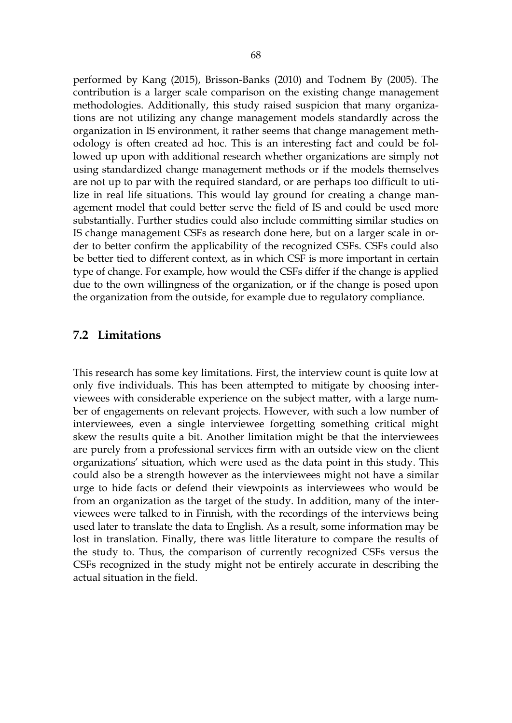performed by Kang (2015), Brisson-Banks (2010) and Todnem By (2005). The contribution is a larger scale comparison on the existing change management methodologies. Additionally, this study raised suspicion that many organizations are not utilizing any change management models standardly across the organization in IS environment, it rather seems that change management methodology is often created ad hoc. This is an interesting fact and could be followed up upon with additional research whether organizations are simply not using standardized change management methods or if the models themselves are not up to par with the required standard, or are perhaps too difficult to utilize in real life situations. This would lay ground for creating a change management model that could better serve the field of IS and could be used more substantially. Further studies could also include committing similar studies on IS change management CSFs as research done here, but on a larger scale in order to better confirm the applicability of the recognized CSFs. CSFs could also be better tied to different context, as in which CSF is more important in certain type of change. For example, how would the CSFs differ if the change is applied due to the own willingness of the organization, or if the change is posed upon the organization from the outside, for example due to regulatory compliance.

## **7.2 Limitations**

This research has some key limitations. First, the interview count is quite low at only five individuals. This has been attempted to mitigate by choosing interviewees with considerable experience on the subject matter, with a large number of engagements on relevant projects. However, with such a low number of interviewees, even a single interviewee forgetting something critical might skew the results quite a bit. Another limitation might be that the interviewees are purely from a professional services firm with an outside view on the client organizations' situation, which were used as the data point in this study. This could also be a strength however as the interviewees might not have a similar urge to hide facts or defend their viewpoints as interviewees who would be from an organization as the target of the study. In addition, many of the interviewees were talked to in Finnish, with the recordings of the interviews being used later to translate the data to English. As a result, some information may be lost in translation. Finally, there was little literature to compare the results of the study to. Thus, the comparison of currently recognized CSFs versus the CSFs recognized in the study might not be entirely accurate in describing the actual situation in the field.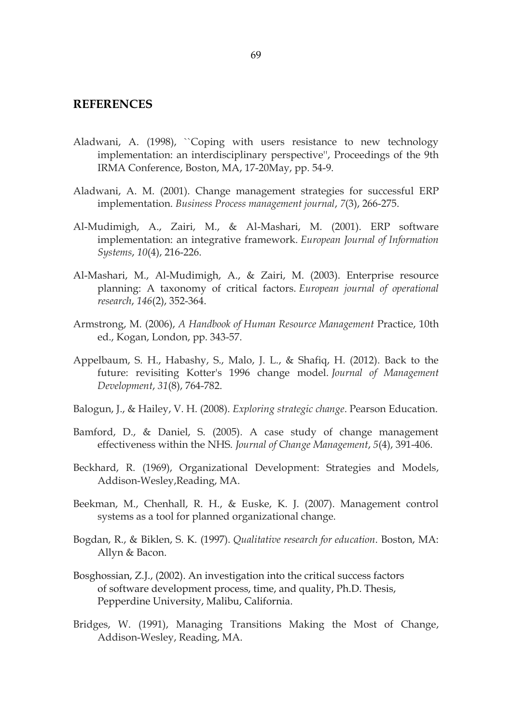#### **REFERENCES**

- Aladwani, A. (1998), "Coping with users resistance to new technology implementation: an interdisciplinary perspective'', Proceedings of the 9th IRMA Conference, Boston, MA, 17-20May, pp. 54-9.
- Aladwani, A. M. (2001). Change management strategies for successful ERP implementation. *Business Process management journal*, *7*(3), 266-275.
- Al-Mudimigh, A., Zairi, M., & Al-Mashari, M. (2001). ERP software implementation: an integrative framework. *European Journal of Information Systems*, *10*(4), 216-226.
- Al-Mashari, M., Al-Mudimigh, A., & Zairi, M. (2003). Enterprise resource planning: A taxonomy of critical factors. *European journal of operational research*, *146*(2), 352-364.
- Armstrong, M. (2006), *A Handbook of Human Resource Management* Practice, 10th ed., Kogan, London, pp. 343-57.
- Appelbaum, S. H., Habashy, S., Malo, J. L., & Shafiq, H. (2012). Back to the future: revisiting Kotter's 1996 change model. *Journal of Management Development*, *31*(8), 764-782.
- Balogun, J., & Hailey, V. H. (2008). *Exploring strategic change*. Pearson Education.
- Bamford, D., & Daniel, S. (2005). A case study of change management effectiveness within the NHS. *Journal of Change Management*, *5*(4), 391-406.
- Beckhard, R. (1969), Organizational Development: Strategies and Models, Addison-Wesley,Reading, MA.
- Beekman, M., Chenhall, R. H., & Euske, K. J. (2007). Management control systems as a tool for planned organizational change.
- Bogdan, R., & Biklen, S. K. (1997). *Qualitative research for education*. Boston, MA: Allyn & Bacon.
- Bosghossian, Z.J., (2002). An investigation into the critical success factors of software development process, time, and quality, Ph.D. Thesis, Pepperdine University, Malibu, California.
- Bridges, W. (1991), Managing Transitions Making the Most of Change, Addison-Wesley, Reading, MA.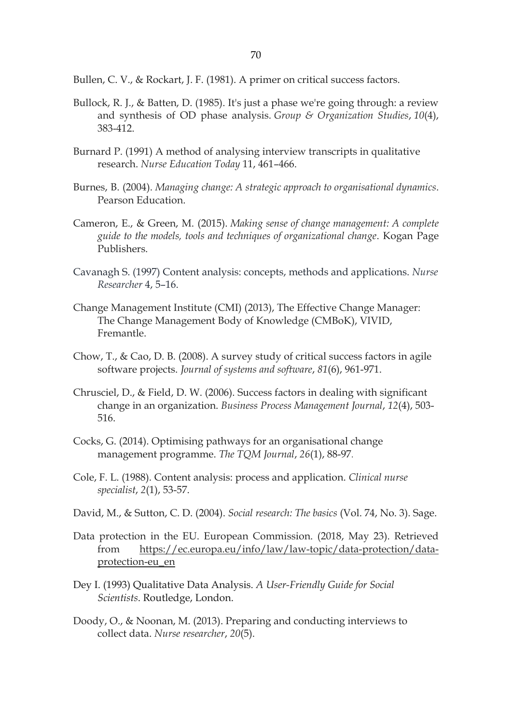Bullen, C. V., & Rockart, J. F. (1981). A primer on critical success factors.

- Bullock, R. J., & Batten, D. (1985). It's just a phase we're going through: a review and synthesis of OD phase analysis. *Group & Organization Studies*, *10*(4), 383-412.
- Burnard P. (1991) A method of analysing interview transcripts in qualitative research. *Nurse Education Today* 11, 461–466.
- Burnes, B. (2004). *Managing change: A strategic approach to organisational dynamics*. Pearson Education.
- Cameron, E., & Green, M. (2015). *Making sense of change management: A complete guide to the models, tools and techniques of organizational change*. Kogan Page Publishers.
- Cavanagh S. (1997) Content analysis: concepts, methods and applications. *Nurse Researcher* 4, 5–16.
- Change Management Institute (CMI) (2013), The Effective Change Manager: The Change Management Body of Knowledge (CMBoK), VIVID, Fremantle.
- Chow, T., & Cao, D. B. (2008). A survey study of critical success factors in agile software projects. *Journal of systems and software*, *81*(6), 961-971.
- Chrusciel, D., & Field, D. W. (2006). Success factors in dealing with significant change in an organization. *Business Process Management Journal*, *12*(4), 503- 516.
- Cocks, G. (2014). Optimising pathways for an organisational change management programme. *The TQM Journal*, *26*(1), 88-97.
- Cole, F. L. (1988). Content analysis: process and application. *Clinical nurse specialist*, *2*(1), 53-57.
- David, M., & Sutton, C. D. (2004). *Social research: The basics* (Vol. 74, No. 3). Sage.
- Data protection in the EU. European Commission. (2018, May 23). Retrieved from [https://ec.europa.eu/info/law/law-topic/data-protection/data](https://ec.europa.eu/info/law/law-topic/data-protection/data-protection-eu_en)[protection-eu\\_en](https://ec.europa.eu/info/law/law-topic/data-protection/data-protection-eu_en)
- Dey I. (1993) Qualitative Data Analysis. *A User-Friendly Guide for Social Scientists*. Routledge, London.
- Doody, O., & Noonan, M. (2013). Preparing and conducting interviews to collect data. *Nurse researcher*, *20*(5).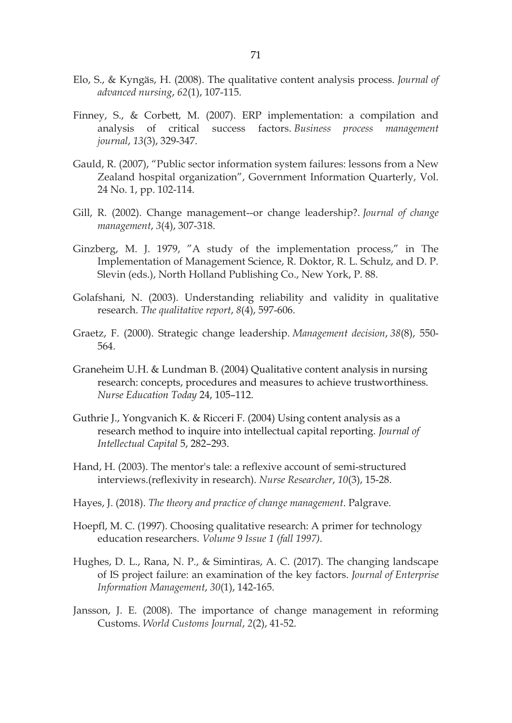- Elo, S., & Kyngäs, H. (2008). The qualitative content analysis process. *Journal of advanced nursing*, *62*(1), 107-115.
- Finney, S., & Corbett, M. (2007). ERP implementation: a compilation and analysis of critical success factors. *Business process management journal*, *13*(3), 329-347.
- Gauld, R. (2007), "Public sector information system failures: lessons from a New Zealand hospital organization", Government Information Quarterly, Vol. 24 No. 1, pp. 102-114.
- Gill, R. (2002). Change management--or change leadership?. *Journal of change management*, *3*(4), 307-318.
- Ginzberg, M. J. 1979, "A study of the implementation process," in The Implementation of Management Science, R. Doktor, R. L. Schulz, and D. P. Slevin (eds.), North Holland Publishing Co., New York, P. 88.
- Golafshani, N. (2003). Understanding reliability and validity in qualitative research. *The qualitative report*, *8*(4), 597-606.
- Graetz, F. (2000). Strategic change leadership. *Management decision*, *38*(8), 550- 564.
- Graneheim U.H. & Lundman B. (2004) Qualitative content analysis in nursing research: concepts, procedures and measures to achieve trustworthiness. *Nurse Education Today* 24, 105–112.
- Guthrie J., Yongvanich K. & Ricceri F. (2004) Using content analysis as a research method to inquire into intellectual capital reporting. *Journal of Intellectual Capital* 5, 282–293.
- Hand, H. (2003). The mentor's tale: a reflexive account of semi-structured interviews.(reflexivity in research). *Nurse Researcher*, *10*(3), 15-28.
- Hayes, J. (2018). *The theory and practice of change management*. Palgrave.
- Hoepfl, M. C. (1997). Choosing qualitative research: A primer for technology education researchers. *Volume 9 Issue 1 (fall 1997)*.
- Hughes, D. L., Rana, N. P., & Simintiras, A. C. (2017). The changing landscape of IS project failure: an examination of the key factors. *Journal of Enterprise Information Management*, *30*(1), 142-165.
- Jansson, J. E. (2008). The importance of change management in reforming Customs. *World Customs Journal*, *2*(2), 41-52.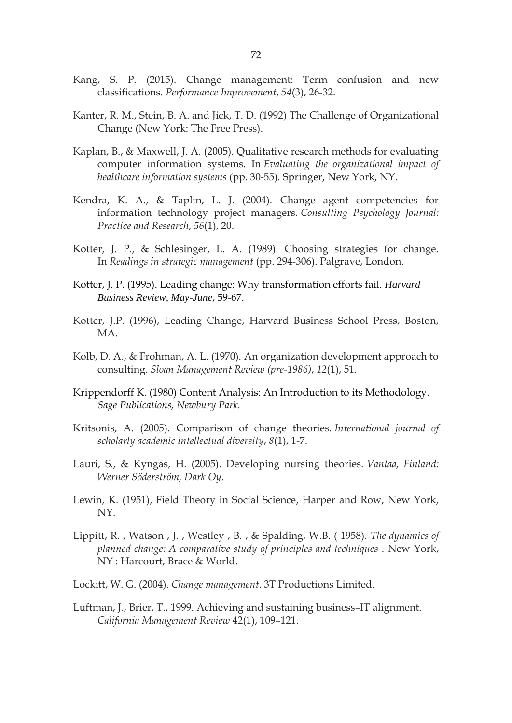- Kang, S. P. (2015). Change management: Term confusion and new classifications. *Performance Improvement*, *54*(3), 26-32.
- Kanter, R. M., Stein, B. A. and Jick, T. D. (1992) The Challenge of Organizational Change (New York: The Free Press).
- Kaplan, B., & Maxwell, J. A. (2005). Qualitative research methods for evaluating computer information systems. In *Evaluating the organizational impact of healthcare information systems* (pp. 30-55). Springer, New York, NY.
- Kendra, K. A., & Taplin, L. J. (2004). Change agent competencies for information technology project managers. *Consulting Psychology Journal: Practice and Research*, *56*(1), 20.
- Kotter, J. P., & Schlesinger, L. A. (1989). Choosing strategies for change. In *Readings in strategic management* (pp. 294-306). Palgrave, London.
- Kotter, J. P. (1995). Leading change: Why transformation efforts fail. *Harvard Business Review, May-June*, 59-67.
- Kotter, J.P. (1996), Leading Change, Harvard Business School Press, Boston, MA.
- Kolb, D. A., & Frohman, A. L. (1970). An organization development approach to consulting. *Sloan Management Review (pre-1986)*, *12*(1), 51.
- Krippendorff K. (1980) Content Analysis: An Introduction to its Methodology. *Sage Publications, Newbury Park.*
- Kritsonis, A. (2005). Comparison of change theories. *International journal of scholarly academic intellectual diversity*, *8*(1), 1-7.
- Lauri, S., & Kyngas, H. (2005). Developing nursing theories. *Vantaa, Finland: Werner Söderström, Dark Oy*.
- Lewin, K. (1951), Field Theory in Social Science, Harper and Row, New York, NY.
- Lippitt, R. , Watson , J. , Westley , B. , & Spalding, W.B. ( 1958). *The dynamics of planned change: A comparative study of principles and techniques* . New York, NY : Harcourt, Brace & World.
- Lockitt, W. G. (2004). *Change management*. 3T Productions Limited.
- Luftman, J., Brier, T., 1999. Achieving and sustaining business–IT alignment. *California Management Review* 42(1), 109–121.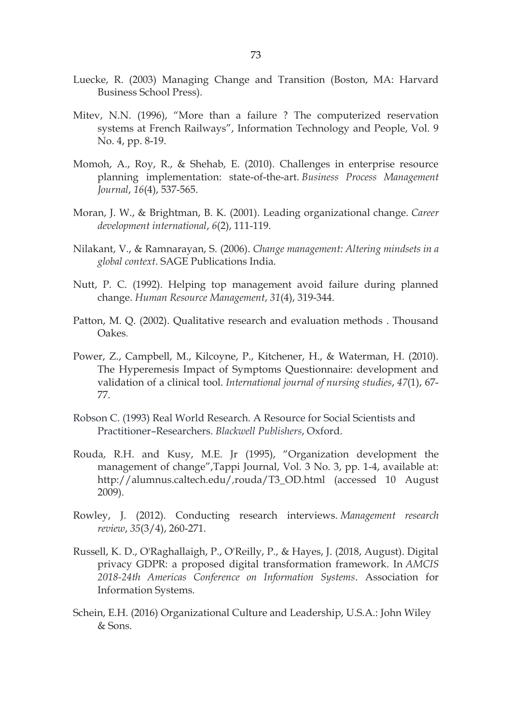- Luecke, R. (2003) Managing Change and Transition (Boston, MA: Harvard Business School Press).
- Mitev, N.N. (1996), "More than a failure ? The computerized reservation systems at French Railways", Information Technology and People, Vol. 9 No. 4, pp. 8-19.
- Momoh, A., Roy, R., & Shehab, E. (2010). Challenges in enterprise resource planning implementation: state-of-the-art. *Business Process Management Journal*, *16*(4), 537-565.
- Moran, J. W., & Brightman, B. K. (2001). Leading organizational change. *Career development international*, *6*(2), 111-119.
- Nilakant, V., & Ramnarayan, S. (2006). *Change management: Altering mindsets in a global context*. SAGE Publications India.
- Nutt, P. C. (1992). Helping top management avoid failure during planned change. *Human Resource Management*, *31*(4), 319-344.
- Patton, M. Q. (2002). Qualitative research and evaluation methods . Thousand Oakes.
- Power, Z., Campbell, M., Kilcoyne, P., Kitchener, H., & Waterman, H. (2010). The Hyperemesis Impact of Symptoms Questionnaire: development and validation of a clinical tool. *International journal of nursing studies*, *47*(1), 67- 77.
- Robson C. (1993) Real World Research. A Resource for Social Scientists and Practitioner–Researchers. *Blackwell Publishers*, Oxford.
- Rouda, R.H. and Kusy, M.E. Jr (1995), "Organization development the management of change",Tappi Journal, Vol. 3 No. 3, pp. 1-4, available at: http://alumnus.caltech.edu/*,*rouda/T3\_OD.html (accessed 10 August 2009).
- Rowley, J. (2012). Conducting research interviews. *Management research review*, *35*(3/4), 260-271.
- Russell, K. D., O'Raghallaigh, P., O'Reilly, P., & Hayes, J. (2018, August). Digital privacy GDPR: a proposed digital transformation framework. In *AMCIS 2018-24th Americas Conference on Information Systems*. Association for Information Systems.
- Schein, E.H. (2016) Organizational Culture and Leadership, U.S.A.: John Wiley & Sons.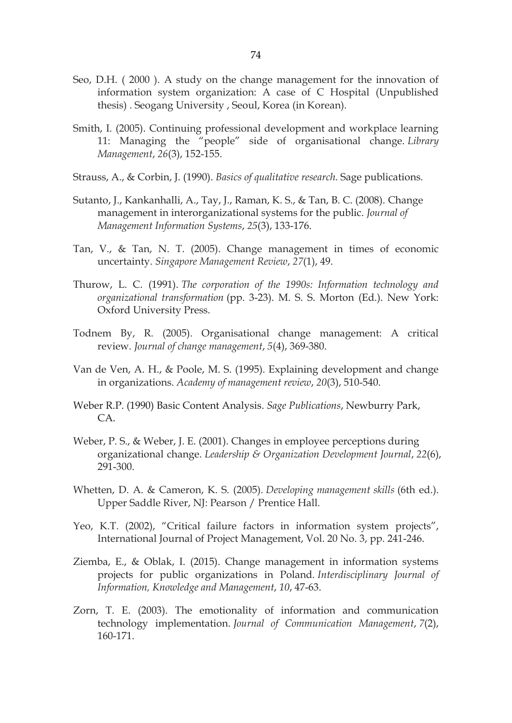- Seo, D.H. ( 2000 ). A study on the change management for the innovation of information system organization: A case of C Hospital (Unpublished thesis) . Seogang University , Seoul, Korea (in Korean).
- Smith, I. (2005). Continuing professional development and workplace learning 11: Managing the "people" side of organisational change. *Library Management*, *26*(3), 152-155.
- Strauss, A., & Corbin, J. (1990). *Basics of qualitative research*. Sage publications.
- Sutanto, J., Kankanhalli, A., Tay, J., Raman, K. S., & Tan, B. C. (2008). Change management in interorganizational systems for the public. *Journal of Management Information Systems*, *25*(3), 133-176.
- Tan, V., & Tan, N. T. (2005). Change management in times of economic uncertainty. *Singapore Management Review*, *27*(1), 49.
- Thurow, L. C. (1991). *The corporation of the 1990s: Information technology and organizational transformation* (pp. 3-23). M. S. S. Morton (Ed.). New York: Oxford University Press.
- Todnem By, R. (2005). Organisational change management: A critical review. *Journal of change management*, *5*(4), 369-380.
- Van de Ven, A. H., & Poole, M. S. (1995). Explaining development and change in organizations. *Academy of management review*, *20*(3), 510-540.
- Weber R.P. (1990) Basic Content Analysis. *Sage Publications*, Newburry Park, CA.
- Weber, P. S., & Weber, J. E. (2001). Changes in employee perceptions during organizational change. *Leadership & Organization Development Journal*, *22*(6), 291-300.
- Whetten, D. A. & Cameron, K. S. (2005). *Developing management skills* (6th ed.). Upper Saddle River, NJ: Pearson / Prentice Hall.
- Yeo, K.T. (2002), "Critical failure factors in information system projects", International Journal of Project Management, Vol. 20 No. 3, pp. 241-246.
- Ziemba, E., & Oblak, I. (2015). Change management in information systems projects for public organizations in Poland. *Interdisciplinary Journal of Information, Knowledge and Management*, *10*, 47-63.
- Zorn, T. E. (2003). The emotionality of information and communication technology implementation. *Journal of Communication Management*, *7*(2), 160-171.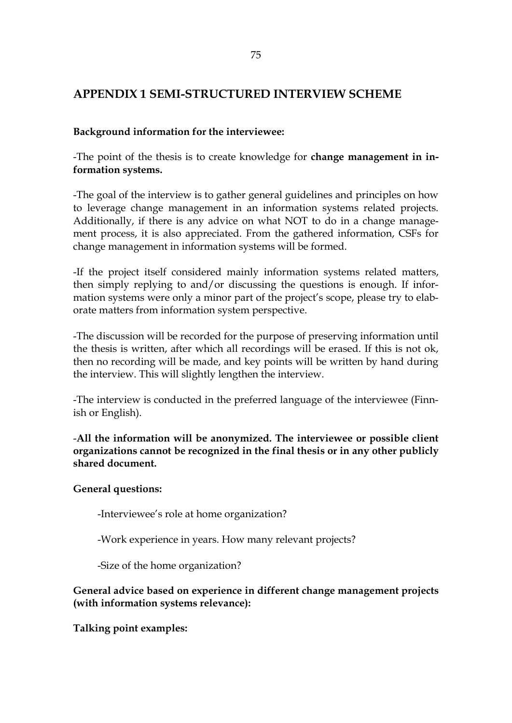## **APPENDIX 1 SEMI-STRUCTURED INTERVIEW SCHEME**

## **Background information for the interviewee:**

-The point of the thesis is to create knowledge for **change management in information systems.**

-The goal of the interview is to gather general guidelines and principles on how to leverage change management in an information systems related projects. Additionally, if there is any advice on what NOT to do in a change management process, it is also appreciated. From the gathered information, CSFs for change management in information systems will be formed.

-If the project itself considered mainly information systems related matters, then simply replying to and/or discussing the questions is enough. If information systems were only a minor part of the project's scope, please try to elaborate matters from information system perspective.

-The discussion will be recorded for the purpose of preserving information until the thesis is written, after which all recordings will be erased. If this is not ok, then no recording will be made, and key points will be written by hand during the interview. This will slightly lengthen the interview.

-The interview is conducted in the preferred language of the interviewee (Finnish or English).

-**All the information will be anonymized. The interviewee or possible client organizations cannot be recognized in the final thesis or in any other publicly shared document.**

## **General questions:**

-Interviewee's role at home organization?

-Work experience in years. How many relevant projects?

-Size of the home organization?

## **General advice based on experience in different change management projects (with information systems relevance):**

**Talking point examples:**